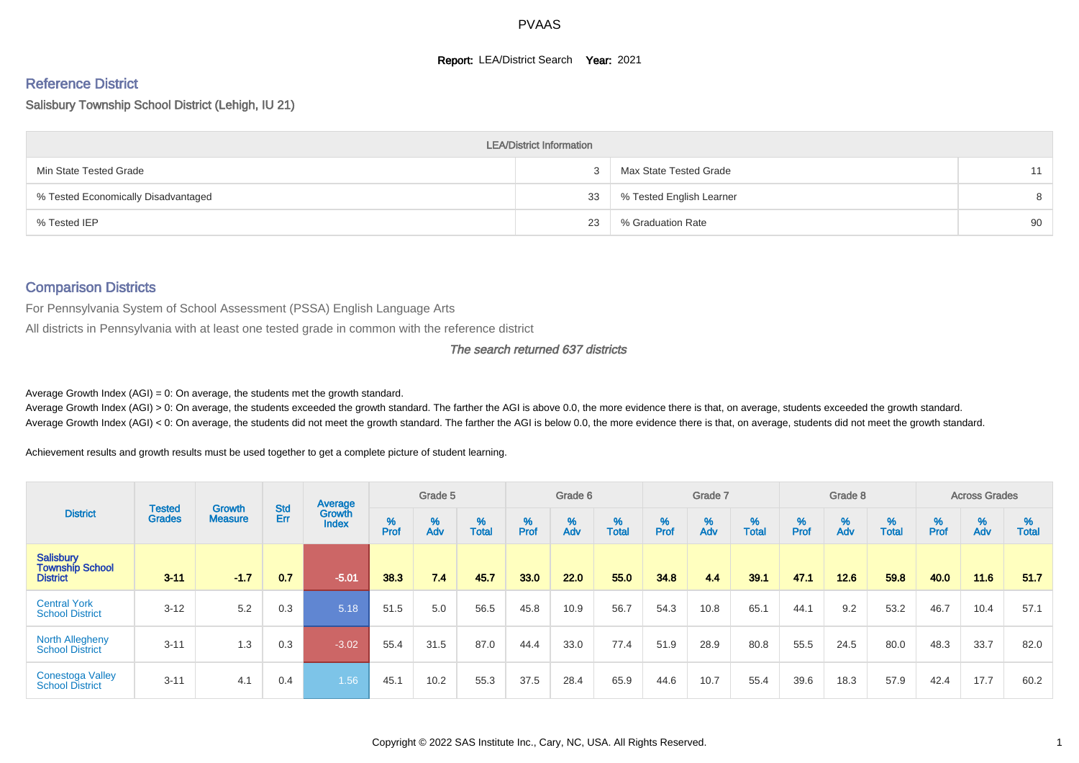#### **Report: LEA/District Search Year: 2021**

# Reference District

#### Salisbury Township School District (Lehigh, IU 21)

|                                     | <b>LEA/District Information</b> |                          |    |
|-------------------------------------|---------------------------------|--------------------------|----|
| Min State Tested Grade              |                                 | Max State Tested Grade   |    |
| % Tested Economically Disadvantaged | 33                              | % Tested English Learner | 8  |
| % Tested IEP                        | 23                              | % Graduation Rate        | 90 |

#### Comparison Districts

For Pennsylvania System of School Assessment (PSSA) English Language Arts

All districts in Pennsylvania with at least one tested grade in common with the reference district

#### The search returned 637 districts

Average Growth Index  $(AGI) = 0$ : On average, the students met the growth standard.

Average Growth Index (AGI) > 0: On average, the students exceeded the growth standard. The farther the AGI is above 0.0, the more evidence there is that, on average, students exceeded the growth standard. Average Growth Index (AGI) < 0: On average, the students did not meet the growth standard. The farther the AGI is below 0.0, the more evidence there is that, on average, students did not meet the growth standard.

Achievement results and growth results must be used together to get a complete picture of student learning.

|                                                               |                                |                                 |            | Average                |           | Grade 5  |                   |           | Grade 6  |                   |          | Grade 7  |                   |           | Grade 8  |                   |           | <b>Across Grades</b> |                   |
|---------------------------------------------------------------|--------------------------------|---------------------------------|------------|------------------------|-----------|----------|-------------------|-----------|----------|-------------------|----------|----------|-------------------|-----------|----------|-------------------|-----------|----------------------|-------------------|
| <b>District</b>                                               | <b>Tested</b><br><b>Grades</b> | <b>Growth</b><br><b>Measure</b> | Std<br>Err | Growth<br><b>Index</b> | %<br>Prof | %<br>Adv | %<br><b>Total</b> | %<br>Prof | %<br>Adv | %<br><b>Total</b> | $%$ Prof | %<br>Adv | %<br><b>Total</b> | %<br>Prof | %<br>Adv | %<br><b>Total</b> | %<br>Prof | %<br>Adv             | %<br><b>Total</b> |
| <b>Salisbury</b><br><b>Township School</b><br><b>District</b> | $3 - 11$                       | $-1.7$                          | 0.7        | $-5.01$                | 38.3      | 7.4      | 45.7              | 33.0      | 22.0     | 55.0              | 34.8     | 4.4      | 39.1              | 47.1      | 12.6     | 59.8              | 40.0      | 11.6                 | 51.7              |
| <b>Central York</b><br><b>School District</b>                 | $3 - 12$                       | 5.2                             | 0.3        | 5.18                   | 51.5      | 5.0      | 56.5              | 45.8      | 10.9     | 56.7              | 54.3     | 10.8     | 65.1              | 44.1      | 9.2      | 53.2              | 46.7      | 10.4                 | 57.1              |
| <b>North Allegheny</b><br><b>School District</b>              | $3 - 11$                       | 1.3                             | 0.3        | $-3.02$                | 55.4      | 31.5     | 87.0              | 44.4      | 33.0     | 77.4              | 51.9     | 28.9     | 80.8              | 55.5      | 24.5     | 80.0              | 48.3      | 33.7                 | 82.0              |
| <b>Conestoga Valley</b><br><b>School District</b>             | $3 - 11$                       | 4.1                             | 0.4        | 1.56                   | 45.1      | 10.2     | 55.3              | 37.5      | 28.4     | 65.9              | 44.6     | 10.7     | 55.4              | 39.6      | 18.3     | 57.9              | 42.4      | 17.7                 | 60.2              |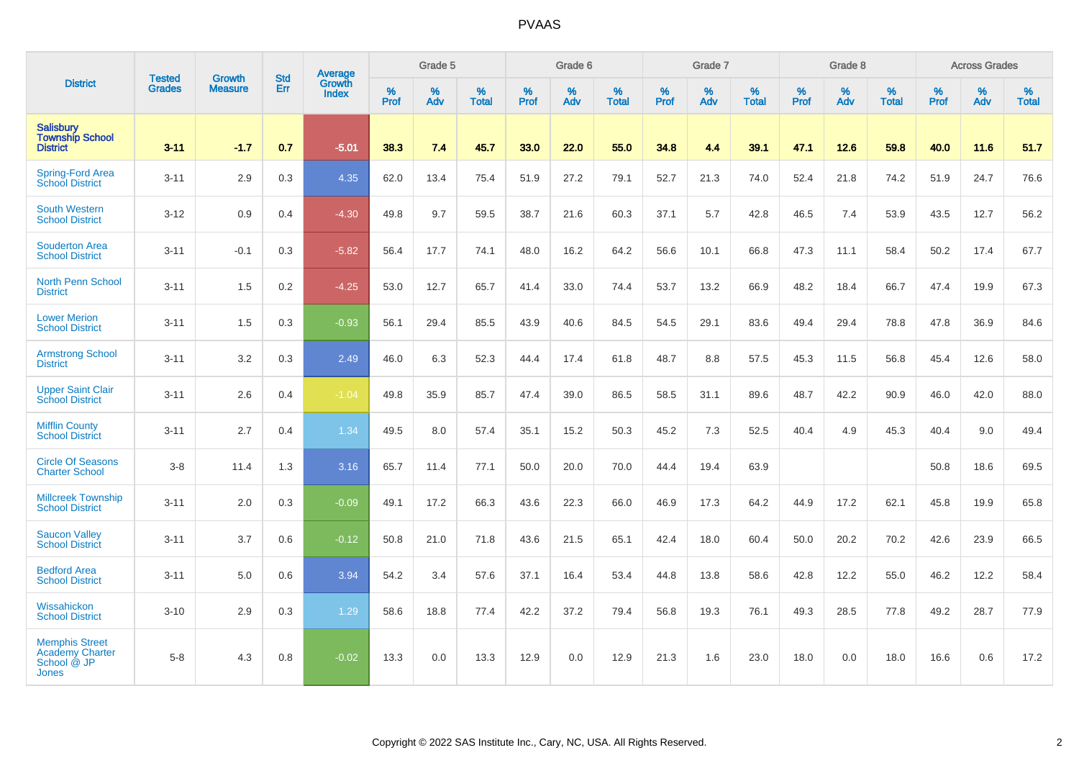|                                                                                |                                |                                 | <b>Std</b> | Average                       |           | Grade 5  |                   |           | Grade 6  |                   |           | Grade 7  |                   |           | Grade 8  |                   |           | <b>Across Grades</b> |                   |
|--------------------------------------------------------------------------------|--------------------------------|---------------------------------|------------|-------------------------------|-----------|----------|-------------------|-----------|----------|-------------------|-----------|----------|-------------------|-----------|----------|-------------------|-----------|----------------------|-------------------|
| <b>District</b>                                                                | <b>Tested</b><br><b>Grades</b> | <b>Growth</b><br><b>Measure</b> | Err        | <b>Growth</b><br><b>Index</b> | %<br>Prof | %<br>Adv | %<br><b>Total</b> | %<br>Prof | %<br>Adv | %<br><b>Total</b> | %<br>Prof | %<br>Adv | %<br><b>Total</b> | %<br>Prof | %<br>Adv | %<br><b>Total</b> | %<br>Prof | %<br>Adv             | %<br><b>Total</b> |
| <b>Salisbury</b><br><b>Township School</b><br><b>District</b>                  | $3 - 11$                       | $-1.7$                          | 0.7        | $-5.01$                       | 38.3      | 7.4      | 45.7              | 33.0      | 22.0     | 55.0              | 34.8      | 4.4      | 39.1              | 47.1      | 12.6     | 59.8              | 40.0      | 11.6                 | 51.7              |
| Spring-Ford Area<br>School District                                            | $3 - 11$                       | 2.9                             | 0.3        | 4.35                          | 62.0      | 13.4     | 75.4              | 51.9      | 27.2     | 79.1              | 52.7      | 21.3     | 74.0              | 52.4      | 21.8     | 74.2              | 51.9      | 24.7                 | 76.6              |
| <b>South Western</b><br><b>School District</b>                                 | $3 - 12$                       | 0.9                             | 0.4        | $-4.30$                       | 49.8      | 9.7      | 59.5              | 38.7      | 21.6     | 60.3              | 37.1      | 5.7      | 42.8              | 46.5      | 7.4      | 53.9              | 43.5      | 12.7                 | 56.2              |
| <b>Souderton Area</b><br><b>School District</b>                                | $3 - 11$                       | $-0.1$                          | 0.3        | $-5.82$                       | 56.4      | 17.7     | 74.1              | 48.0      | 16.2     | 64.2              | 56.6      | 10.1     | 66.8              | 47.3      | 11.1     | 58.4              | 50.2      | 17.4                 | 67.7              |
| <b>North Penn School</b><br><b>District</b>                                    | $3 - 11$                       | 1.5                             | 0.2        | $-4.25$                       | 53.0      | 12.7     | 65.7              | 41.4      | 33.0     | 74.4              | 53.7      | 13.2     | 66.9              | 48.2      | 18.4     | 66.7              | 47.4      | 19.9                 | 67.3              |
| <b>Lower Merion</b><br><b>School District</b>                                  | $3 - 11$                       | 1.5                             | 0.3        | $-0.93$                       | 56.1      | 29.4     | 85.5              | 43.9      | 40.6     | 84.5              | 54.5      | 29.1     | 83.6              | 49.4      | 29.4     | 78.8              | 47.8      | 36.9                 | 84.6              |
| <b>Armstrong School</b><br><b>District</b>                                     | $3 - 11$                       | 3.2                             | 0.3        | 2.49                          | 46.0      | 6.3      | 52.3              | 44.4      | 17.4     | 61.8              | 48.7      | 8.8      | 57.5              | 45.3      | 11.5     | 56.8              | 45.4      | 12.6                 | 58.0              |
| <b>Upper Saint Clair</b><br><b>School District</b>                             | $3 - 11$                       | 2.6                             | 0.4        | $-1.04$                       | 49.8      | 35.9     | 85.7              | 47.4      | 39.0     | 86.5              | 58.5      | 31.1     | 89.6              | 48.7      | 42.2     | 90.9              | 46.0      | 42.0                 | 88.0              |
| <b>Mifflin County</b><br><b>School District</b>                                | $3 - 11$                       | 2.7                             | 0.4        | 1.34                          | 49.5      | 8.0      | 57.4              | 35.1      | 15.2     | 50.3              | 45.2      | 7.3      | 52.5              | 40.4      | 4.9      | 45.3              | 40.4      | 9.0                  | 49.4              |
| <b>Circle Of Seasons</b><br><b>Charter School</b>                              | $3-8$                          | 11.4                            | 1.3        | 3.16                          | 65.7      | 11.4     | 77.1              | 50.0      | 20.0     | 70.0              | 44.4      | 19.4     | 63.9              |           |          |                   | 50.8      | 18.6                 | 69.5              |
| <b>Millcreek Township</b><br><b>School District</b>                            | $3 - 11$                       | 2.0                             | 0.3        | $-0.09$                       | 49.1      | 17.2     | 66.3              | 43.6      | 22.3     | 66.0              | 46.9      | 17.3     | 64.2              | 44.9      | 17.2     | 62.1              | 45.8      | 19.9                 | 65.8              |
| <b>Saucon Valley</b><br><b>School District</b>                                 | $3 - 11$                       | 3.7                             | 0.6        | $-0.12$                       | 50.8      | 21.0     | 71.8              | 43.6      | 21.5     | 65.1              | 42.4      | 18.0     | 60.4              | 50.0      | 20.2     | 70.2              | 42.6      | 23.9                 | 66.5              |
| <b>Bedford Area</b><br><b>School District</b>                                  | $3 - 11$                       | 5.0                             | 0.6        | 3.94                          | 54.2      | 3.4      | 57.6              | 37.1      | 16.4     | 53.4              | 44.8      | 13.8     | 58.6              | 42.8      | 12.2     | 55.0              | 46.2      | 12.2                 | 58.4              |
| Wissahickon<br><b>School District</b>                                          | $3 - 10$                       | 2.9                             | 0.3        | 1.29                          | 58.6      | 18.8     | 77.4              | 42.2      | 37.2     | 79.4              | 56.8      | 19.3     | 76.1              | 49.3      | 28.5     | 77.8              | 49.2      | 28.7                 | 77.9              |
| <b>Memphis Street</b><br><b>Academy Charter</b><br>School @ JP<br><b>Jones</b> | $5-8$                          | 4.3                             | 0.8        | $-0.02$                       | 13.3      | 0.0      | 13.3              | 12.9      | 0.0      | 12.9              | 21.3      | 1.6      | 23.0              | 18.0      | 0.0      | 18.0              | 16.6      | 0.6                  | 17.2              |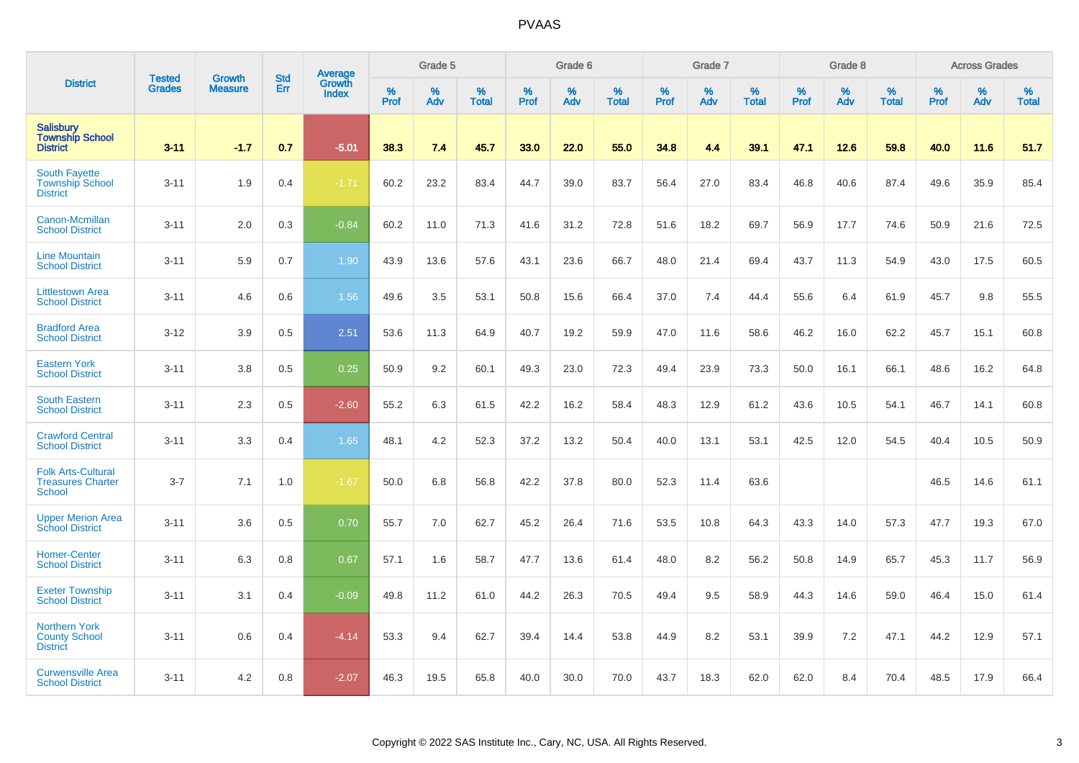|                                                                        |                                |                                 | <b>Std</b> | <b>Average</b>         |              | Grade 5  |                   |           | Grade 6  |                   |           | Grade 7  |                   |           | Grade 8  |                   |           | <b>Across Grades</b> |                   |
|------------------------------------------------------------------------|--------------------------------|---------------------------------|------------|------------------------|--------------|----------|-------------------|-----------|----------|-------------------|-----------|----------|-------------------|-----------|----------|-------------------|-----------|----------------------|-------------------|
| <b>District</b>                                                        | <b>Tested</b><br><b>Grades</b> | <b>Growth</b><br><b>Measure</b> | Err        | Growth<br><b>Index</b> | $\%$<br>Prof | %<br>Adv | %<br><b>Total</b> | %<br>Prof | %<br>Adv | %<br><b>Total</b> | %<br>Prof | %<br>Adv | %<br><b>Total</b> | %<br>Prof | %<br>Adv | %<br><b>Total</b> | %<br>Prof | %<br>Adv             | %<br><b>Total</b> |
| <b>Salisbury</b><br><b>Township School</b><br><b>District</b>          | $3 - 11$                       | $-1.7$                          | 0.7        | $-5.01$                | 38.3         | 7.4      | 45.7              | 33.0      | 22.0     | 55.0              | 34.8      | 4.4      | 39.1              | 47.1      | 12.6     | 59.8              | 40.0      | 11.6                 | 51.7              |
| <b>South Fayette</b><br><b>Township School</b><br><b>District</b>      | $3 - 11$                       | 1.9                             | 0.4        | $-1.71$                | 60.2         | 23.2     | 83.4              | 44.7      | 39.0     | 83.7              | 56.4      | 27.0     | 83.4              | 46.8      | 40.6     | 87.4              | 49.6      | 35.9                 | 85.4              |
| Canon-Mcmillan<br><b>School District</b>                               | $3 - 11$                       | 2.0                             | 0.3        | $-0.84$                | 60.2         | 11.0     | 71.3              | 41.6      | 31.2     | 72.8              | 51.6      | 18.2     | 69.7              | 56.9      | 17.7     | 74.6              | 50.9      | 21.6                 | 72.5              |
| <b>Line Mountain</b><br><b>School District</b>                         | $3 - 11$                       | 5.9                             | 0.7        | 1.90                   | 43.9         | 13.6     | 57.6              | 43.1      | 23.6     | 66.7              | 48.0      | 21.4     | 69.4              | 43.7      | 11.3     | 54.9              | 43.0      | 17.5                 | 60.5              |
| <b>Littlestown Area</b><br><b>School District</b>                      | $3 - 11$                       | 4.6                             | 0.6        | 1.56                   | 49.6         | 3.5      | 53.1              | 50.8      | 15.6     | 66.4              | 37.0      | 7.4      | 44.4              | 55.6      | 6.4      | 61.9              | 45.7      | 9.8                  | 55.5              |
| <b>Bradford Area</b><br><b>School District</b>                         | $3 - 12$                       | 3.9                             | 0.5        | 2.51                   | 53.6         | 11.3     | 64.9              | 40.7      | 19.2     | 59.9              | 47.0      | 11.6     | 58.6              | 46.2      | 16.0     | 62.2              | 45.7      | 15.1                 | 60.8              |
| <b>Eastern York</b><br><b>School District</b>                          | $3 - 11$                       | 3.8                             | 0.5        | 0.25                   | 50.9         | 9.2      | 60.1              | 49.3      | 23.0     | 72.3              | 49.4      | 23.9     | 73.3              | 50.0      | 16.1     | 66.1              | 48.6      | 16.2                 | 64.8              |
| <b>South Eastern</b><br><b>School District</b>                         | $3 - 11$                       | 2.3                             | 0.5        | $-2.60$                | 55.2         | 6.3      | 61.5              | 42.2      | 16.2     | 58.4              | 48.3      | 12.9     | 61.2              | 43.6      | 10.5     | 54.1              | 46.7      | 14.1                 | 60.8              |
| <b>Crawford Central</b><br><b>School District</b>                      | $3 - 11$                       | 3.3                             | 0.4        | 1.65                   | 48.1         | 4.2      | 52.3              | 37.2      | 13.2     | 50.4              | 40.0      | 13.1     | 53.1              | 42.5      | 12.0     | 54.5              | 40.4      | 10.5                 | 50.9              |
| <b>Folk Arts-Cultural</b><br><b>Treasures Charter</b><br><b>School</b> | $3 - 7$                        | 7.1                             | 1.0        | $-1.67$                | 50.0         | 6.8      | 56.8              | 42.2      | 37.8     | 80.0              | 52.3      | 11.4     | 63.6              |           |          |                   | 46.5      | 14.6                 | 61.1              |
| <b>Upper Merion Area</b><br><b>School District</b>                     | $3 - 11$                       | 3.6                             | 0.5        | 0.70                   | 55.7         | 7.0      | 62.7              | 45.2      | 26.4     | 71.6              | 53.5      | 10.8     | 64.3              | 43.3      | 14.0     | 57.3              | 47.7      | 19.3                 | 67.0              |
| <b>Homer-Center</b><br><b>School District</b>                          | $3 - 11$                       | 6.3                             | 0.8        | 0.67                   | 57.1         | 1.6      | 58.7              | 47.7      | 13.6     | 61.4              | 48.0      | 8.2      | 56.2              | 50.8      | 14.9     | 65.7              | 45.3      | 11.7                 | 56.9              |
| <b>Exeter Township</b><br><b>School District</b>                       | $3 - 11$                       | 3.1                             | 0.4        | $-0.09$                | 49.8         | 11.2     | 61.0              | 44.2      | 26.3     | 70.5              | 49.4      | 9.5      | 58.9              | 44.3      | 14.6     | 59.0              | 46.4      | 15.0                 | 61.4              |
| <b>Northern York</b><br><b>County School</b><br><b>District</b>        | $3 - 11$                       | 0.6                             | 0.4        | $-4.14$                | 53.3         | 9.4      | 62.7              | 39.4      | 14.4     | 53.8              | 44.9      | 8.2      | 53.1              | 39.9      | 7.2      | 47.1              | 44.2      | 12.9                 | 57.1              |
| <b>Curwensville Area</b><br><b>School District</b>                     | $3 - 11$                       | 4.2                             | 0.8        | $-2.07$                | 46.3         | 19.5     | 65.8              | 40.0      | 30.0     | 70.0              | 43.7      | 18.3     | 62.0              | 62.0      | 8.4      | 70.4              | 48.5      | 17.9                 | 66.4              |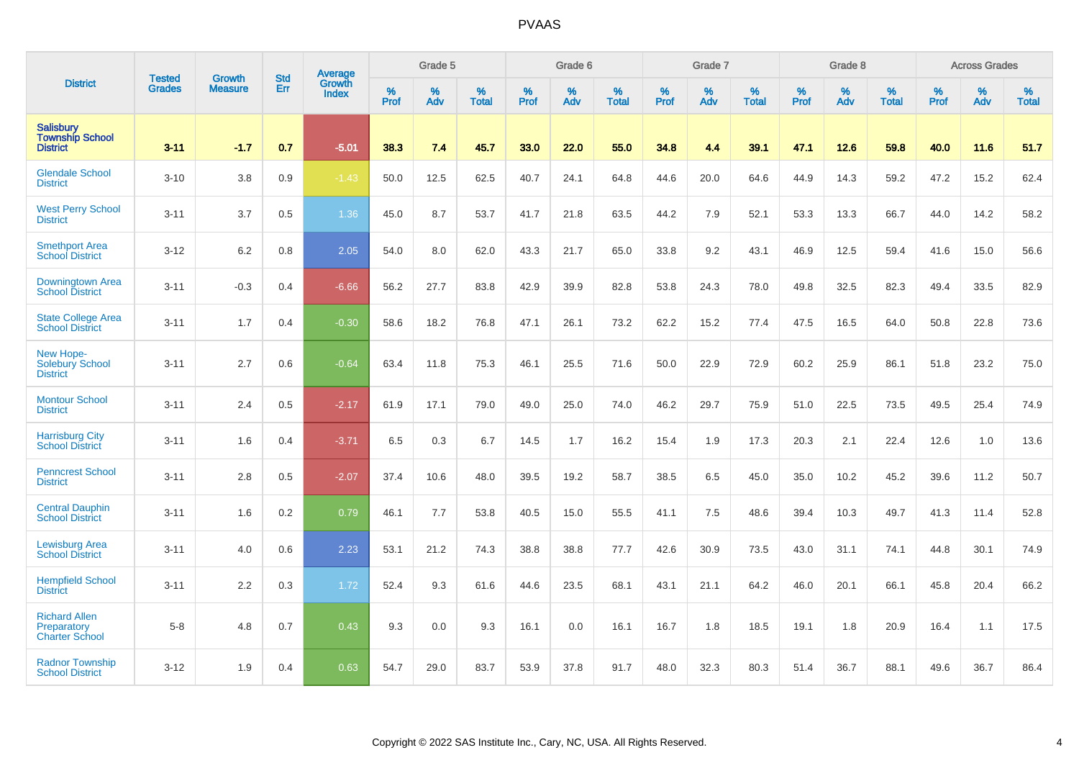|                                                               | <b>Tested</b> | <b>Growth</b>  | <b>Std</b> | Average                |           | Grade 5  |                   |           | Grade 6  |                   |           | Grade 7  |                   |           | Grade 8  |                   |           | <b>Across Grades</b> |                   |
|---------------------------------------------------------------|---------------|----------------|------------|------------------------|-----------|----------|-------------------|-----------|----------|-------------------|-----------|----------|-------------------|-----------|----------|-------------------|-----------|----------------------|-------------------|
| <b>District</b>                                               | <b>Grades</b> | <b>Measure</b> | Err        | <b>Growth</b><br>Index | %<br>Prof | %<br>Adv | %<br><b>Total</b> | %<br>Prof | %<br>Adv | %<br><b>Total</b> | %<br>Prof | %<br>Adv | %<br><b>Total</b> | %<br>Prof | %<br>Adv | %<br><b>Total</b> | %<br>Prof | %<br>Adv             | %<br><b>Total</b> |
| <b>Salisbury</b><br><b>Township School</b><br><b>District</b> | $3 - 11$      | $-1.7$         | 0.7        | $-5.01$                | 38.3      | 7.4      | 45.7              | 33.0      | 22.0     | 55.0              | 34.8      | 4.4      | 39.1              | 47.1      | 12.6     | 59.8              | 40.0      | 11.6                 | 51.7              |
| <b>Glendale School</b><br><b>District</b>                     | $3 - 10$      | 3.8            | 0.9        | $-1.43$                | 50.0      | 12.5     | 62.5              | 40.7      | 24.1     | 64.8              | 44.6      | 20.0     | 64.6              | 44.9      | 14.3     | 59.2              | 47.2      | 15.2                 | 62.4              |
| <b>West Perry School</b><br><b>District</b>                   | $3 - 11$      | 3.7            | 0.5        | 1.36                   | 45.0      | 8.7      | 53.7              | 41.7      | 21.8     | 63.5              | 44.2      | 7.9      | 52.1              | 53.3      | 13.3     | 66.7              | 44.0      | 14.2                 | 58.2              |
| <b>Smethport Area</b><br><b>School District</b>               | $3 - 12$      | 6.2            | 0.8        | 2.05                   | 54.0      | 8.0      | 62.0              | 43.3      | 21.7     | 65.0              | 33.8      | 9.2      | 43.1              | 46.9      | 12.5     | 59.4              | 41.6      | 15.0                 | 56.6              |
| <b>Downingtown Area</b><br><b>School District</b>             | $3 - 11$      | $-0.3$         | 0.4        | $-6.66$                | 56.2      | 27.7     | 83.8              | 42.9      | 39.9     | 82.8              | 53.8      | 24.3     | 78.0              | 49.8      | 32.5     | 82.3              | 49.4      | 33.5                 | 82.9              |
| <b>State College Area</b><br><b>School District</b>           | $3 - 11$      | 1.7            | 0.4        | $-0.30$                | 58.6      | 18.2     | 76.8              | 47.1      | 26.1     | 73.2              | 62.2      | 15.2     | 77.4              | 47.5      | 16.5     | 64.0              | 50.8      | 22.8                 | 73.6              |
| New Hope-<br><b>Solebury School</b><br><b>District</b>        | $3 - 11$      | 2.7            | 0.6        | $-0.64$                | 63.4      | 11.8     | 75.3              | 46.1      | 25.5     | 71.6              | 50.0      | 22.9     | 72.9              | 60.2      | 25.9     | 86.1              | 51.8      | 23.2                 | 75.0              |
| <b>Montour School</b><br><b>District</b>                      | $3 - 11$      | 2.4            | 0.5        | $-2.17$                | 61.9      | 17.1     | 79.0              | 49.0      | 25.0     | 74.0              | 46.2      | 29.7     | 75.9              | 51.0      | 22.5     | 73.5              | 49.5      | 25.4                 | 74.9              |
| <b>Harrisburg City</b><br><b>School District</b>              | $3 - 11$      | 1.6            | 0.4        | $-3.71$                | 6.5       | 0.3      | 6.7               | 14.5      | 1.7      | 16.2              | 15.4      | 1.9      | 17.3              | 20.3      | 2.1      | 22.4              | 12.6      | 1.0                  | 13.6              |
| <b>Penncrest School</b><br><b>District</b>                    | $3 - 11$      | 2.8            | 0.5        | $-2.07$                | 37.4      | 10.6     | 48.0              | 39.5      | 19.2     | 58.7              | 38.5      | 6.5      | 45.0              | 35.0      | 10.2     | 45.2              | 39.6      | 11.2                 | 50.7              |
| <b>Central Dauphin</b><br><b>School District</b>              | $3 - 11$      | 1.6            | 0.2        | 0.79                   | 46.1      | 7.7      | 53.8              | 40.5      | 15.0     | 55.5              | 41.1      | 7.5      | 48.6              | 39.4      | 10.3     | 49.7              | 41.3      | 11.4                 | 52.8              |
| <b>Lewisburg Area</b><br><b>School District</b>               | $3 - 11$      | 4.0            | 0.6        | 2.23                   | 53.1      | 21.2     | 74.3              | 38.8      | 38.8     | 77.7              | 42.6      | 30.9     | 73.5              | 43.0      | 31.1     | 74.1              | 44.8      | 30.1                 | 74.9              |
| <b>Hempfield School</b><br><b>District</b>                    | $3 - 11$      | 2.2            | 0.3        | 1.72                   | 52.4      | 9.3      | 61.6              | 44.6      | 23.5     | 68.1              | 43.1      | 21.1     | 64.2              | 46.0      | 20.1     | 66.1              | 45.8      | 20.4                 | 66.2              |
| <b>Richard Allen</b><br>Preparatory<br><b>Charter School</b>  | $5-8$         | 4.8            | 0.7        | 0.43                   | 9.3       | 0.0      | 9.3               | 16.1      | 0.0      | 16.1              | 16.7      | 1.8      | 18.5              | 19.1      | 1.8      | 20.9              | 16.4      | 1.1                  | 17.5              |
| <b>Radnor Township</b><br><b>School District</b>              | $3 - 12$      | 1.9            | 0.4        | 0.63                   | 54.7      | 29.0     | 83.7              | 53.9      | 37.8     | 91.7              | 48.0      | 32.3     | 80.3              | 51.4      | 36.7     | 88.1              | 49.6      | 36.7                 | 86.4              |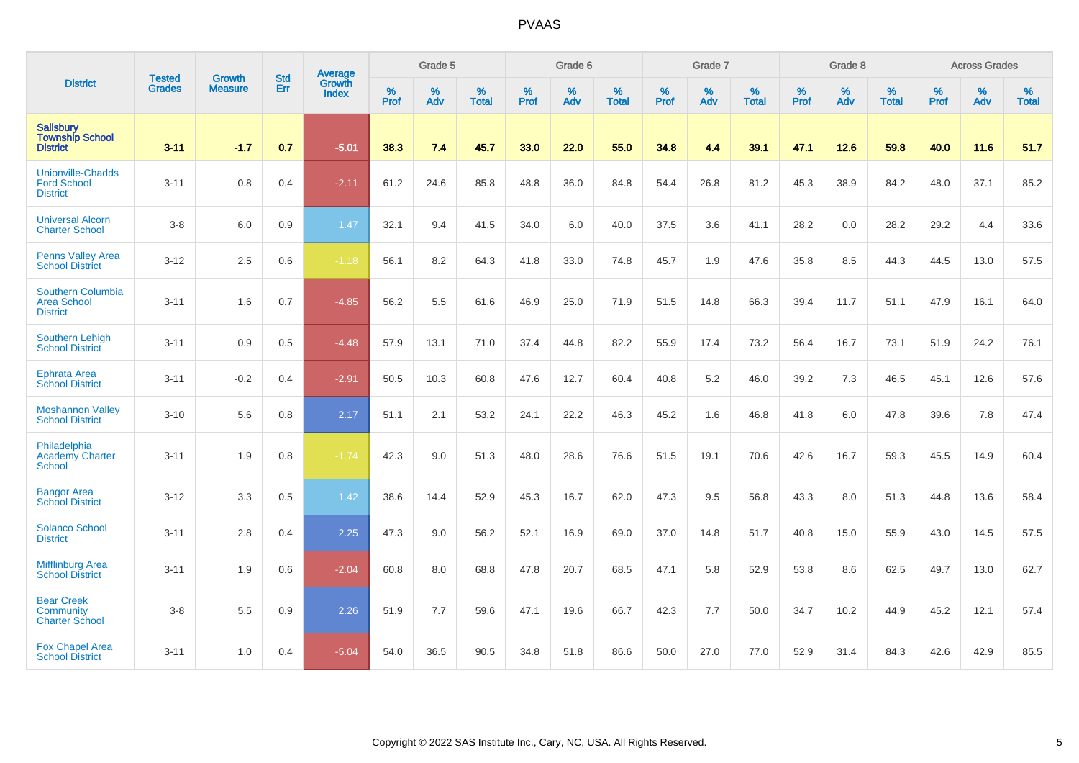| <b>District</b>                                                   |                                |                                 | <b>Std</b> | Average                |                     | Grade 5  |                   |                     | Grade 6  |                   |              | Grade 7  |                   |              | Grade 8  |                   |                     | <b>Across Grades</b> |                   |
|-------------------------------------------------------------------|--------------------------------|---------------------------------|------------|------------------------|---------------------|----------|-------------------|---------------------|----------|-------------------|--------------|----------|-------------------|--------------|----------|-------------------|---------------------|----------------------|-------------------|
|                                                                   | <b>Tested</b><br><b>Grades</b> | <b>Growth</b><br><b>Measure</b> | <b>Err</b> | Growth<br><b>Index</b> | $\%$<br><b>Prof</b> | %<br>Adv | %<br><b>Total</b> | $\%$<br><b>Prof</b> | %<br>Adv | %<br><b>Total</b> | $\%$<br>Prof | %<br>Adv | %<br><b>Total</b> | $\%$<br>Prof | %<br>Adv | %<br><b>Total</b> | $\%$<br><b>Prof</b> | %<br>Adv             | %<br><b>Total</b> |
| Salisbury<br>Township School<br><b>District</b>                   | $3 - 11$                       | $-1.7$                          | 0.7        | $-5.01$                | 38.3                | 7.4      | 45.7              | 33.0                | 22.0     | 55.0              | 34.8         | 4.4      | 39.1              | 47.1         | 12.6     | 59.8              | 40.0                | 11.6                 | 51.7              |
| <b>Unionville-Chadds</b><br><b>Ford School</b><br><b>District</b> | $3 - 11$                       | 0.8                             | 0.4        | $-2.11$                | 61.2                | 24.6     | 85.8              | 48.8                | 36.0     | 84.8              | 54.4         | 26.8     | 81.2              | 45.3         | 38.9     | 84.2              | 48.0                | 37.1                 | 85.2              |
| <b>Universal Alcorn</b><br><b>Charter School</b>                  | $3 - 8$                        | 6.0                             | 0.9        | 1.47                   | 32.1                | 9.4      | 41.5              | 34.0                | 6.0      | 40.0              | 37.5         | 3.6      | 41.1              | 28.2         | 0.0      | 28.2              | 29.2                | 4.4                  | 33.6              |
| <b>Penns Valley Area</b><br><b>School District</b>                | $3 - 12$                       | 2.5                             | 0.6        | $-1.18$                | 56.1                | 8.2      | 64.3              | 41.8                | 33.0     | 74.8              | 45.7         | 1.9      | 47.6              | 35.8         | 8.5      | 44.3              | 44.5                | 13.0                 | 57.5              |
| Southern Columbia<br><b>Area School</b><br><b>District</b>        | $3 - 11$                       | 1.6                             | 0.7        | $-4.85$                | 56.2                | 5.5      | 61.6              | 46.9                | 25.0     | 71.9              | 51.5         | 14.8     | 66.3              | 39.4         | 11.7     | 51.1              | 47.9                | 16.1                 | 64.0              |
| <b>Southern Lehigh</b><br><b>School District</b>                  | $3 - 11$                       | 0.9                             | 0.5        | $-4.48$                | 57.9                | 13.1     | 71.0              | 37.4                | 44.8     | 82.2              | 55.9         | 17.4     | 73.2              | 56.4         | 16.7     | 73.1              | 51.9                | 24.2                 | 76.1              |
| <b>Ephrata Area</b><br><b>School District</b>                     | $3 - 11$                       | $-0.2$                          | 0.4        | $-2.91$                | 50.5                | 10.3     | 60.8              | 47.6                | 12.7     | 60.4              | 40.8         | 5.2      | 46.0              | 39.2         | 7.3      | 46.5              | 45.1                | 12.6                 | 57.6              |
| <b>Moshannon Valley</b><br><b>School District</b>                 | $3 - 10$                       | 5.6                             | 0.8        | 2.17                   | 51.1                | 2.1      | 53.2              | 24.1                | 22.2     | 46.3              | 45.2         | 1.6      | 46.8              | 41.8         | 6.0      | 47.8              | 39.6                | 7.8                  | 47.4              |
| Philadelphia<br><b>Academy Charter</b><br><b>School</b>           | $3 - 11$                       | 1.9                             | 0.8        | $-1.74$                | 42.3                | 9.0      | 51.3              | 48.0                | 28.6     | 76.6              | 51.5         | 19.1     | 70.6              | 42.6         | 16.7     | 59.3              | 45.5                | 14.9                 | 60.4              |
| <b>Bangor Area</b><br><b>School District</b>                      | $3 - 12$                       | 3.3                             | 0.5        | 1.42                   | 38.6                | 14.4     | 52.9              | 45.3                | 16.7     | 62.0              | 47.3         | 9.5      | 56.8              | 43.3         | 8.0      | 51.3              | 44.8                | 13.6                 | 58.4              |
| <b>Solanco School</b><br><b>District</b>                          | $3 - 11$                       | 2.8                             | 0.4        | 2.25                   | 47.3                | 9.0      | 56.2              | 52.1                | 16.9     | 69.0              | 37.0         | 14.8     | 51.7              | 40.8         | 15.0     | 55.9              | 43.0                | 14.5                 | 57.5              |
| <b>Mifflinburg Area</b><br><b>School District</b>                 | $3 - 11$                       | 1.9                             | 0.6        | $-2.04$                | 60.8                | 8.0      | 68.8              | 47.8                | 20.7     | 68.5              | 47.1         | 5.8      | 52.9              | 53.8         | 8.6      | 62.5              | 49.7                | 13.0                 | 62.7              |
| <b>Bear Creek</b><br>Community<br><b>Charter School</b>           | $3 - 8$                        | 5.5                             | 0.9        | 2.26                   | 51.9                | 7.7      | 59.6              | 47.1                | 19.6     | 66.7              | 42.3         | 7.7      | 50.0              | 34.7         | 10.2     | 44.9              | 45.2                | 12.1                 | 57.4              |
| <b>Fox Chapel Area</b><br><b>School District</b>                  | $3 - 11$                       | 1.0                             | 0.4        | $-5.04$                | 54.0                | 36.5     | 90.5              | 34.8                | 51.8     | 86.6              | 50.0         | 27.0     | 77.0              | 52.9         | 31.4     | 84.3              | 42.6                | 42.9                 | 85.5              |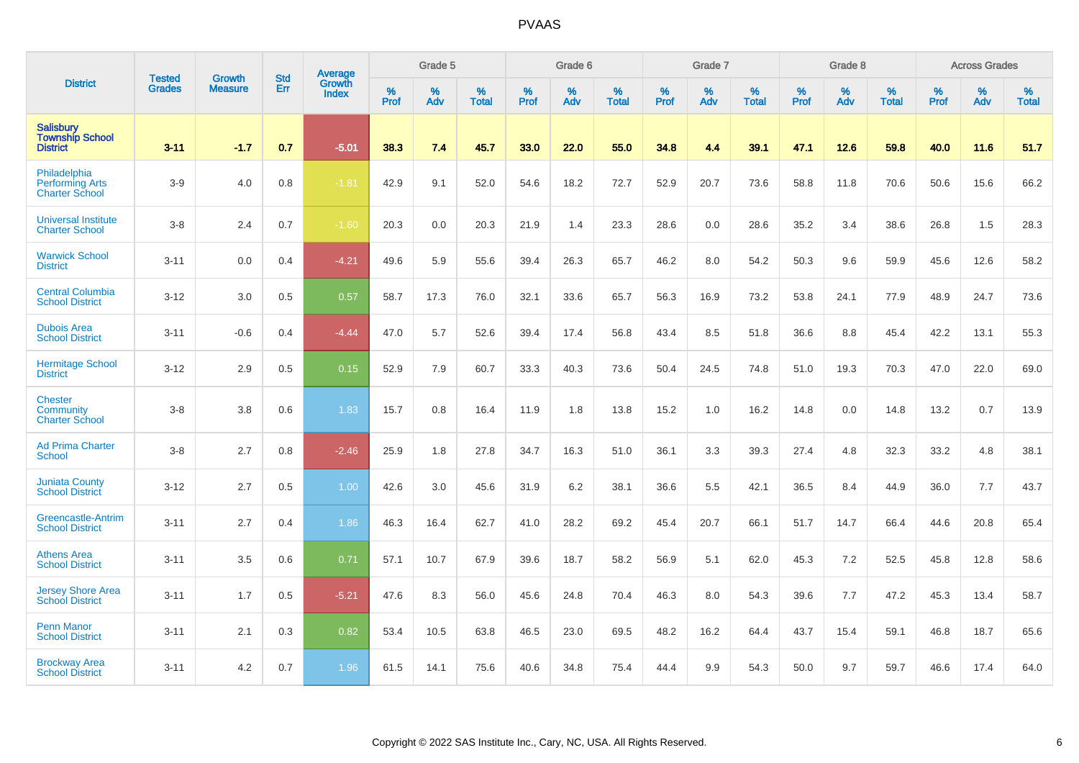| <b>District</b>                                                 | <b>Tested</b> | <b>Growth</b>  | <b>Std</b> | Average                |           | Grade 5  |                   |           | Grade 6  |                   |           | Grade 7  |                   |           | Grade 8  |                   |           | <b>Across Grades</b> |                   |
|-----------------------------------------------------------------|---------------|----------------|------------|------------------------|-----------|----------|-------------------|-----------|----------|-------------------|-----------|----------|-------------------|-----------|----------|-------------------|-----------|----------------------|-------------------|
|                                                                 | <b>Grades</b> | <b>Measure</b> | Err        | <b>Growth</b><br>Index | %<br>Prof | %<br>Adv | %<br><b>Total</b> | %<br>Prof | %<br>Adv | %<br><b>Total</b> | %<br>Prof | %<br>Adv | %<br><b>Total</b> | %<br>Prof | %<br>Adv | %<br><b>Total</b> | %<br>Prof | %<br>Adv             | %<br><b>Total</b> |
| <b>Salisbury</b><br><b>Township School</b><br><b>District</b>   | $3 - 11$      | $-1.7$         | 0.7        | $-5.01$                | 38.3      | 7.4      | 45.7              | 33.0      | 22.0     | 55.0              | 34.8      | 4.4      | 39.1              | 47.1      | 12.6     | 59.8              | 40.0      | 11.6                 | 51.7              |
| Philadelphia<br><b>Performing Arts</b><br><b>Charter School</b> | $3-9$         | 4.0            | 0.8        | $-1.81$                | 42.9      | 9.1      | 52.0              | 54.6      | 18.2     | 72.7              | 52.9      | 20.7     | 73.6              | 58.8      | 11.8     | 70.6              | 50.6      | 15.6                 | 66.2              |
| <b>Universal Institute</b><br><b>Charter School</b>             | $3-8$         | 2.4            | 0.7        | $-1.60$                | 20.3      | 0.0      | 20.3              | 21.9      | 1.4      | 23.3              | 28.6      | 0.0      | 28.6              | 35.2      | 3.4      | 38.6              | 26.8      | 1.5                  | 28.3              |
| <b>Warwick School</b><br><b>District</b>                        | $3 - 11$      | 0.0            | 0.4        | $-4.21$                | 49.6      | 5.9      | 55.6              | 39.4      | 26.3     | 65.7              | 46.2      | 8.0      | 54.2              | 50.3      | 9.6      | 59.9              | 45.6      | 12.6                 | 58.2              |
| <b>Central Columbia</b><br><b>School District</b>               | $3 - 12$      | 3.0            | 0.5        | 0.57                   | 58.7      | 17.3     | 76.0              | 32.1      | 33.6     | 65.7              | 56.3      | 16.9     | 73.2              | 53.8      | 24.1     | 77.9              | 48.9      | 24.7                 | 73.6              |
| <b>Dubois Area</b><br><b>School District</b>                    | $3 - 11$      | $-0.6$         | 0.4        | $-4.44$                | 47.0      | 5.7      | 52.6              | 39.4      | 17.4     | 56.8              | 43.4      | 8.5      | 51.8              | 36.6      | 8.8      | 45.4              | 42.2      | 13.1                 | 55.3              |
| <b>Hermitage School</b><br><b>District</b>                      | $3 - 12$      | 2.9            | 0.5        | 0.15                   | 52.9      | 7.9      | 60.7              | 33.3      | 40.3     | 73.6              | 50.4      | 24.5     | 74.8              | 51.0      | 19.3     | 70.3              | 47.0      | 22.0                 | 69.0              |
| <b>Chester</b><br>Community<br><b>Charter School</b>            | $3 - 8$       | 3.8            | 0.6        | 1.83                   | 15.7      | 0.8      | 16.4              | 11.9      | 1.8      | 13.8              | 15.2      | 1.0      | 16.2              | 14.8      | 0.0      | 14.8              | 13.2      | 0.7                  | 13.9              |
| <b>Ad Prima Charter</b><br>School                               | $3 - 8$       | 2.7            | 0.8        | $-2.46$                | 25.9      | 1.8      | 27.8              | 34.7      | 16.3     | 51.0              | 36.1      | 3.3      | 39.3              | 27.4      | 4.8      | 32.3              | 33.2      | 4.8                  | 38.1              |
| <b>Juniata County</b><br><b>School District</b>                 | $3 - 12$      | 2.7            | 0.5        | 1.00                   | 42.6      | 3.0      | 45.6              | 31.9      | 6.2      | 38.1              | 36.6      | 5.5      | 42.1              | 36.5      | 8.4      | 44.9              | 36.0      | 7.7                  | 43.7              |
| Greencastle-Antrim<br><b>School District</b>                    | $3 - 11$      | 2.7            | 0.4        | 1.86                   | 46.3      | 16.4     | 62.7              | 41.0      | 28.2     | 69.2              | 45.4      | 20.7     | 66.1              | 51.7      | 14.7     | 66.4              | 44.6      | 20.8                 | 65.4              |
| <b>Athens Area</b><br><b>School District</b>                    | $3 - 11$      | 3.5            | 0.6        | 0.71                   | 57.1      | 10.7     | 67.9              | 39.6      | 18.7     | 58.2              | 56.9      | 5.1      | 62.0              | 45.3      | 7.2      | 52.5              | 45.8      | 12.8                 | 58.6              |
| <b>Jersey Shore Area</b><br><b>School District</b>              | $3 - 11$      | 1.7            | 0.5        | $-5.21$                | 47.6      | 8.3      | 56.0              | 45.6      | 24.8     | 70.4              | 46.3      | 8.0      | 54.3              | 39.6      | 7.7      | 47.2              | 45.3      | 13.4                 | 58.7              |
| <b>Penn Manor</b><br><b>School District</b>                     | $3 - 11$      | 2.1            | 0.3        | 0.82                   | 53.4      | 10.5     | 63.8              | 46.5      | 23.0     | 69.5              | 48.2      | 16.2     | 64.4              | 43.7      | 15.4     | 59.1              | 46.8      | 18.7                 | 65.6              |
| <b>Brockway Area</b><br><b>School District</b>                  | $3 - 11$      | 4.2            | 0.7        | 1.96                   | 61.5      | 14.1     | 75.6              | 40.6      | 34.8     | 75.4              | 44.4      | 9.9      | 54.3              | 50.0      | 9.7      | 59.7              | 46.6      | 17.4                 | 64.0              |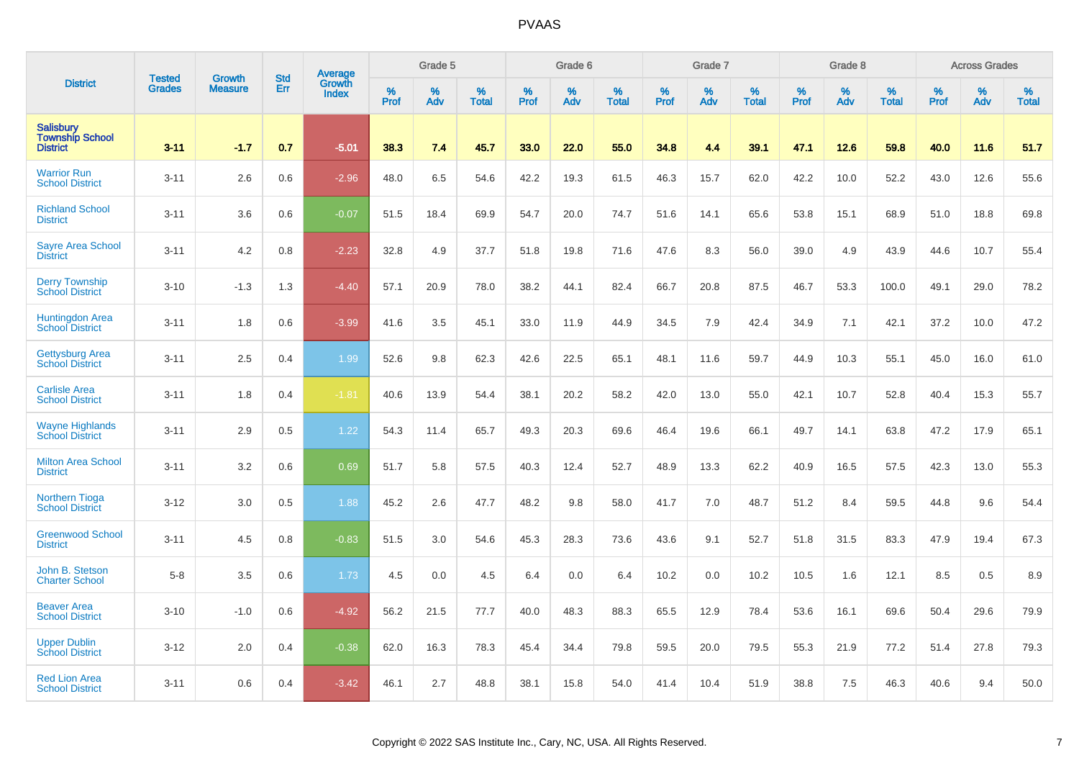|                                                               |                         | <b>Growth</b>  | <b>Std</b> | Average                |                     | Grade 5  |                      |              | Grade 6  |                      |                     | Grade 7     |                      |                     | Grade 8     |                      |              | <b>Across Grades</b> |                   |
|---------------------------------------------------------------|-------------------------|----------------|------------|------------------------|---------------------|----------|----------------------|--------------|----------|----------------------|---------------------|-------------|----------------------|---------------------|-------------|----------------------|--------------|----------------------|-------------------|
| <b>District</b>                                               | <b>Tested</b><br>Grades | <b>Measure</b> | Err        | Growth<br><b>Index</b> | $\%$<br><b>Prof</b> | %<br>Adv | $\%$<br><b>Total</b> | $\%$<br>Prof | %<br>Adv | $\%$<br><b>Total</b> | $\%$<br><b>Prof</b> | $\%$<br>Adv | $\%$<br><b>Total</b> | $\%$<br><b>Prof</b> | $\%$<br>Adv | $\%$<br><b>Total</b> | $\%$<br>Prof | %<br>Adv             | %<br><b>Total</b> |
| <b>Salisbury</b><br><b>Township School</b><br><b>District</b> | $3 - 11$                | $-1.7$         | 0.7        | $-5.01$                | 38.3                | 7.4      | 45.7                 | 33.0         | 22.0     | 55.0                 | 34.8                | 4.4         | 39.1                 | 47.1                | 12.6        | 59.8                 | 40.0         | 11.6                 | 51.7              |
| <b>Warrior Run</b><br><b>School District</b>                  | $3 - 11$                | 2.6            | 0.6        | $-2.96$                | 48.0                | 6.5      | 54.6                 | 42.2         | 19.3     | 61.5                 | 46.3                | 15.7        | 62.0                 | 42.2                | 10.0        | 52.2                 | 43.0         | 12.6                 | 55.6              |
| <b>Richland School</b><br><b>District</b>                     | $3 - 11$                | 3.6            | 0.6        | $-0.07$                | 51.5                | 18.4     | 69.9                 | 54.7         | 20.0     | 74.7                 | 51.6                | 14.1        | 65.6                 | 53.8                | 15.1        | 68.9                 | 51.0         | 18.8                 | 69.8              |
| <b>Sayre Area School</b><br><b>District</b>                   | $3 - 11$                | 4.2            | 0.8        | $-2.23$                | 32.8                | 4.9      | 37.7                 | 51.8         | 19.8     | 71.6                 | 47.6                | 8.3         | 56.0                 | 39.0                | 4.9         | 43.9                 | 44.6         | 10.7                 | 55.4              |
| <b>Derry Township</b><br><b>School District</b>               | $3 - 10$                | $-1.3$         | 1.3        | $-4.40$                | 57.1                | 20.9     | 78.0                 | 38.2         | 44.1     | 82.4                 | 66.7                | 20.8        | 87.5                 | 46.7                | 53.3        | 100.0                | 49.1         | 29.0                 | 78.2              |
| <b>Huntingdon Area</b><br><b>School District</b>              | $3 - 11$                | 1.8            | 0.6        | $-3.99$                | 41.6                | 3.5      | 45.1                 | 33.0         | 11.9     | 44.9                 | 34.5                | 7.9         | 42.4                 | 34.9                | 7.1         | 42.1                 | 37.2         | 10.0                 | 47.2              |
| <b>Gettysburg Area</b><br><b>School District</b>              | $3 - 11$                | 2.5            | 0.4        | 1.99                   | 52.6                | 9.8      | 62.3                 | 42.6         | 22.5     | 65.1                 | 48.1                | 11.6        | 59.7                 | 44.9                | 10.3        | 55.1                 | 45.0         | 16.0                 | 61.0              |
| <b>Carlisle Area</b><br><b>School District</b>                | $3 - 11$                | 1.8            | 0.4        | $-1.81$                | 40.6                | 13.9     | 54.4                 | 38.1         | 20.2     | 58.2                 | 42.0                | 13.0        | 55.0                 | 42.1                | 10.7        | 52.8                 | 40.4         | 15.3                 | 55.7              |
| <b>Wayne Highlands</b><br><b>School District</b>              | $3 - 11$                | 2.9            | 0.5        | 1.22                   | 54.3                | 11.4     | 65.7                 | 49.3         | 20.3     | 69.6                 | 46.4                | 19.6        | 66.1                 | 49.7                | 14.1        | 63.8                 | 47.2         | 17.9                 | 65.1              |
| <b>Milton Area School</b><br><b>District</b>                  | $3 - 11$                | 3.2            | 0.6        | 0.69                   | 51.7                | 5.8      | 57.5                 | 40.3         | 12.4     | 52.7                 | 48.9                | 13.3        | 62.2                 | 40.9                | 16.5        | 57.5                 | 42.3         | 13.0                 | 55.3              |
| <b>Northern Tioga</b><br><b>School District</b>               | $3 - 12$                | 3.0            | 0.5        | 1.88                   | 45.2                | 2.6      | 47.7                 | 48.2         | 9.8      | 58.0                 | 41.7                | 7.0         | 48.7                 | 51.2                | 8.4         | 59.5                 | 44.8         | 9.6                  | 54.4              |
| <b>Greenwood School</b><br><b>District</b>                    | $3 - 11$                | 4.5            | 0.8        | $-0.83$                | 51.5                | 3.0      | 54.6                 | 45.3         | 28.3     | 73.6                 | 43.6                | 9.1         | 52.7                 | 51.8                | 31.5        | 83.3                 | 47.9         | 19.4                 | 67.3              |
| John B. Stetson<br><b>Charter School</b>                      | $5-8$                   | 3.5            | 0.6        | 1.73                   | 4.5                 | 0.0      | 4.5                  | 6.4          | 0.0      | 6.4                  | 10.2                | 0.0         | 10.2                 | 10.5                | 1.6         | 12.1                 | 8.5          | 0.5                  | 8.9               |
| <b>Beaver Area</b><br><b>School District</b>                  | $3 - 10$                | $-1.0$         | 0.6        | $-4.92$                | 56.2                | 21.5     | 77.7                 | 40.0         | 48.3     | 88.3                 | 65.5                | 12.9        | 78.4                 | 53.6                | 16.1        | 69.6                 | 50.4         | 29.6                 | 79.9              |
| <b>Upper Dublin</b><br><b>School District</b>                 | $3 - 12$                | 2.0            | 0.4        | $-0.38$                | 62.0                | 16.3     | 78.3                 | 45.4         | 34.4     | 79.8                 | 59.5                | 20.0        | 79.5                 | 55.3                | 21.9        | 77.2                 | 51.4         | 27.8                 | 79.3              |
| <b>Red Lion Area</b><br><b>School District</b>                | $3 - 11$                | 0.6            | 0.4        | $-3.42$                | 46.1                | 2.7      | 48.8                 | 38.1         | 15.8     | 54.0                 | 41.4                | 10.4        | 51.9                 | 38.8                | 7.5         | 46.3                 | 40.6         | 9.4                  | 50.0              |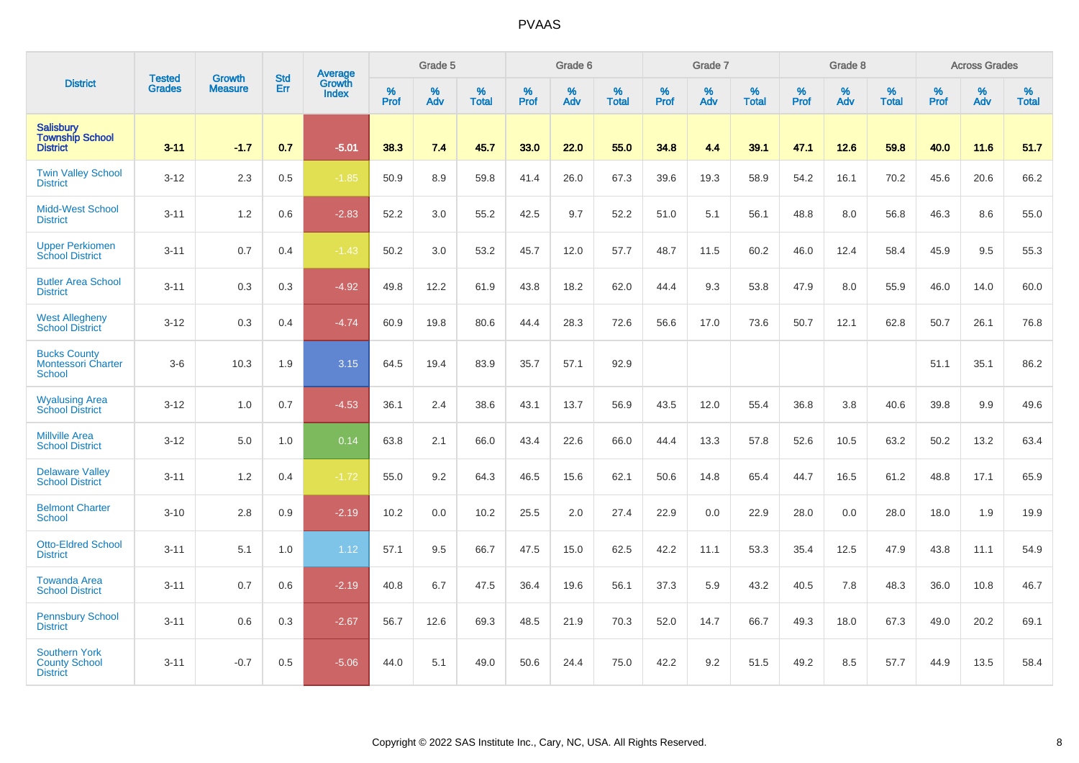|                                                                 |                                |                                 | <b>Std</b> | Average                |           | Grade 5  |                   |           | Grade 6  |                   |           | Grade 7  |                   |           | Grade 8  |                   |           | <b>Across Grades</b> |                   |
|-----------------------------------------------------------------|--------------------------------|---------------------------------|------------|------------------------|-----------|----------|-------------------|-----------|----------|-------------------|-----------|----------|-------------------|-----------|----------|-------------------|-----------|----------------------|-------------------|
| <b>District</b>                                                 | <b>Tested</b><br><b>Grades</b> | <b>Growth</b><br><b>Measure</b> | Err        | Growth<br><b>Index</b> | %<br>Prof | %<br>Adv | %<br><b>Total</b> | %<br>Prof | %<br>Adv | %<br><b>Total</b> | %<br>Prof | %<br>Adv | %<br><b>Total</b> | %<br>Prof | %<br>Adv | %<br><b>Total</b> | %<br>Prof | %<br>Adv             | %<br><b>Total</b> |
| <b>Salisbury</b><br><b>Township School</b><br><b>District</b>   | $3 - 11$                       | $-1.7$                          | 0.7        | $-5.01$                | 38.3      | 7.4      | 45.7              | 33.0      | 22.0     | 55.0              | 34.8      | 4.4      | 39.1              | 47.1      | 12.6     | 59.8              | 40.0      | 11.6                 | 51.7              |
| <b>Twin Valley School</b><br><b>District</b>                    | $3 - 12$                       | 2.3                             | 0.5        | $-1.85$                | 50.9      | 8.9      | 59.8              | 41.4      | 26.0     | 67.3              | 39.6      | 19.3     | 58.9              | 54.2      | 16.1     | 70.2              | 45.6      | 20.6                 | 66.2              |
| <b>Midd-West School</b><br><b>District</b>                      | $3 - 11$                       | 1.2                             | 0.6        | $-2.83$                | 52.2      | 3.0      | 55.2              | 42.5      | 9.7      | 52.2              | 51.0      | 5.1      | 56.1              | 48.8      | 8.0      | 56.8              | 46.3      | 8.6                  | 55.0              |
| <b>Upper Perkiomen</b><br><b>School District</b>                | $3 - 11$                       | 0.7                             | 0.4        | $-1.43$                | 50.2      | 3.0      | 53.2              | 45.7      | 12.0     | 57.7              | 48.7      | 11.5     | 60.2              | 46.0      | 12.4     | 58.4              | 45.9      | 9.5                  | 55.3              |
| <b>Butler Area School</b><br><b>District</b>                    | $3 - 11$                       | 0.3                             | 0.3        | $-4.92$                | 49.8      | 12.2     | 61.9              | 43.8      | 18.2     | 62.0              | 44.4      | 9.3      | 53.8              | 47.9      | 8.0      | 55.9              | 46.0      | 14.0                 | 60.0              |
| <b>West Allegheny</b><br><b>School District</b>                 | $3 - 12$                       | 0.3                             | 0.4        | $-4.74$                | 60.9      | 19.8     | 80.6              | 44.4      | 28.3     | 72.6              | 56.6      | 17.0     | 73.6              | 50.7      | 12.1     | 62.8              | 50.7      | 26.1                 | 76.8              |
| <b>Bucks County</b><br><b>Montessori Charter</b><br>School      | $3-6$                          | 10.3                            | 1.9        | 3.15                   | 64.5      | 19.4     | 83.9              | 35.7      | 57.1     | 92.9              |           |          |                   |           |          |                   | 51.1      | 35.1                 | 86.2              |
| <b>Wyalusing Area</b><br><b>School District</b>                 | $3 - 12$                       | 1.0                             | 0.7        | $-4.53$                | 36.1      | 2.4      | 38.6              | 43.1      | 13.7     | 56.9              | 43.5      | 12.0     | 55.4              | 36.8      | 3.8      | 40.6              | 39.8      | 9.9                  | 49.6              |
| <b>Millville Area</b><br><b>School District</b>                 | $3 - 12$                       | 5.0                             | 1.0        | 0.14                   | 63.8      | 2.1      | 66.0              | 43.4      | 22.6     | 66.0              | 44.4      | 13.3     | 57.8              | 52.6      | 10.5     | 63.2              | 50.2      | 13.2                 | 63.4              |
| <b>Delaware Valley</b><br><b>School District</b>                | $3 - 11$                       | 1.2                             | 0.4        | $-1.72$                | 55.0      | 9.2      | 64.3              | 46.5      | 15.6     | 62.1              | 50.6      | 14.8     | 65.4              | 44.7      | 16.5     | 61.2              | 48.8      | 17.1                 | 65.9              |
| <b>Belmont Charter</b><br>School                                | $3 - 10$                       | 2.8                             | 0.9        | $-2.19$                | 10.2      | 0.0      | 10.2              | 25.5      | 2.0      | 27.4              | 22.9      | 0.0      | 22.9              | 28.0      | 0.0      | 28.0              | 18.0      | 1.9                  | 19.9              |
| <b>Otto-Eldred School</b><br><b>District</b>                    | $3 - 11$                       | 5.1                             | 1.0        | 1.12                   | 57.1      | 9.5      | 66.7              | 47.5      | 15.0     | 62.5              | 42.2      | 11.1     | 53.3              | 35.4      | 12.5     | 47.9              | 43.8      | 11.1                 | 54.9              |
| <b>Towanda Area</b><br><b>School District</b>                   | $3 - 11$                       | 0.7                             | 0.6        | $-2.19$                | 40.8      | 6.7      | 47.5              | 36.4      | 19.6     | 56.1              | 37.3      | 5.9      | 43.2              | 40.5      | 7.8      | 48.3              | 36.0      | 10.8                 | 46.7              |
| <b>Pennsbury School</b><br><b>District</b>                      | $3 - 11$                       | 0.6                             | 0.3        | $-2.67$                | 56.7      | 12.6     | 69.3              | 48.5      | 21.9     | 70.3              | 52.0      | 14.7     | 66.7              | 49.3      | 18.0     | 67.3              | 49.0      | 20.2                 | 69.1              |
| <b>Southern York</b><br><b>County School</b><br><b>District</b> | $3 - 11$                       | $-0.7$                          | 0.5        | $-5.06$                | 44.0      | 5.1      | 49.0              | 50.6      | 24.4     | 75.0              | 42.2      | 9.2      | 51.5              | 49.2      | 8.5      | 57.7              | 44.9      | 13.5                 | 58.4              |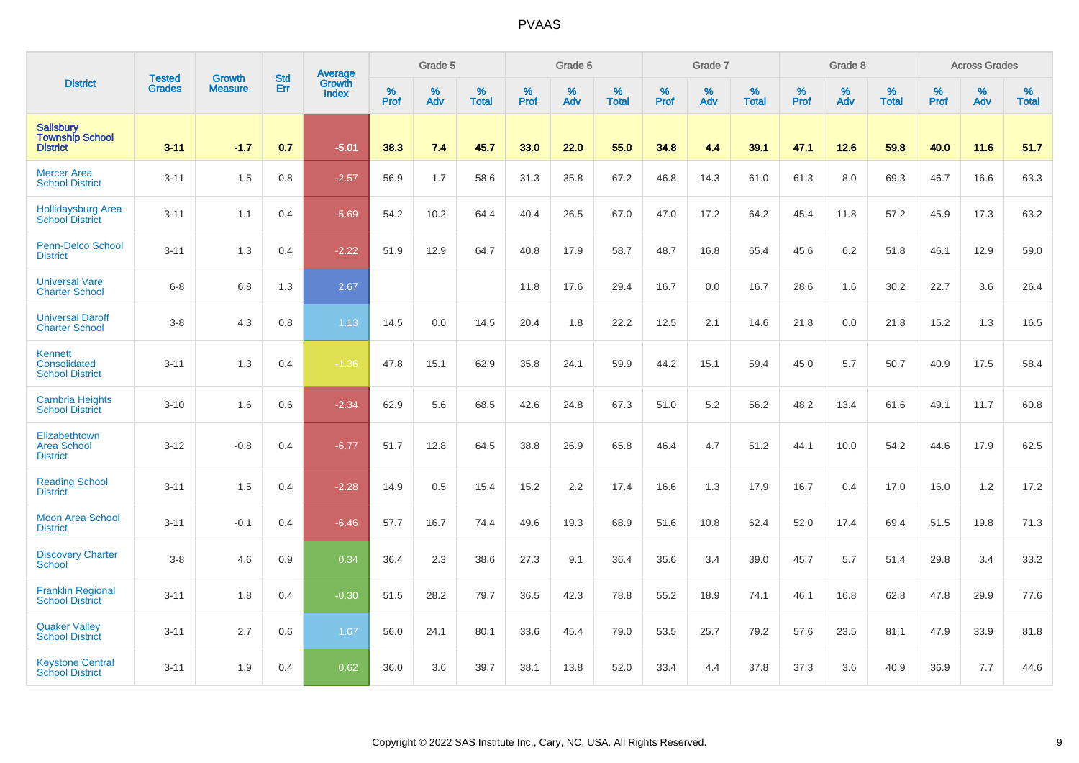|                                                               | <b>Tested</b> | <b>Growth</b>  | <b>Std</b> | Average                       |              | Grade 5  |                   |           | Grade 6  |                   |           | Grade 7  |                   |           | Grade 8  |                   |           | <b>Across Grades</b> |                   |
|---------------------------------------------------------------|---------------|----------------|------------|-------------------------------|--------------|----------|-------------------|-----------|----------|-------------------|-----------|----------|-------------------|-----------|----------|-------------------|-----------|----------------------|-------------------|
| <b>District</b>                                               | <b>Grades</b> | <b>Measure</b> | Err        | <b>Growth</b><br><b>Index</b> | $\%$<br>Prof | %<br>Adv | %<br><b>Total</b> | %<br>Prof | %<br>Adv | %<br><b>Total</b> | %<br>Prof | %<br>Adv | %<br><b>Total</b> | %<br>Prof | %<br>Adv | %<br><b>Total</b> | %<br>Prof | %<br>Adv             | %<br><b>Total</b> |
| <b>Salisbury</b><br><b>Township School</b><br><b>District</b> | $3 - 11$      | $-1.7$         | 0.7        | $-5.01$                       | 38.3         | 7.4      | 45.7              | 33.0      | 22.0     | 55.0              | 34.8      | 4.4      | 39.1              | 47.1      | $12.6$   | 59.8              | 40.0      | 11.6                 | 51.7              |
| <b>Mercer Area</b><br><b>School District</b>                  | $3 - 11$      | 1.5            | 0.8        | $-2.57$                       | 56.9         | 1.7      | 58.6              | 31.3      | 35.8     | 67.2              | 46.8      | 14.3     | 61.0              | 61.3      | 8.0      | 69.3              | 46.7      | 16.6                 | 63.3              |
| <b>Hollidaysburg Area</b><br>School District                  | $3 - 11$      | 1.1            | 0.4        | $-5.69$                       | 54.2         | 10.2     | 64.4              | 40.4      | 26.5     | 67.0              | 47.0      | 17.2     | 64.2              | 45.4      | 11.8     | 57.2              | 45.9      | 17.3                 | 63.2              |
| Penn-Delco School<br><b>District</b>                          | $3 - 11$      | 1.3            | 0.4        | $-2.22$                       | 51.9         | 12.9     | 64.7              | 40.8      | 17.9     | 58.7              | 48.7      | 16.8     | 65.4              | 45.6      | 6.2      | 51.8              | 46.1      | 12.9                 | 59.0              |
| <b>Universal Vare</b><br><b>Charter School</b>                | $6 - 8$       | 6.8            | 1.3        | 2.67                          |              |          |                   | 11.8      | 17.6     | 29.4              | 16.7      | 0.0      | 16.7              | 28.6      | 1.6      | 30.2              | 22.7      | 3.6                  | 26.4              |
| <b>Universal Daroff</b><br><b>Charter School</b>              | $3 - 8$       | 4.3            | 0.8        | 1.13                          | 14.5         | 0.0      | 14.5              | 20.4      | 1.8      | 22.2              | 12.5      | 2.1      | 14.6              | 21.8      | 0.0      | 21.8              | 15.2      | 1.3                  | 16.5              |
| Kennett<br>Consolidated<br><b>School District</b>             | $3 - 11$      | 1.3            | 0.4        | $-1.36$                       | 47.8         | 15.1     | 62.9              | 35.8      | 24.1     | 59.9              | 44.2      | 15.1     | 59.4              | 45.0      | 5.7      | 50.7              | 40.9      | 17.5                 | 58.4              |
| <b>Cambria Heights</b><br><b>School District</b>              | $3 - 10$      | 1.6            | 0.6        | $-2.34$                       | 62.9         | 5.6      | 68.5              | 42.6      | 24.8     | 67.3              | 51.0      | 5.2      | 56.2              | 48.2      | 13.4     | 61.6              | 49.1      | 11.7                 | 60.8              |
| Elizabethtown<br><b>Area School</b><br><b>District</b>        | $3 - 12$      | $-0.8$         | 0.4        | $-6.77$                       | 51.7         | 12.8     | 64.5              | 38.8      | 26.9     | 65.8              | 46.4      | 4.7      | 51.2              | 44.1      | 10.0     | 54.2              | 44.6      | 17.9                 | 62.5              |
| <b>Reading School</b><br><b>District</b>                      | $3 - 11$      | 1.5            | 0.4        | $-2.28$                       | 14.9         | 0.5      | 15.4              | 15.2      | 2.2      | 17.4              | 16.6      | 1.3      | 17.9              | 16.7      | 0.4      | 17.0              | 16.0      | 1.2                  | 17.2              |
| <b>Moon Area School</b><br><b>District</b>                    | $3 - 11$      | $-0.1$         | 0.4        | $-6.46$                       | 57.7         | 16.7     | 74.4              | 49.6      | 19.3     | 68.9              | 51.6      | 10.8     | 62.4              | 52.0      | 17.4     | 69.4              | 51.5      | 19.8                 | 71.3              |
| <b>Discovery Charter</b><br><b>School</b>                     | $3-8$         | 4.6            | 0.9        | 0.34                          | 36.4         | 2.3      | 38.6              | 27.3      | 9.1      | 36.4              | 35.6      | 3.4      | 39.0              | 45.7      | 5.7      | 51.4              | 29.8      | 3.4                  | 33.2              |
| <b>Franklin Regional</b><br><b>School District</b>            | $3 - 11$      | 1.8            | 0.4        | $-0.30$                       | 51.5         | 28.2     | 79.7              | 36.5      | 42.3     | 78.8              | 55.2      | 18.9     | 74.1              | 46.1      | 16.8     | 62.8              | 47.8      | 29.9                 | 77.6              |
| <b>Quaker Valley</b><br><b>School District</b>                | $3 - 11$      | 2.7            | 0.6        | 1.67                          | 56.0         | 24.1     | 80.1              | 33.6      | 45.4     | 79.0              | 53.5      | 25.7     | 79.2              | 57.6      | 23.5     | 81.1              | 47.9      | 33.9                 | 81.8              |
| <b>Keystone Central</b><br><b>School District</b>             | $3 - 11$      | 1.9            | 0.4        | 0.62                          | 36.0         | 3.6      | 39.7              | 38.1      | 13.8     | 52.0              | 33.4      | 4.4      | 37.8              | 37.3      | 3.6      | 40.9              | 36.9      | 7.7                  | 44.6              |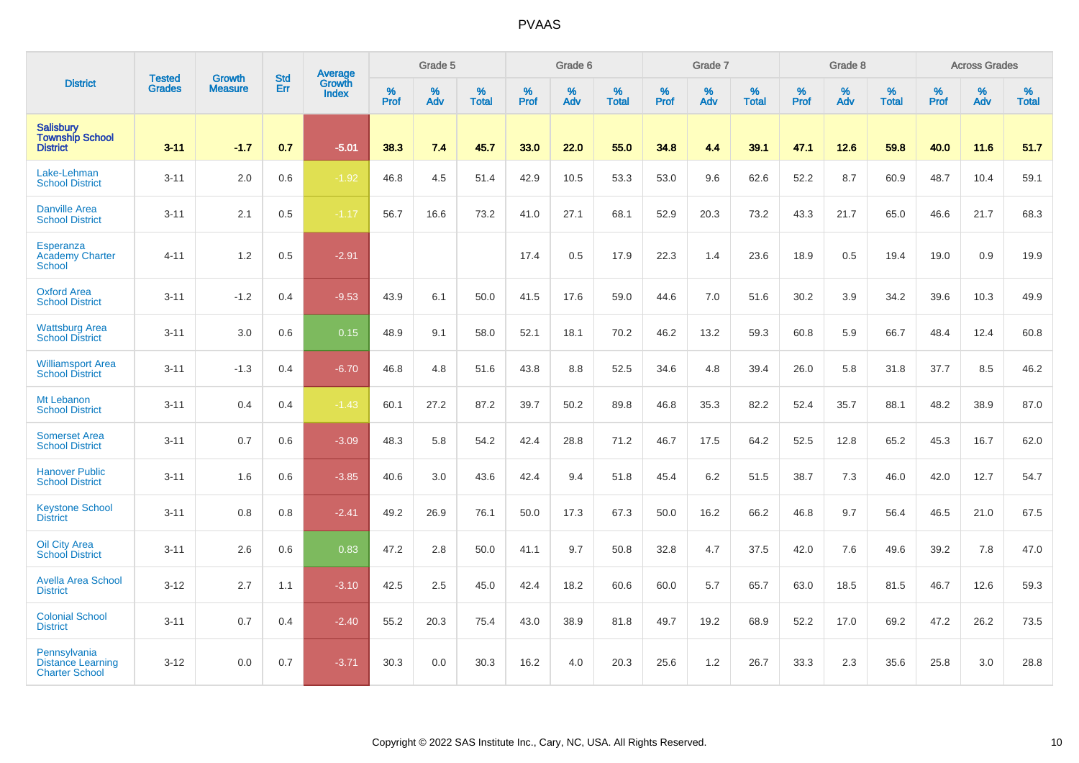|                                                                   |                                | <b>Growth</b>  | <b>Std</b> | <b>Average</b>                |           | Grade 5  |                   |           | Grade 6  |                   |           | Grade 7  |                   |           | Grade 8  |                   |           | <b>Across Grades</b> |                   |
|-------------------------------------------------------------------|--------------------------------|----------------|------------|-------------------------------|-----------|----------|-------------------|-----------|----------|-------------------|-----------|----------|-------------------|-----------|----------|-------------------|-----------|----------------------|-------------------|
| <b>District</b>                                                   | <b>Tested</b><br><b>Grades</b> | <b>Measure</b> | Err        | <b>Growth</b><br><b>Index</b> | %<br>Prof | %<br>Adv | %<br><b>Total</b> | %<br>Prof | %<br>Adv | %<br><b>Total</b> | %<br>Prof | %<br>Adv | %<br><b>Total</b> | %<br>Prof | %<br>Adv | %<br><b>Total</b> | %<br>Prof | %<br>Adv             | %<br><b>Total</b> |
| <b>Salisbury</b><br><b>Township School</b><br><b>District</b>     | $3 - 11$                       | $-1.7$         | 0.7        | $-5.01$                       | 38.3      | 7.4      | 45.7              | 33.0      | 22.0     | 55.0              | 34.8      | 4.4      | 39.1              | 47.1      | 12.6     | 59.8              | 40.0      | 11.6                 | 51.7              |
| Lake-Lehman<br><b>School District</b>                             | $3 - 11$                       | 2.0            | 0.6        | $-1.92$                       | 46.8      | 4.5      | 51.4              | 42.9      | 10.5     | 53.3              | 53.0      | 9.6      | 62.6              | 52.2      | 8.7      | 60.9              | 48.7      | 10.4                 | 59.1              |
| <b>Danville Area</b><br><b>School District</b>                    | $3 - 11$                       | 2.1            | 0.5        | $-1.17$                       | 56.7      | 16.6     | 73.2              | 41.0      | 27.1     | 68.1              | 52.9      | 20.3     | 73.2              | 43.3      | 21.7     | 65.0              | 46.6      | 21.7                 | 68.3              |
| Esperanza<br><b>Academy Charter</b><br><b>School</b>              | $4 - 11$                       | 1.2            | 0.5        | $-2.91$                       |           |          |                   | 17.4      | 0.5      | 17.9              | 22.3      | 1.4      | 23.6              | 18.9      | $0.5\,$  | 19.4              | 19.0      | 0.9                  | 19.9              |
| <b>Oxford Area</b><br><b>School District</b>                      | $3 - 11$                       | $-1.2$         | 0.4        | $-9.53$                       | 43.9      | 6.1      | 50.0              | 41.5      | 17.6     | 59.0              | 44.6      | 7.0      | 51.6              | 30.2      | 3.9      | 34.2              | 39.6      | 10.3                 | 49.9              |
| <b>Wattsburg Area</b><br><b>School District</b>                   | $3 - 11$                       | 3.0            | 0.6        | 0.15                          | 48.9      | 9.1      | 58.0              | 52.1      | 18.1     | 70.2              | 46.2      | 13.2     | 59.3              | 60.8      | 5.9      | 66.7              | 48.4      | 12.4                 | 60.8              |
| <b>Williamsport Area</b><br><b>School District</b>                | $3 - 11$                       | $-1.3$         | 0.4        | $-6.70$                       | 46.8      | 4.8      | 51.6              | 43.8      | 8.8      | 52.5              | 34.6      | 4.8      | 39.4              | 26.0      | 5.8      | 31.8              | 37.7      | 8.5                  | 46.2              |
| Mt Lebanon<br><b>School District</b>                              | $3 - 11$                       | 0.4            | 0.4        | $-1.43$                       | 60.1      | 27.2     | 87.2              | 39.7      | 50.2     | 89.8              | 46.8      | 35.3     | 82.2              | 52.4      | 35.7     | 88.1              | 48.2      | 38.9                 | 87.0              |
| <b>Somerset Area</b><br><b>School District</b>                    | $3 - 11$                       | 0.7            | 0.6        | $-3.09$                       | 48.3      | 5.8      | 54.2              | 42.4      | 28.8     | 71.2              | 46.7      | 17.5     | 64.2              | 52.5      | 12.8     | 65.2              | 45.3      | 16.7                 | 62.0              |
| <b>Hanover Public</b><br><b>School District</b>                   | $3 - 11$                       | 1.6            | 0.6        | $-3.85$                       | 40.6      | 3.0      | 43.6              | 42.4      | 9.4      | 51.8              | 45.4      | 6.2      | 51.5              | 38.7      | 7.3      | 46.0              | 42.0      | 12.7                 | 54.7              |
| <b>Keystone School</b><br><b>District</b>                         | $3 - 11$                       | 0.8            | 0.8        | $-2.41$                       | 49.2      | 26.9     | 76.1              | 50.0      | 17.3     | 67.3              | 50.0      | 16.2     | 66.2              | 46.8      | 9.7      | 56.4              | 46.5      | 21.0                 | 67.5              |
| <b>Oil City Area</b><br><b>School District</b>                    | $3 - 11$                       | 2.6            | 0.6        | 0.83                          | 47.2      | 2.8      | 50.0              | 41.1      | 9.7      | 50.8              | 32.8      | 4.7      | 37.5              | 42.0      | 7.6      | 49.6              | 39.2      | 7.8                  | 47.0              |
| <b>Avella Area School</b><br><b>District</b>                      | $3 - 12$                       | 2.7            | 1.1        | $-3.10$                       | 42.5      | 2.5      | 45.0              | 42.4      | 18.2     | 60.6              | 60.0      | 5.7      | 65.7              | 63.0      | 18.5     | 81.5              | 46.7      | 12.6                 | 59.3              |
| <b>Colonial School</b><br><b>District</b>                         | $3 - 11$                       | 0.7            | 0.4        | $-2.40$                       | 55.2      | 20.3     | 75.4              | 43.0      | 38.9     | 81.8              | 49.7      | 19.2     | 68.9              | 52.2      | 17.0     | 69.2              | 47.2      | 26.2                 | 73.5              |
| Pennsylvania<br><b>Distance Learning</b><br><b>Charter School</b> | $3 - 12$                       | 0.0            | 0.7        | $-3.71$                       | 30.3      | 0.0      | 30.3              | 16.2      | 4.0      | 20.3              | 25.6      | 1.2      | 26.7              | 33.3      | 2.3      | 35.6              | 25.8      | 3.0                  | 28.8              |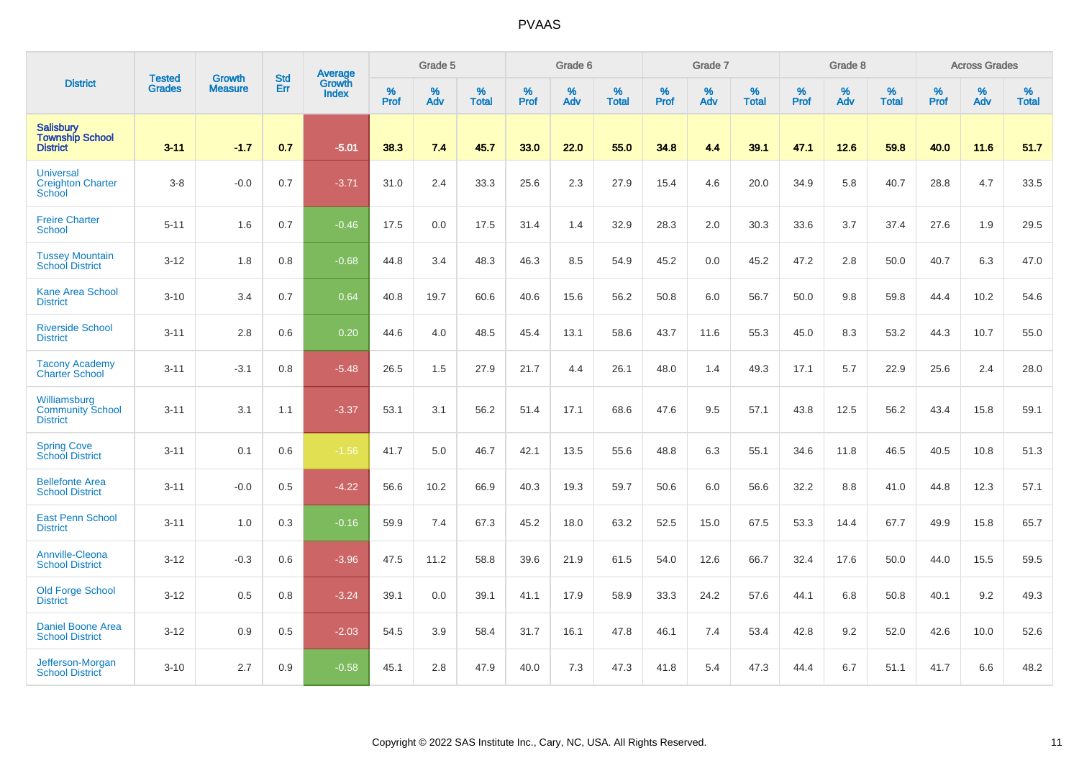|                                                               |                                |                                 | <b>Std</b> | Average                |              | Grade 5  |                   |           | Grade 6  |                   |           | Grade 7  |                   |           | Grade 8  |                   |           | <b>Across Grades</b> |                   |
|---------------------------------------------------------------|--------------------------------|---------------------------------|------------|------------------------|--------------|----------|-------------------|-----------|----------|-------------------|-----------|----------|-------------------|-----------|----------|-------------------|-----------|----------------------|-------------------|
| <b>District</b>                                               | <b>Tested</b><br><b>Grades</b> | <b>Growth</b><br><b>Measure</b> | Err        | <b>Growth</b><br>Index | $\%$<br>Prof | %<br>Adv | %<br><b>Total</b> | %<br>Prof | %<br>Adv | %<br><b>Total</b> | %<br>Prof | %<br>Adv | %<br><b>Total</b> | %<br>Prof | %<br>Adv | %<br><b>Total</b> | %<br>Prof | %<br>Adv             | %<br><b>Total</b> |
| <b>Salisbury</b><br><b>Township School</b><br><b>District</b> | $3 - 11$                       | $-1.7$                          | 0.7        | $-5.01$                | 38.3         | 7.4      | 45.7              | 33.0      | 22.0     | 55.0              | 34.8      | 4.4      | 39.1              | 47.1      | 12.6     | 59.8              | 40.0      | 11.6                 | 51.7              |
| <b>Universal</b><br><b>Creighton Charter</b><br><b>School</b> | $3-8$                          | $-0.0$                          | 0.7        | $-3.71$                | 31.0         | 2.4      | 33.3              | 25.6      | 2.3      | 27.9              | 15.4      | 4.6      | 20.0              | 34.9      | 5.8      | 40.7              | 28.8      | 4.7                  | 33.5              |
| <b>Freire Charter</b><br>School                               | $5 - 11$                       | 1.6                             | 0.7        | $-0.46$                | 17.5         | 0.0      | 17.5              | 31.4      | 1.4      | 32.9              | 28.3      | 2.0      | 30.3              | 33.6      | 3.7      | 37.4              | 27.6      | 1.9                  | 29.5              |
| <b>Tussey Mountain</b><br><b>School District</b>              | $3 - 12$                       | 1.8                             | 0.8        | $-0.68$                | 44.8         | 3.4      | 48.3              | 46.3      | 8.5      | 54.9              | 45.2      | 0.0      | 45.2              | 47.2      | 2.8      | 50.0              | 40.7      | 6.3                  | 47.0              |
| <b>Kane Area School</b><br><b>District</b>                    | $3 - 10$                       | 3.4                             | 0.7        | 0.64                   | 40.8         | 19.7     | 60.6              | 40.6      | 15.6     | 56.2              | 50.8      | 6.0      | 56.7              | 50.0      | 9.8      | 59.8              | 44.4      | 10.2                 | 54.6              |
| <b>Riverside School</b><br><b>District</b>                    | $3 - 11$                       | 2.8                             | 0.6        | 0.20                   | 44.6         | 4.0      | 48.5              | 45.4      | 13.1     | 58.6              | 43.7      | 11.6     | 55.3              | 45.0      | 8.3      | 53.2              | 44.3      | 10.7                 | 55.0              |
| <b>Tacony Academy</b><br><b>Charter School</b>                | $3 - 11$                       | $-3.1$                          | 0.8        | $-5.48$                | 26.5         | 1.5      | 27.9              | 21.7      | 4.4      | 26.1              | 48.0      | 1.4      | 49.3              | 17.1      | 5.7      | 22.9              | 25.6      | 2.4                  | 28.0              |
| Williamsburg<br><b>Community School</b><br><b>District</b>    | $3 - 11$                       | 3.1                             | 1.1        | $-3.37$                | 53.1         | 3.1      | 56.2              | 51.4      | 17.1     | 68.6              | 47.6      | 9.5      | 57.1              | 43.8      | 12.5     | 56.2              | 43.4      | 15.8                 | 59.1              |
| <b>Spring Cove</b><br>School District                         | $3 - 11$                       | 0.1                             | 0.6        | $-1.56$                | 41.7         | 5.0      | 46.7              | 42.1      | 13.5     | 55.6              | 48.8      | 6.3      | 55.1              | 34.6      | 11.8     | 46.5              | 40.5      | 10.8                 | 51.3              |
| <b>Bellefonte Area</b><br><b>School District</b>              | $3 - 11$                       | $-0.0$                          | 0.5        | $-4.22$                | 56.6         | 10.2     | 66.9              | 40.3      | 19.3     | 59.7              | 50.6      | 6.0      | 56.6              | 32.2      | 8.8      | 41.0              | 44.8      | 12.3                 | 57.1              |
| <b>East Penn School</b><br><b>District</b>                    | $3 - 11$                       | 1.0                             | 0.3        | $-0.16$                | 59.9         | 7.4      | 67.3              | 45.2      | 18.0     | 63.2              | 52.5      | 15.0     | 67.5              | 53.3      | 14.4     | 67.7              | 49.9      | 15.8                 | 65.7              |
| Annville-Cleona<br><b>School District</b>                     | $3 - 12$                       | $-0.3$                          | 0.6        | $-3.96$                | 47.5         | 11.2     | 58.8              | 39.6      | 21.9     | 61.5              | 54.0      | 12.6     | 66.7              | 32.4      | 17.6     | 50.0              | 44.0      | 15.5                 | 59.5              |
| Old Forge School<br><b>District</b>                           | $3 - 12$                       | 0.5                             | 0.8        | $-3.24$                | 39.1         | 0.0      | 39.1              | 41.1      | 17.9     | 58.9              | 33.3      | 24.2     | 57.6              | 44.1      | 6.8      | 50.8              | 40.1      | 9.2                  | 49.3              |
| <b>Daniel Boone Area</b><br><b>School District</b>            | $3 - 12$                       | 0.9                             | 0.5        | $-2.03$                | 54.5         | 3.9      | 58.4              | 31.7      | 16.1     | 47.8              | 46.1      | 7.4      | 53.4              | 42.8      | 9.2      | 52.0              | 42.6      | 10.0                 | 52.6              |
| Jefferson-Morgan<br><b>School District</b>                    | $3 - 10$                       | 2.7                             | 0.9        | $-0.58$                | 45.1         | 2.8      | 47.9              | 40.0      | 7.3      | 47.3              | 41.8      | 5.4      | 47.3              | 44.4      | 6.7      | 51.1              | 41.7      | 6.6                  | 48.2              |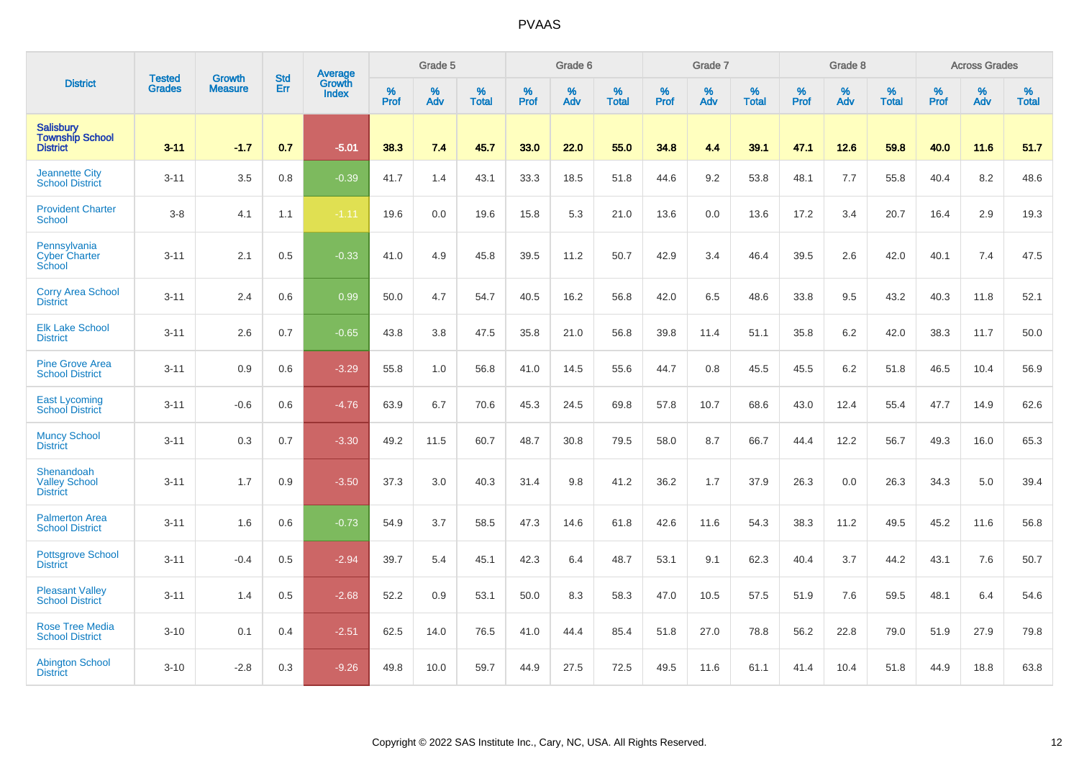|                                                               | <b>Tested</b> | <b>Growth</b>  | <b>Std</b> | Average                       |              | Grade 5  |                   |           | Grade 6  |                   |           | Grade 7  |                   |           | Grade 8  |                   |           | <b>Across Grades</b> |                   |
|---------------------------------------------------------------|---------------|----------------|------------|-------------------------------|--------------|----------|-------------------|-----------|----------|-------------------|-----------|----------|-------------------|-----------|----------|-------------------|-----------|----------------------|-------------------|
| <b>District</b>                                               | <b>Grades</b> | <b>Measure</b> | Err        | <b>Growth</b><br><b>Index</b> | $\%$<br>Prof | %<br>Adv | %<br><b>Total</b> | %<br>Prof | %<br>Adv | %<br><b>Total</b> | %<br>Prof | %<br>Adv | %<br><b>Total</b> | %<br>Prof | %<br>Adv | %<br><b>Total</b> | %<br>Prof | %<br>Adv             | %<br><b>Total</b> |
| <b>Salisbury</b><br><b>Township School</b><br><b>District</b> | $3 - 11$      | $-1.7$         | 0.7        | $-5.01$                       | 38.3         | 7.4      | 45.7              | 33.0      | 22.0     | 55.0              | 34.8      | 4.4      | 39.1              | 47.1      | 12.6     | 59.8              | 40.0      | 11.6                 | 51.7              |
| <b>Jeannette City</b><br><b>School District</b>               | $3 - 11$      | 3.5            | 0.8        | $-0.39$                       | 41.7         | 1.4      | 43.1              | 33.3      | 18.5     | 51.8              | 44.6      | 9.2      | 53.8              | 48.1      | 7.7      | 55.8              | 40.4      | 8.2                  | 48.6              |
| <b>Provident Charter</b><br><b>School</b>                     | $3-8$         | 4.1            | 1.1        | $-1.11$                       | 19.6         | 0.0      | 19.6              | 15.8      | 5.3      | 21.0              | 13.6      | 0.0      | 13.6              | 17.2      | 3.4      | 20.7              | 16.4      | 2.9                  | 19.3              |
| Pennsylvania<br><b>Cyber Charter</b><br>School                | $3 - 11$      | 2.1            | 0.5        | $-0.33$                       | 41.0         | 4.9      | 45.8              | 39.5      | 11.2     | 50.7              | 42.9      | 3.4      | 46.4              | 39.5      | 2.6      | 42.0              | 40.1      | 7.4                  | 47.5              |
| <b>Corry Area School</b><br><b>District</b>                   | $3 - 11$      | 2.4            | 0.6        | 0.99                          | 50.0         | 4.7      | 54.7              | 40.5      | 16.2     | 56.8              | 42.0      | 6.5      | 48.6              | 33.8      | 9.5      | 43.2              | 40.3      | 11.8                 | 52.1              |
| <b>Elk Lake School</b><br><b>District</b>                     | $3 - 11$      | 2.6            | 0.7        | $-0.65$                       | 43.8         | 3.8      | 47.5              | 35.8      | 21.0     | 56.8              | 39.8      | 11.4     | 51.1              | 35.8      | 6.2      | 42.0              | 38.3      | 11.7                 | 50.0              |
| <b>Pine Grove Area</b><br><b>School District</b>              | $3 - 11$      | 0.9            | 0.6        | $-3.29$                       | 55.8         | 1.0      | 56.8              | 41.0      | 14.5     | 55.6              | 44.7      | 0.8      | 45.5              | 45.5      | 6.2      | 51.8              | 46.5      | 10.4                 | 56.9              |
| <b>East Lycoming</b><br><b>School District</b>                | $3 - 11$      | $-0.6$         | 0.6        | $-4.76$                       | 63.9         | 6.7      | 70.6              | 45.3      | 24.5     | 69.8              | 57.8      | 10.7     | 68.6              | 43.0      | 12.4     | 55.4              | 47.7      | 14.9                 | 62.6              |
| <b>Muncy School</b><br><b>District</b>                        | $3 - 11$      | 0.3            | 0.7        | $-3.30$                       | 49.2         | 11.5     | 60.7              | 48.7      | 30.8     | 79.5              | 58.0      | 8.7      | 66.7              | 44.4      | 12.2     | 56.7              | 49.3      | 16.0                 | 65.3              |
| Shenandoah<br><b>Valley School</b><br><b>District</b>         | $3 - 11$      | 1.7            | 0.9        | $-3.50$                       | 37.3         | 3.0      | 40.3              | 31.4      | 9.8      | 41.2              | 36.2      | 1.7      | 37.9              | 26.3      | 0.0      | 26.3              | 34.3      | 5.0                  | 39.4              |
| <b>Palmerton Area</b><br><b>School District</b>               | $3 - 11$      | 1.6            | 0.6        | $-0.73$                       | 54.9         | 3.7      | 58.5              | 47.3      | 14.6     | 61.8              | 42.6      | 11.6     | 54.3              | 38.3      | 11.2     | 49.5              | 45.2      | 11.6                 | 56.8              |
| <b>Pottsgrove School</b><br><b>District</b>                   | $3 - 11$      | $-0.4$         | 0.5        | $-2.94$                       | 39.7         | 5.4      | 45.1              | 42.3      | 6.4      | 48.7              | 53.1      | 9.1      | 62.3              | 40.4      | 3.7      | 44.2              | 43.1      | 7.6                  | 50.7              |
| <b>Pleasant Valley</b><br><b>School District</b>              | $3 - 11$      | 1.4            | 0.5        | $-2.68$                       | 52.2         | 0.9      | 53.1              | 50.0      | 8.3      | 58.3              | 47.0      | 10.5     | 57.5              | 51.9      | 7.6      | 59.5              | 48.1      | 6.4                  | 54.6              |
| <b>Rose Tree Media</b><br><b>School District</b>              | $3 - 10$      | 0.1            | 0.4        | $-2.51$                       | 62.5         | 14.0     | 76.5              | 41.0      | 44.4     | 85.4              | 51.8      | 27.0     | 78.8              | 56.2      | 22.8     | 79.0              | 51.9      | 27.9                 | 79.8              |
| <b>Abington School</b><br><b>District</b>                     | $3 - 10$      | $-2.8$         | 0.3        | $-9.26$                       | 49.8         | 10.0     | 59.7              | 44.9      | 27.5     | 72.5              | 49.5      | 11.6     | 61.1              | 41.4      | 10.4     | 51.8              | 44.9      | 18.8                 | 63.8              |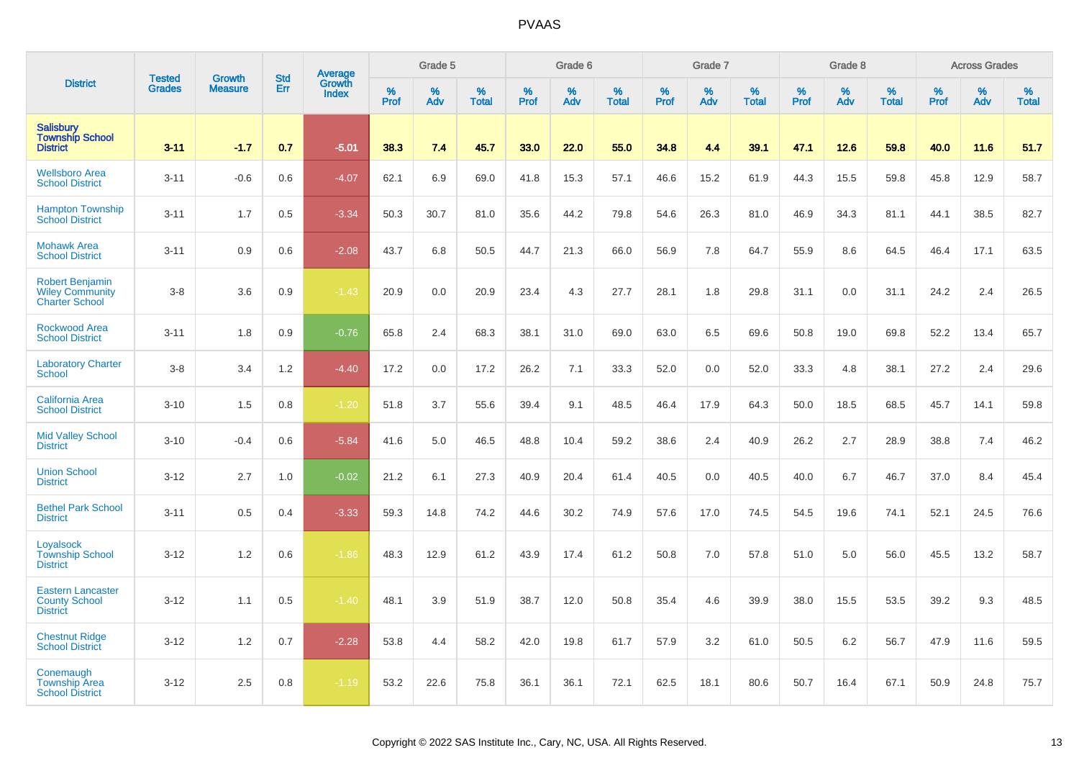|                                                                           |                                |                                 |                   | Average         |                  | Grade 5  |                   |           | Grade 6  |                   |           | Grade 7  |                   |           | Grade 8  |                   |                  | <b>Across Grades</b> |                   |
|---------------------------------------------------------------------------|--------------------------------|---------------------------------|-------------------|-----------------|------------------|----------|-------------------|-----------|----------|-------------------|-----------|----------|-------------------|-----------|----------|-------------------|------------------|----------------------|-------------------|
| <b>District</b>                                                           | <b>Tested</b><br><b>Grades</b> | <b>Growth</b><br><b>Measure</b> | <b>Std</b><br>Err | Growth<br>Index | %<br><b>Prof</b> | %<br>Adv | %<br><b>Total</b> | %<br>Prof | %<br>Adv | %<br><b>Total</b> | %<br>Prof | %<br>Adv | %<br><b>Total</b> | %<br>Prof | %<br>Adv | %<br><b>Total</b> | %<br><b>Prof</b> | %<br>Adv             | %<br><b>Total</b> |
| <b>Salisbury</b><br><b>Township School</b><br><b>District</b>             | $3 - 11$                       | $-1.7$                          | 0.7               | $-5.01$         | 38.3             | 7.4      | 45.7              | 33.0      | 22.0     | 55.0              | 34.8      | 4.4      | 39.1              | 47.1      | 12.6     | 59.8              | 40.0             | 11.6                 | 51.7              |
| <b>Wellsboro Area</b><br><b>School District</b>                           | $3 - 11$                       | $-0.6$                          | 0.6               | $-4.07$         | 62.1             | 6.9      | 69.0              | 41.8      | 15.3     | 57.1              | 46.6      | 15.2     | 61.9              | 44.3      | 15.5     | 59.8              | 45.8             | 12.9                 | 58.7              |
| <b>Hampton Township</b><br><b>School District</b>                         | $3 - 11$                       | 1.7                             | 0.5               | $-3.34$         | 50.3             | 30.7     | 81.0              | 35.6      | 44.2     | 79.8              | 54.6      | 26.3     | 81.0              | 46.9      | 34.3     | 81.1              | 44.1             | 38.5                 | 82.7              |
| <b>Mohawk Area</b><br><b>School District</b>                              | $3 - 11$                       | 0.9                             | 0.6               | $-2.08$         | 43.7             | 6.8      | 50.5              | 44.7      | 21.3     | 66.0              | 56.9      | 7.8      | 64.7              | 55.9      | 8.6      | 64.5              | 46.4             | 17.1                 | 63.5              |
| <b>Robert Benjamin</b><br><b>Wiley Community</b><br><b>Charter School</b> | $3-8$                          | 3.6                             | 0.9               | $-1.43$         | 20.9             | 0.0      | 20.9              | 23.4      | 4.3      | 27.7              | 28.1      | 1.8      | 29.8              | 31.1      | 0.0      | 31.1              | 24.2             | 2.4                  | 26.5              |
| <b>Rockwood Area</b><br><b>School District</b>                            | $3 - 11$                       | 1.8                             | 0.9               | $-0.76$         | 65.8             | 2.4      | 68.3              | 38.1      | 31.0     | 69.0              | 63.0      | 6.5      | 69.6              | 50.8      | 19.0     | 69.8              | 52.2             | 13.4                 | 65.7              |
| <b>Laboratory Charter</b><br><b>School</b>                                | $3-8$                          | 3.4                             | 1.2               | $-4.40$         | 17.2             | 0.0      | 17.2              | 26.2      | 7.1      | 33.3              | 52.0      | 0.0      | 52.0              | 33.3      | 4.8      | 38.1              | 27.2             | 2.4                  | 29.6              |
| <b>California Area</b><br><b>School District</b>                          | $3 - 10$                       | 1.5                             | 0.8               | $-1.20$         | 51.8             | 3.7      | 55.6              | 39.4      | 9.1      | 48.5              | 46.4      | 17.9     | 64.3              | 50.0      | 18.5     | 68.5              | 45.7             | 14.1                 | 59.8              |
| <b>Mid Valley School</b><br><b>District</b>                               | $3 - 10$                       | $-0.4$                          | 0.6               | $-5.84$         | 41.6             | 5.0      | 46.5              | 48.8      | 10.4     | 59.2              | 38.6      | 2.4      | 40.9              | 26.2      | 2.7      | 28.9              | 38.8             | 7.4                  | 46.2              |
| <b>Union School</b><br><b>District</b>                                    | $3 - 12$                       | 2.7                             | 1.0               | $-0.02$         | 21.2             | 6.1      | 27.3              | 40.9      | 20.4     | 61.4              | 40.5      | 0.0      | 40.5              | 40.0      | 6.7      | 46.7              | 37.0             | 8.4                  | 45.4              |
| <b>Bethel Park School</b><br><b>District</b>                              | $3 - 11$                       | 0.5                             | 0.4               | $-3.33$         | 59.3             | 14.8     | 74.2              | 44.6      | 30.2     | 74.9              | 57.6      | 17.0     | 74.5              | 54.5      | 19.6     | 74.1              | 52.1             | 24.5                 | 76.6              |
| Loyalsock<br><b>Township School</b><br><b>District</b>                    | $3 - 12$                       | 1.2                             | 0.6               | $-1.86$         | 48.3             | 12.9     | 61.2              | 43.9      | 17.4     | 61.2              | 50.8      | 7.0      | 57.8              | 51.0      | 5.0      | 56.0              | 45.5             | 13.2                 | 58.7              |
| <b>Eastern Lancaster</b><br><b>County School</b><br><b>District</b>       | $3 - 12$                       | 1.1                             | 0.5               | $-1.40$         | 48.1             | 3.9      | 51.9              | 38.7      | 12.0     | 50.8              | 35.4      | 4.6      | 39.9              | 38.0      | 15.5     | 53.5              | 39.2             | 9.3                  | 48.5              |
| <b>Chestnut Ridge</b><br><b>School District</b>                           | $3 - 12$                       | 1.2                             | 0.7               | $-2.28$         | 53.8             | 4.4      | 58.2              | 42.0      | 19.8     | 61.7              | 57.9      | 3.2      | 61.0              | 50.5      | 6.2      | 56.7              | 47.9             | 11.6                 | 59.5              |
| Conemaugh<br><b>Township Area</b><br><b>School District</b>               | $3 - 12$                       | 2.5                             | 0.8               | $-1.19$         | 53.2             | 22.6     | 75.8              | 36.1      | 36.1     | 72.1              | 62.5      | 18.1     | 80.6              | 50.7      | 16.4     | 67.1              | 50.9             | 24.8                 | 75.7              |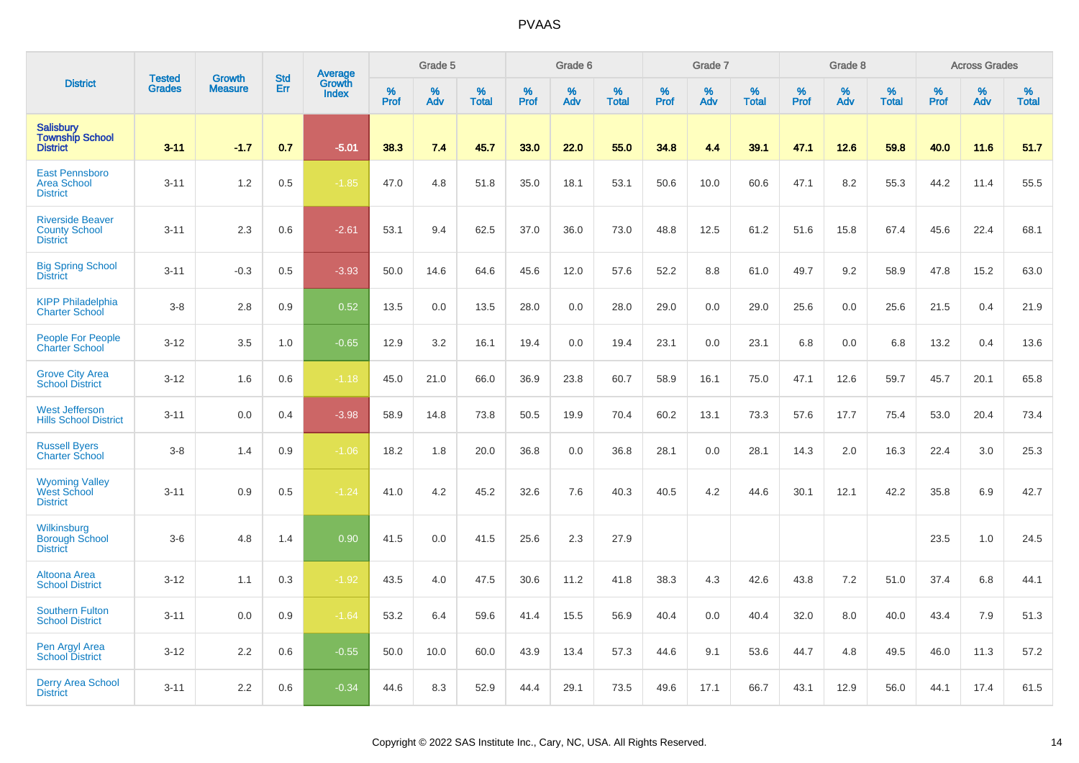|                                                                    | <b>Tested</b> |                                 | <b>Std</b> |                                   |                  | Grade 5  |                   |           | Grade 6  |                   |           | Grade 7  |                   |           | Grade 8  |                   |           | <b>Across Grades</b> |                   |
|--------------------------------------------------------------------|---------------|---------------------------------|------------|-----------------------------------|------------------|----------|-------------------|-----------|----------|-------------------|-----------|----------|-------------------|-----------|----------|-------------------|-----------|----------------------|-------------------|
| <b>District</b>                                                    | <b>Grades</b> | <b>Growth</b><br><b>Measure</b> | Err        | Average<br>Growth<br><b>Index</b> | %<br><b>Prof</b> | %<br>Adv | %<br><b>Total</b> | %<br>Prof | %<br>Adv | %<br><b>Total</b> | %<br>Prof | %<br>Adv | %<br><b>Total</b> | %<br>Prof | %<br>Adv | %<br><b>Total</b> | %<br>Prof | %<br>Adv             | %<br><b>Total</b> |
| <b>Salisbury</b><br><b>Township School</b><br><b>District</b>      | $3 - 11$      | $-1.7$                          | 0.7        | $-5.01$                           | 38.3             | 7.4      | 45.7              | 33.0      | 22.0     | 55.0              | 34.8      | 4.4      | 39.1              | 47.1      | 12.6     | 59.8              | 40.0      | 11.6                 | 51.7              |
| <b>East Pennsboro</b><br><b>Area School</b><br><b>District</b>     | $3 - 11$      | 1.2                             | 0.5        | $-1.85$                           | 47.0             | 4.8      | 51.8              | 35.0      | 18.1     | 53.1              | 50.6      | 10.0     | 60.6              | 47.1      | 8.2      | 55.3              | 44.2      | 11.4                 | 55.5              |
| <b>Riverside Beaver</b><br><b>County School</b><br><b>District</b> | $3 - 11$      | 2.3                             | 0.6        | $-2.61$                           | 53.1             | 9.4      | 62.5              | 37.0      | 36.0     | 73.0              | 48.8      | 12.5     | 61.2              | 51.6      | 15.8     | 67.4              | 45.6      | 22.4                 | 68.1              |
| <b>Big Spring School</b><br><b>District</b>                        | $3 - 11$      | $-0.3$                          | 0.5        | $-3.93$                           | 50.0             | 14.6     | 64.6              | 45.6      | 12.0     | 57.6              | 52.2      | 8.8      | 61.0              | 49.7      | 9.2      | 58.9              | 47.8      | 15.2                 | 63.0              |
| <b>KIPP Philadelphia</b><br><b>Charter School</b>                  | $3 - 8$       | 2.8                             | 0.9        | 0.52                              | 13.5             | 0.0      | 13.5              | 28.0      | 0.0      | 28.0              | 29.0      | 0.0      | 29.0              | 25.6      | 0.0      | 25.6              | 21.5      | 0.4                  | 21.9              |
| <b>People For People</b><br><b>Charter School</b>                  | $3 - 12$      | 3.5                             | 1.0        | $-0.65$                           | 12.9             | 3.2      | 16.1              | 19.4      | 0.0      | 19.4              | 23.1      | 0.0      | 23.1              | 6.8       | 0.0      | 6.8               | 13.2      | 0.4                  | 13.6              |
| <b>Grove City Area</b><br><b>School District</b>                   | $3 - 12$      | 1.6                             | 0.6        | $-1.18$                           | 45.0             | 21.0     | 66.0              | 36.9      | 23.8     | 60.7              | 58.9      | 16.1     | 75.0              | 47.1      | 12.6     | 59.7              | 45.7      | 20.1                 | 65.8              |
| <b>West Jefferson</b><br><b>Hills School District</b>              | $3 - 11$      | 0.0                             | 0.4        | $-3.98$                           | 58.9             | 14.8     | 73.8              | 50.5      | 19.9     | 70.4              | 60.2      | 13.1     | 73.3              | 57.6      | 17.7     | 75.4              | 53.0      | 20.4                 | 73.4              |
| <b>Russell Byers</b><br><b>Charter School</b>                      | $3-8$         | 1.4                             | 0.9        | $-1.06$                           | 18.2             | 1.8      | 20.0              | 36.8      | 0.0      | 36.8              | 28.1      | 0.0      | 28.1              | 14.3      | 2.0      | 16.3              | 22.4      | 3.0                  | 25.3              |
| <b>Wyoming Valley</b><br>West School<br><b>District</b>            | $3 - 11$      | 0.9                             | 0.5        | $-1.24$                           | 41.0             | 4.2      | 45.2              | 32.6      | 7.6      | 40.3              | 40.5      | 4.2      | 44.6              | 30.1      | 12.1     | 42.2              | 35.8      | 6.9                  | 42.7              |
| Wilkinsburg<br><b>Borough School</b><br><b>District</b>            | $3-6$         | 4.8                             | 1.4        | 0.90                              | 41.5             | 0.0      | 41.5              | 25.6      | 2.3      | 27.9              |           |          |                   |           |          |                   | 23.5      | 1.0                  | 24.5              |
| Altoona Area<br><b>School District</b>                             | $3 - 12$      | 1.1                             | 0.3        | $-1.92$                           | 43.5             | 4.0      | 47.5              | 30.6      | 11.2     | 41.8              | 38.3      | 4.3      | 42.6              | 43.8      | 7.2      | 51.0              | 37.4      | 6.8                  | 44.1              |
| <b>Southern Fulton</b><br><b>School District</b>                   | $3 - 11$      | 0.0                             | 0.9        | $-1.64$                           | 53.2             | 6.4      | 59.6              | 41.4      | 15.5     | 56.9              | 40.4      | 0.0      | 40.4              | 32.0      | 8.0      | 40.0              | 43.4      | 7.9                  | 51.3              |
| Pen Argyl Area<br><b>School District</b>                           | $3 - 12$      | 2.2                             | 0.6        | $-0.55$                           | 50.0             | 10.0     | 60.0              | 43.9      | 13.4     | 57.3              | 44.6      | 9.1      | 53.6              | 44.7      | 4.8      | 49.5              | 46.0      | 11.3                 | 57.2              |
| <b>Derry Area School</b><br><b>District</b>                        | $3 - 11$      | 2.2                             | 0.6        | $-0.34$                           | 44.6             | 8.3      | 52.9              | 44.4      | 29.1     | 73.5              | 49.6      | 17.1     | 66.7              | 43.1      | 12.9     | 56.0              | 44.1      | 17.4                 | 61.5              |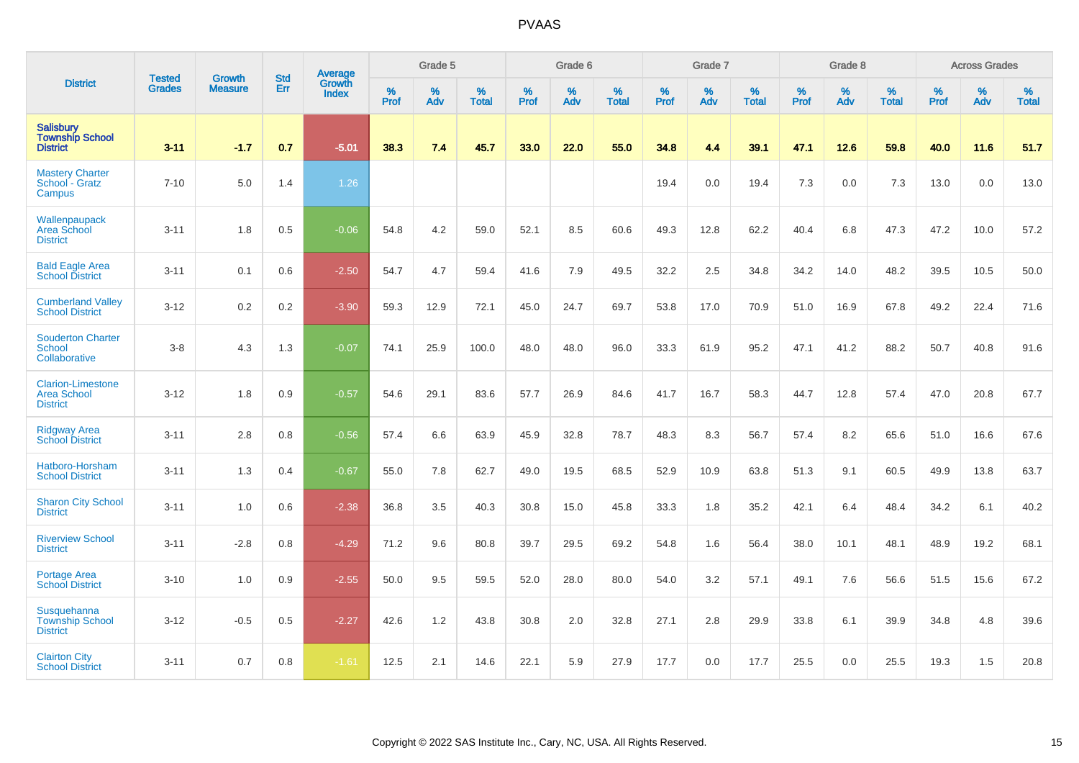|                                                                   |                                |                                 | <b>Std</b> | <b>Average</b>         |           | Grade 5  |                   |           | Grade 6  |                   |           | Grade 7  |                   |           | Grade 8  |                   |           | <b>Across Grades</b> |                   |
|-------------------------------------------------------------------|--------------------------------|---------------------------------|------------|------------------------|-----------|----------|-------------------|-----------|----------|-------------------|-----------|----------|-------------------|-----------|----------|-------------------|-----------|----------------------|-------------------|
| <b>District</b>                                                   | <b>Tested</b><br><b>Grades</b> | <b>Growth</b><br><b>Measure</b> | Err        | Growth<br><b>Index</b> | %<br>Prof | %<br>Adv | %<br><b>Total</b> | %<br>Prof | %<br>Adv | %<br><b>Total</b> | %<br>Prof | %<br>Adv | %<br><b>Total</b> | %<br>Prof | %<br>Adv | %<br><b>Total</b> | %<br>Prof | %<br>Adv             | %<br><b>Total</b> |
| <b>Salisbury</b><br><b>Township School</b><br><b>District</b>     | $3 - 11$                       | $-1.7$                          | 0.7        | $-5.01$                | 38.3      | 7.4      | 45.7              | 33.0      | 22.0     | 55.0              | 34.8      | 4.4      | 39.1              | 47.1      | 12.6     | 59.8              | 40.0      | 11.6                 | 51.7              |
| <b>Mastery Charter</b><br>School - Gratz<br>Campus                | $7 - 10$                       | 5.0                             | 1.4        | 1.26                   |           |          |                   |           |          |                   | 19.4      | 0.0      | 19.4              | 7.3       | 0.0      | 7.3               | 13.0      | 0.0                  | 13.0              |
| Wallenpaupack<br>Area School<br><b>District</b>                   | $3 - 11$                       | 1.8                             | 0.5        | $-0.06$                | 54.8      | 4.2      | 59.0              | 52.1      | 8.5      | 60.6              | 49.3      | 12.8     | 62.2              | 40.4      | 6.8      | 47.3              | 47.2      | 10.0                 | 57.2              |
| <b>Bald Eagle Area</b><br><b>School District</b>                  | $3 - 11$                       | 0.1                             | 0.6        | $-2.50$                | 54.7      | 4.7      | 59.4              | 41.6      | 7.9      | 49.5              | 32.2      | 2.5      | 34.8              | 34.2      | 14.0     | 48.2              | 39.5      | 10.5                 | 50.0              |
| <b>Cumberland Valley</b><br><b>School District</b>                | $3 - 12$                       | 0.2                             | 0.2        | $-3.90$                | 59.3      | 12.9     | 72.1              | 45.0      | 24.7     | 69.7              | 53.8      | 17.0     | 70.9              | 51.0      | 16.9     | 67.8              | 49.2      | 22.4                 | 71.6              |
| <b>Souderton Charter</b><br>School<br>Collaborative               | $3-8$                          | 4.3                             | 1.3        | $-0.07$                | 74.1      | 25.9     | 100.0             | 48.0      | 48.0     | 96.0              | 33.3      | 61.9     | 95.2              | 47.1      | 41.2     | 88.2              | 50.7      | 40.8                 | 91.6              |
| <b>Clarion-Limestone</b><br><b>Area School</b><br><b>District</b> | $3 - 12$                       | 1.8                             | 0.9        | $-0.57$                | 54.6      | 29.1     | 83.6              | 57.7      | 26.9     | 84.6              | 41.7      | 16.7     | 58.3              | 44.7      | 12.8     | 57.4              | 47.0      | 20.8                 | 67.7              |
| <b>Ridgway Area</b><br><b>School District</b>                     | $3 - 11$                       | 2.8                             | 0.8        | $-0.56$                | 57.4      | 6.6      | 63.9              | 45.9      | 32.8     | 78.7              | 48.3      | 8.3      | 56.7              | 57.4      | 8.2      | 65.6              | 51.0      | 16.6                 | 67.6              |
| Hatboro-Horsham<br><b>School District</b>                         | $3 - 11$                       | 1.3                             | 0.4        | $-0.67$                | 55.0      | 7.8      | 62.7              | 49.0      | 19.5     | 68.5              | 52.9      | 10.9     | 63.8              | 51.3      | 9.1      | 60.5              | 49.9      | 13.8                 | 63.7              |
| <b>Sharon City School</b><br><b>District</b>                      | $3 - 11$                       | 1.0                             | 0.6        | $-2.38$                | 36.8      | 3.5      | 40.3              | 30.8      | 15.0     | 45.8              | 33.3      | 1.8      | 35.2              | 42.1      | 6.4      | 48.4              | 34.2      | 6.1                  | 40.2              |
| <b>Riverview School</b><br><b>District</b>                        | $3 - 11$                       | $-2.8$                          | 0.8        | $-4.29$                | 71.2      | 9.6      | 80.8              | 39.7      | 29.5     | 69.2              | 54.8      | 1.6      | 56.4              | 38.0      | 10.1     | 48.1              | 48.9      | 19.2                 | 68.1              |
| <b>Portage Area</b><br><b>School District</b>                     | $3 - 10$                       | 1.0                             | 0.9        | $-2.55$                | 50.0      | 9.5      | 59.5              | 52.0      | 28.0     | 80.0              | 54.0      | 3.2      | 57.1              | 49.1      | 7.6      | 56.6              | 51.5      | 15.6                 | 67.2              |
| Susquehanna<br><b>Township School</b><br><b>District</b>          | $3 - 12$                       | $-0.5$                          | 0.5        | $-2.27$                | 42.6      | 1.2      | 43.8              | 30.8      | 2.0      | 32.8              | 27.1      | 2.8      | 29.9              | 33.8      | 6.1      | 39.9              | 34.8      | 4.8                  | 39.6              |
| <b>Clairton City</b><br><b>School District</b>                    | $3 - 11$                       | 0.7                             | 0.8        | $-1.61$                | 12.5      | 2.1      | 14.6              | 22.1      | 5.9      | 27.9              | 17.7      | 0.0      | 17.7              | 25.5      | 0.0      | 25.5              | 19.3      | 1.5                  | 20.8              |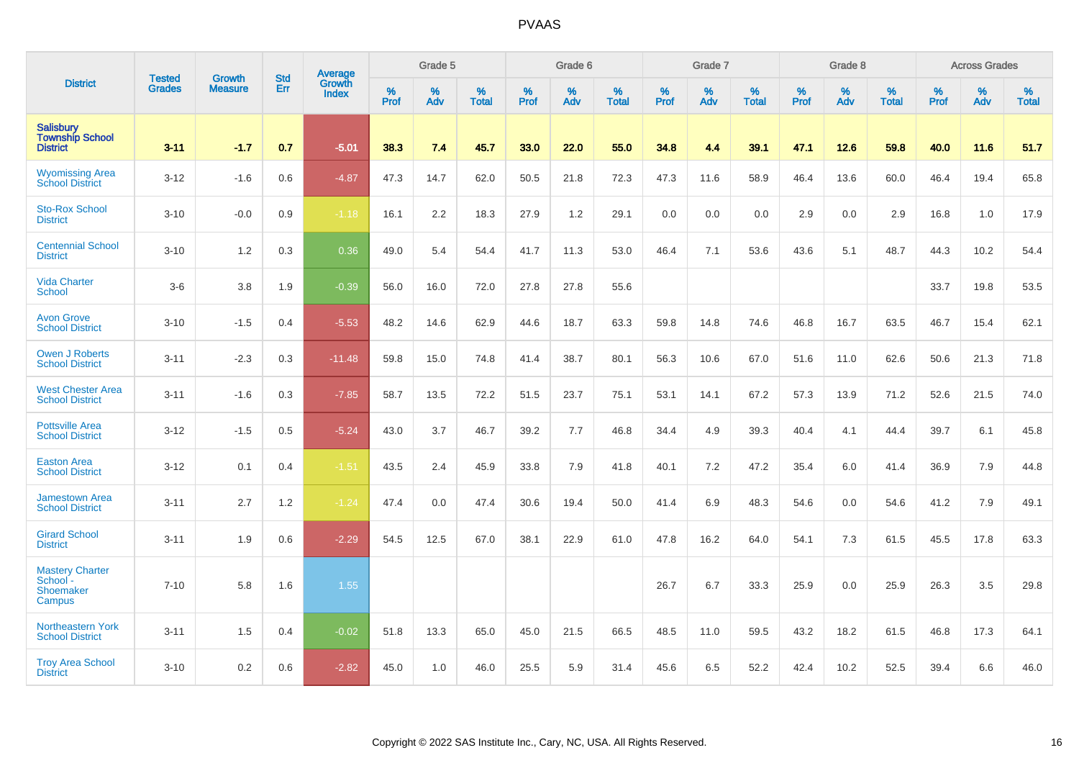|                                                               | <b>Tested</b> | <b>Growth</b>  | <b>Std</b> | Average                |           | Grade 5  |                   |           | Grade 6  |                   |           | Grade 7  |                   |           | Grade 8  |                   |           | <b>Across Grades</b> |                   |
|---------------------------------------------------------------|---------------|----------------|------------|------------------------|-----------|----------|-------------------|-----------|----------|-------------------|-----------|----------|-------------------|-----------|----------|-------------------|-----------|----------------------|-------------------|
| <b>District</b>                                               | <b>Grades</b> | <b>Measure</b> | Err        | Growth<br><b>Index</b> | %<br>Prof | %<br>Adv | %<br><b>Total</b> | %<br>Prof | %<br>Adv | %<br><b>Total</b> | %<br>Prof | %<br>Adv | %<br><b>Total</b> | %<br>Prof | %<br>Adv | %<br><b>Total</b> | %<br>Prof | %<br>Adv             | %<br><b>Total</b> |
| <b>Salisbury</b><br><b>Township School</b><br><b>District</b> | $3 - 11$      | $-1.7$         | 0.7        | $-5.01$                | 38.3      | 7.4      | 45.7              | 33.0      | 22.0     | 55.0              | 34.8      | 4.4      | 39.1              | 47.1      | 12.6     | 59.8              | 40.0      | 11.6                 | 51.7              |
| <b>Wyomissing Area</b><br>School District                     | $3 - 12$      | $-1.6$         | 0.6        | $-4.87$                | 47.3      | 14.7     | 62.0              | 50.5      | 21.8     | 72.3              | 47.3      | 11.6     | 58.9              | 46.4      | 13.6     | 60.0              | 46.4      | 19.4                 | 65.8              |
| <b>Sto-Rox School</b><br><b>District</b>                      | $3 - 10$      | $-0.0$         | 0.9        | $-1.18$                | 16.1      | 2.2      | 18.3              | 27.9      | 1.2      | 29.1              | 0.0       | 0.0      | 0.0               | 2.9       | 0.0      | 2.9               | 16.8      | 1.0                  | 17.9              |
| <b>Centennial School</b><br><b>District</b>                   | $3 - 10$      | 1.2            | 0.3        | 0.36                   | 49.0      | 5.4      | 54.4              | 41.7      | 11.3     | 53.0              | 46.4      | 7.1      | 53.6              | 43.6      | 5.1      | 48.7              | 44.3      | 10.2                 | 54.4              |
| <b>Vida Charter</b><br><b>School</b>                          | $3-6$         | 3.8            | 1.9        | $-0.39$                | 56.0      | 16.0     | 72.0              | 27.8      | 27.8     | 55.6              |           |          |                   |           |          |                   | 33.7      | 19.8                 | 53.5              |
| <b>Avon Grove</b><br><b>School District</b>                   | $3 - 10$      | $-1.5$         | 0.4        | $-5.53$                | 48.2      | 14.6     | 62.9              | 44.6      | 18.7     | 63.3              | 59.8      | 14.8     | 74.6              | 46.8      | 16.7     | 63.5              | 46.7      | 15.4                 | 62.1              |
| <b>Owen J Roberts</b><br><b>School District</b>               | $3 - 11$      | $-2.3$         | 0.3        | $-11.48$               | 59.8      | 15.0     | 74.8              | 41.4      | 38.7     | 80.1              | 56.3      | 10.6     | 67.0              | 51.6      | 11.0     | 62.6              | 50.6      | 21.3                 | 71.8              |
| <b>West Chester Area</b><br><b>School District</b>            | $3 - 11$      | $-1.6$         | 0.3        | $-7.85$                | 58.7      | 13.5     | 72.2              | 51.5      | 23.7     | 75.1              | 53.1      | 14.1     | 67.2              | 57.3      | 13.9     | 71.2              | 52.6      | 21.5                 | 74.0              |
| <b>Pottsville Area</b><br><b>School District</b>              | $3 - 12$      | $-1.5$         | 0.5        | $-5.24$                | 43.0      | 3.7      | 46.7              | 39.2      | 7.7      | 46.8              | 34.4      | 4.9      | 39.3              | 40.4      | 4.1      | 44.4              | 39.7      | 6.1                  | 45.8              |
| <b>Easton Area</b><br><b>School District</b>                  | $3 - 12$      | 0.1            | 0.4        | $-1.51$                | 43.5      | 2.4      | 45.9              | 33.8      | 7.9      | 41.8              | 40.1      | 7.2      | 47.2              | 35.4      | 6.0      | 41.4              | 36.9      | 7.9                  | 44.8              |
| <b>Jamestown Area</b><br><b>School District</b>               | $3 - 11$      | 2.7            | 1.2        | $-1.24$                | 47.4      | 0.0      | 47.4              | 30.6      | 19.4     | 50.0              | 41.4      | 6.9      | 48.3              | 54.6      | 0.0      | 54.6              | 41.2      | 7.9                  | 49.1              |
| <b>Girard School</b><br><b>District</b>                       | $3 - 11$      | 1.9            | 0.6        | $-2.29$                | 54.5      | 12.5     | 67.0              | 38.1      | 22.9     | 61.0              | 47.8      | 16.2     | 64.0              | 54.1      | 7.3      | 61.5              | 45.5      | 17.8                 | 63.3              |
| <b>Mastery Charter</b><br>School -<br>Shoemaker<br>Campus     | $7 - 10$      | 5.8            | 1.6        | 1.55                   |           |          |                   |           |          |                   | 26.7      | 6.7      | 33.3              | 25.9      | 0.0      | 25.9              | 26.3      | 3.5                  | 29.8              |
| <b>Northeastern York</b><br><b>School District</b>            | $3 - 11$      | 1.5            | 0.4        | $-0.02$                | 51.8      | 13.3     | 65.0              | 45.0      | 21.5     | 66.5              | 48.5      | 11.0     | 59.5              | 43.2      | 18.2     | 61.5              | 46.8      | 17.3                 | 64.1              |
| <b>Troy Area School</b><br><b>District</b>                    | $3 - 10$      | 0.2            | 0.6        | $-2.82$                | 45.0      | 1.0      | 46.0              | 25.5      | 5.9      | 31.4              | 45.6      | 6.5      | 52.2              | 42.4      | 10.2     | 52.5              | 39.4      | 6.6                  | 46.0              |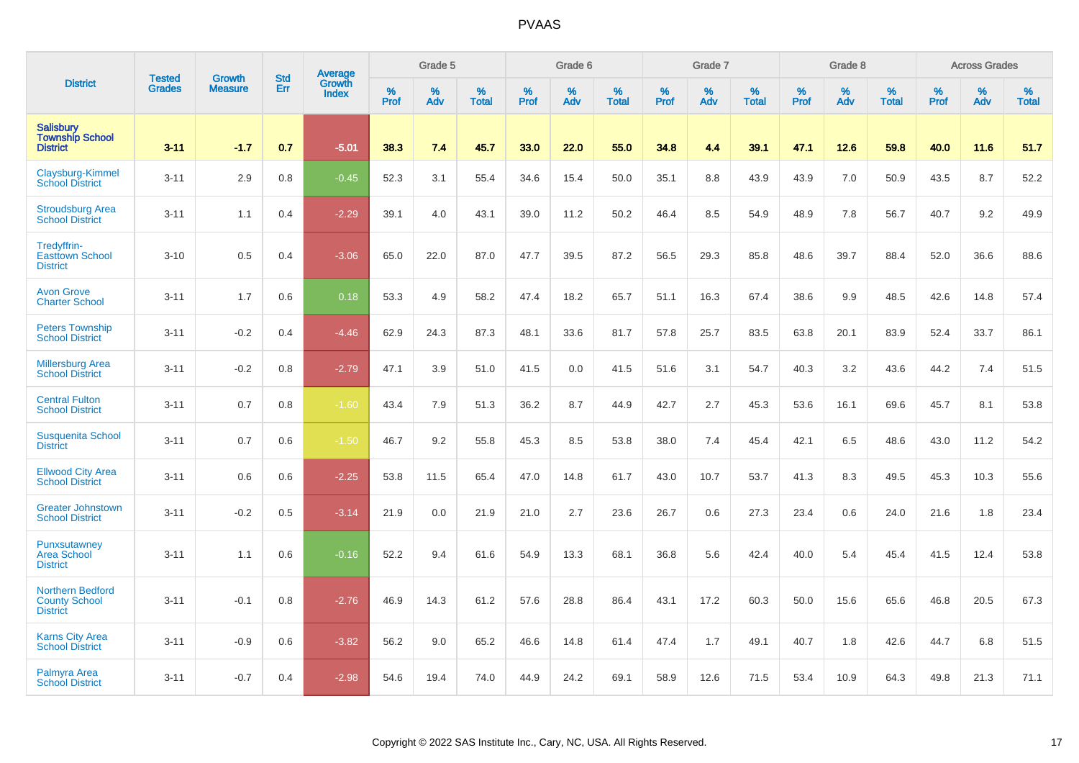|                                                                    |                                | <b>Growth</b>  | <b>Std</b> | Average         |              | Grade 5  |                   |           | Grade 6  |                   |           | Grade 7  |                   |           | Grade 8  |                   |           | <b>Across Grades</b> |                   |
|--------------------------------------------------------------------|--------------------------------|----------------|------------|-----------------|--------------|----------|-------------------|-----------|----------|-------------------|-----------|----------|-------------------|-----------|----------|-------------------|-----------|----------------------|-------------------|
| <b>District</b>                                                    | <b>Tested</b><br><b>Grades</b> | <b>Measure</b> | Err        | Growth<br>Index | $\%$<br>Prof | %<br>Adv | %<br><b>Total</b> | %<br>Prof | %<br>Adv | %<br><b>Total</b> | %<br>Prof | %<br>Adv | %<br><b>Total</b> | %<br>Prof | %<br>Adv | %<br><b>Total</b> | %<br>Prof | %<br>Adv             | %<br><b>Total</b> |
| <b>Salisbury</b><br><b>Township School</b><br><b>District</b>      | $3 - 11$                       | $-1.7$         | 0.7        | $-5.01$         | 38.3         | 7.4      | 45.7              | 33.0      | 22.0     | 55.0              | 34.8      | 4.4      | 39.1              | 47.1      | 12.6     | 59.8              | 40.0      | 11.6                 | 51.7              |
| Claysburg-Kimmel<br><b>School District</b>                         | $3 - 11$                       | 2.9            | 0.8        | $-0.45$         | 52.3         | 3.1      | 55.4              | 34.6      | 15.4     | 50.0              | 35.1      | 8.8      | 43.9              | 43.9      | 7.0      | 50.9              | 43.5      | 8.7                  | 52.2              |
| <b>Stroudsburg Area</b><br><b>School District</b>                  | $3 - 11$                       | 1.1            | 0.4        | $-2.29$         | 39.1         | 4.0      | 43.1              | 39.0      | 11.2     | 50.2              | 46.4      | 8.5      | 54.9              | 48.9      | 7.8      | 56.7              | 40.7      | 9.2                  | 49.9              |
| Tredyffrin-<br><b>Easttown School</b><br><b>District</b>           | $3 - 10$                       | 0.5            | 0.4        | $-3.06$         | 65.0         | 22.0     | 87.0              | 47.7      | 39.5     | 87.2              | 56.5      | 29.3     | 85.8              | 48.6      | 39.7     | 88.4              | 52.0      | 36.6                 | 88.6              |
| <b>Avon Grove</b><br><b>Charter School</b>                         | $3 - 11$                       | 1.7            | 0.6        | 0.18            | 53.3         | 4.9      | 58.2              | 47.4      | 18.2     | 65.7              | 51.1      | 16.3     | 67.4              | 38.6      | 9.9      | 48.5              | 42.6      | 14.8                 | 57.4              |
| <b>Peters Township</b><br><b>School District</b>                   | $3 - 11$                       | $-0.2$         | 0.4        | $-4.46$         | 62.9         | 24.3     | 87.3              | 48.1      | 33.6     | 81.7              | 57.8      | 25.7     | 83.5              | 63.8      | 20.1     | 83.9              | 52.4      | 33.7                 | 86.1              |
| <b>Millersburg Area</b><br><b>School District</b>                  | $3 - 11$                       | $-0.2$         | 0.8        | $-2.79$         | 47.1         | 3.9      | 51.0              | 41.5      | 0.0      | 41.5              | 51.6      | 3.1      | 54.7              | 40.3      | 3.2      | 43.6              | 44.2      | 7.4                  | 51.5              |
| <b>Central Fulton</b><br><b>School District</b>                    | $3 - 11$                       | 0.7            | 0.8        | $-1.60$         | 43.4         | 7.9      | 51.3              | 36.2      | 8.7      | 44.9              | 42.7      | 2.7      | 45.3              | 53.6      | 16.1     | 69.6              | 45.7      | 8.1                  | 53.8              |
| <b>Susquenita School</b><br><b>District</b>                        | $3 - 11$                       | 0.7            | 0.6        | $-1.50$         | 46.7         | 9.2      | 55.8              | 45.3      | 8.5      | 53.8              | 38.0      | 7.4      | 45.4              | 42.1      | 6.5      | 48.6              | 43.0      | 11.2                 | 54.2              |
| <b>Ellwood City Area</b><br><b>School District</b>                 | $3 - 11$                       | 0.6            | 0.6        | $-2.25$         | 53.8         | 11.5     | 65.4              | 47.0      | 14.8     | 61.7              | 43.0      | 10.7     | 53.7              | 41.3      | 8.3      | 49.5              | 45.3      | 10.3                 | 55.6              |
| <b>Greater Johnstown</b><br><b>School District</b>                 | $3 - 11$                       | $-0.2$         | 0.5        | $-3.14$         | 21.9         | 0.0      | 21.9              | 21.0      | 2.7      | 23.6              | 26.7      | 0.6      | 27.3              | 23.4      | 0.6      | 24.0              | 21.6      | 1.8                  | 23.4              |
| Punxsutawney<br><b>Area School</b><br><b>District</b>              | $3 - 11$                       | 1.1            | 0.6        | $-0.16$         | 52.2         | 9.4      | 61.6              | 54.9      | 13.3     | 68.1              | 36.8      | 5.6      | 42.4              | 40.0      | 5.4      | 45.4              | 41.5      | 12.4                 | 53.8              |
| <b>Northern Bedford</b><br><b>County School</b><br><b>District</b> | $3 - 11$                       | $-0.1$         | 0.8        | $-2.76$         | 46.9         | 14.3     | 61.2              | 57.6      | 28.8     | 86.4              | 43.1      | 17.2     | 60.3              | 50.0      | 15.6     | 65.6              | 46.8      | 20.5                 | 67.3              |
| <b>Karns City Area</b><br><b>School District</b>                   | $3 - 11$                       | $-0.9$         | 0.6        | $-3.82$         | 56.2         | 9.0      | 65.2              | 46.6      | 14.8     | 61.4              | 47.4      | 1.7      | 49.1              | 40.7      | 1.8      | 42.6              | 44.7      | 6.8                  | 51.5              |
| Palmyra Area<br><b>School District</b>                             | $3 - 11$                       | $-0.7$         | 0.4        | $-2.98$         | 54.6         | 19.4     | 74.0              | 44.9      | 24.2     | 69.1              | 58.9      | 12.6     | 71.5              | 53.4      | 10.9     | 64.3              | 49.8      | 21.3                 | 71.1              |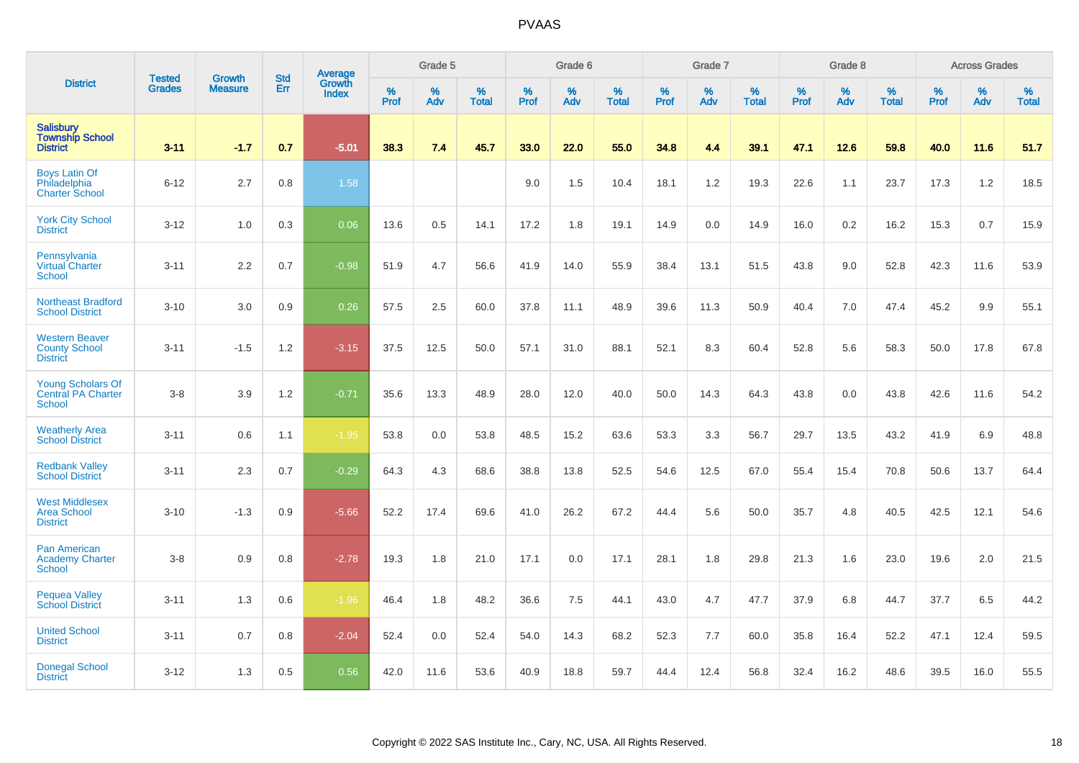|                                                                        |                                |                                 | <b>Std</b> | <b>Average</b>         |           | Grade 5  |                      |           | Grade 6  |                   |           | Grade 7  |                   |           | Grade 8  |                   |           | <b>Across Grades</b> |                   |
|------------------------------------------------------------------------|--------------------------------|---------------------------------|------------|------------------------|-----------|----------|----------------------|-----------|----------|-------------------|-----------|----------|-------------------|-----------|----------|-------------------|-----------|----------------------|-------------------|
| <b>District</b>                                                        | <b>Tested</b><br><b>Grades</b> | <b>Growth</b><br><b>Measure</b> | Err        | Growth<br><b>Index</b> | %<br>Prof | %<br>Adv | $\%$<br><b>Total</b> | %<br>Prof | %<br>Adv | %<br><b>Total</b> | %<br>Prof | %<br>Adv | %<br><b>Total</b> | %<br>Prof | %<br>Adv | %<br><b>Total</b> | %<br>Prof | %<br>Adv             | %<br><b>Total</b> |
| <b>Salisbury</b><br><b>Township School</b><br><b>District</b>          | $3 - 11$                       | $-1.7$                          | 0.7        | $-5.01$                | 38.3      | 7.4      | 45.7                 | 33.0      | 22.0     | 55.0              | 34.8      | 4.4      | 39.1              | 47.1      | 12.6     | 59.8              | 40.0      | 11.6                 | 51.7              |
| <b>Boys Latin Of</b><br>Philadelphia<br><b>Charter School</b>          | $6 - 12$                       | 2.7                             | 0.8        | 1.58                   |           |          |                      | 9.0       | 1.5      | 10.4              | 18.1      | 1.2      | 19.3              | 22.6      | 1.1      | 23.7              | 17.3      | 1.2                  | 18.5              |
| <b>York City School</b><br><b>District</b>                             | $3 - 12$                       | 1.0                             | 0.3        | 0.06                   | 13.6      | 0.5      | 14.1                 | 17.2      | 1.8      | 19.1              | 14.9      | 0.0      | 14.9              | 16.0      | 0.2      | 16.2              | 15.3      | 0.7                  | 15.9              |
| Pennsylvania<br><b>Virtual Charter</b><br>School                       | $3 - 11$                       | 2.2                             | 0.7        | $-0.98$                | 51.9      | 4.7      | 56.6                 | 41.9      | 14.0     | 55.9              | 38.4      | 13.1     | 51.5              | 43.8      | 9.0      | 52.8              | 42.3      | 11.6                 | 53.9              |
| <b>Northeast Bradford</b><br><b>School District</b>                    | $3 - 10$                       | 3.0                             | 0.9        | 0.26                   | 57.5      | 2.5      | 60.0                 | 37.8      | 11.1     | 48.9              | 39.6      | 11.3     | 50.9              | 40.4      | 7.0      | 47.4              | 45.2      | 9.9                  | 55.1              |
| <b>Western Beaver</b><br><b>County School</b><br><b>District</b>       | $3 - 11$                       | $-1.5$                          | 1.2        | $-3.15$                | 37.5      | 12.5     | 50.0                 | 57.1      | 31.0     | 88.1              | 52.1      | 8.3      | 60.4              | 52.8      | 5.6      | 58.3              | 50.0      | 17.8                 | 67.8              |
| <b>Young Scholars Of</b><br><b>Central PA Charter</b><br><b>School</b> | $3-8$                          | 3.9                             | 1.2        | $-0.71$                | 35.6      | 13.3     | 48.9                 | 28.0      | 12.0     | 40.0              | 50.0      | 14.3     | 64.3              | 43.8      | 0.0      | 43.8              | 42.6      | 11.6                 | 54.2              |
| <b>Weatherly Area</b><br><b>School District</b>                        | $3 - 11$                       | 0.6                             | 1.1        | $-1.95$                | 53.8      | 0.0      | 53.8                 | 48.5      | 15.2     | 63.6              | 53.3      | 3.3      | 56.7              | 29.7      | 13.5     | 43.2              | 41.9      | 6.9                  | 48.8              |
| <b>Redbank Valley</b><br><b>School District</b>                        | $3 - 11$                       | 2.3                             | 0.7        | $-0.29$                | 64.3      | 4.3      | 68.6                 | 38.8      | 13.8     | 52.5              | 54.6      | 12.5     | 67.0              | 55.4      | 15.4     | 70.8              | 50.6      | 13.7                 | 64.4              |
| <b>West Middlesex</b><br><b>Area School</b><br><b>District</b>         | $3 - 10$                       | $-1.3$                          | 0.9        | $-5.66$                | 52.2      | 17.4     | 69.6                 | 41.0      | 26.2     | 67.2              | 44.4      | 5.6      | 50.0              | 35.7      | 4.8      | 40.5              | 42.5      | 12.1                 | 54.6              |
| Pan American<br><b>Academy Charter</b><br><b>School</b>                | $3-8$                          | 0.9                             | 0.8        | $-2.78$                | 19.3      | 1.8      | 21.0                 | 17.1      | 0.0      | 17.1              | 28.1      | 1.8      | 29.8              | 21.3      | 1.6      | 23.0              | 19.6      | 2.0                  | 21.5              |
| <b>Pequea Valley</b><br><b>School District</b>                         | $3 - 11$                       | 1.3                             | 0.6        | $-1.96$                | 46.4      | 1.8      | 48.2                 | 36.6      | 7.5      | 44.1              | 43.0      | 4.7      | 47.7              | 37.9      | 6.8      | 44.7              | 37.7      | 6.5                  | 44.2              |
| <b>United School</b><br><b>District</b>                                | $3 - 11$                       | 0.7                             | 0.8        | $-2.04$                | 52.4      | 0.0      | 52.4                 | 54.0      | 14.3     | 68.2              | 52.3      | 7.7      | 60.0              | 35.8      | 16.4     | 52.2              | 47.1      | 12.4                 | 59.5              |
| <b>Donegal School</b><br><b>District</b>                               | $3 - 12$                       | 1.3                             | 0.5        | 0.56                   | 42.0      | 11.6     | 53.6                 | 40.9      | 18.8     | 59.7              | 44.4      | 12.4     | 56.8              | 32.4      | 16.2     | 48.6              | 39.5      | 16.0                 | 55.5              |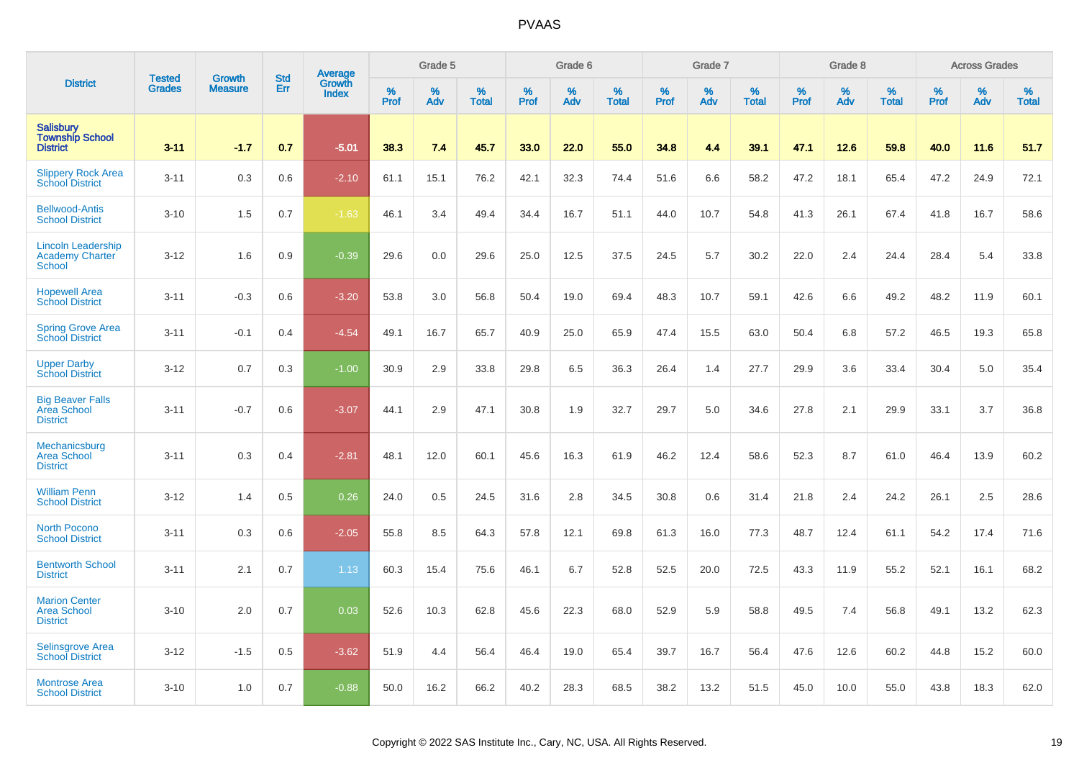|                                                                      | <b>Tested</b> | <b>Growth</b>  | <b>Std</b> | Average                |              | Grade 5  |                   |           | Grade 6  |                   |           | Grade 7  |                   |           | Grade 8  |                   |           | <b>Across Grades</b> |                   |
|----------------------------------------------------------------------|---------------|----------------|------------|------------------------|--------------|----------|-------------------|-----------|----------|-------------------|-----------|----------|-------------------|-----------|----------|-------------------|-----------|----------------------|-------------------|
| <b>District</b>                                                      | <b>Grades</b> | <b>Measure</b> | Err        | Growth<br><b>Index</b> | $\%$<br>Prof | %<br>Adv | %<br><b>Total</b> | %<br>Prof | %<br>Adv | %<br><b>Total</b> | %<br>Prof | %<br>Adv | %<br><b>Total</b> | %<br>Prof | %<br>Adv | %<br><b>Total</b> | %<br>Prof | %<br>Adv             | %<br><b>Total</b> |
| <b>Salisbury</b><br><b>Township School</b><br><b>District</b>        | $3 - 11$      | $-1.7$         | 0.7        | $-5.01$                | 38.3         | 7.4      | 45.7              | 33.0      | 22.0     | 55.0              | 34.8      | 4.4      | 39.1              | 47.1      | 12.6     | 59.8              | 40.0      | 11.6                 | 51.7              |
| <b>Slippery Rock Area</b><br><b>School District</b>                  | $3 - 11$      | 0.3            | 0.6        | $-2.10$                | 61.1         | 15.1     | 76.2              | 42.1      | 32.3     | 74.4              | 51.6      | 6.6      | 58.2              | 47.2      | 18.1     | 65.4              | 47.2      | 24.9                 | 72.1              |
| <b>Bellwood-Antis</b><br><b>School District</b>                      | $3 - 10$      | 1.5            | 0.7        | $-1.63$                | 46.1         | 3.4      | 49.4              | 34.4      | 16.7     | 51.1              | 44.0      | 10.7     | 54.8              | 41.3      | 26.1     | 67.4              | 41.8      | 16.7                 | 58.6              |
| <b>Lincoln Leadership</b><br><b>Academy Charter</b><br><b>School</b> | $3 - 12$      | 1.6            | 0.9        | $-0.39$                | 29.6         | 0.0      | 29.6              | 25.0      | 12.5     | 37.5              | 24.5      | 5.7      | 30.2              | 22.0      | 2.4      | 24.4              | 28.4      | 5.4                  | 33.8              |
| <b>Hopewell Area</b><br><b>School District</b>                       | $3 - 11$      | $-0.3$         | 0.6        | $-3.20$                | 53.8         | 3.0      | 56.8              | 50.4      | 19.0     | 69.4              | 48.3      | 10.7     | 59.1              | 42.6      | 6.6      | 49.2              | 48.2      | 11.9                 | 60.1              |
| <b>Spring Grove Area</b><br>School District                          | $3 - 11$      | $-0.1$         | 0.4        | $-4.54$                | 49.1         | 16.7     | 65.7              | 40.9      | 25.0     | 65.9              | 47.4      | 15.5     | 63.0              | 50.4      | 6.8      | 57.2              | 46.5      | 19.3                 | 65.8              |
| <b>Upper Darby</b><br><b>School District</b>                         | $3 - 12$      | 0.7            | 0.3        | $-1.00$                | 30.9         | 2.9      | 33.8              | 29.8      | 6.5      | 36.3              | 26.4      | 1.4      | 27.7              | 29.9      | 3.6      | 33.4              | 30.4      | 5.0                  | 35.4              |
| <b>Big Beaver Falls</b><br>Area School<br><b>District</b>            | $3 - 11$      | $-0.7$         | 0.6        | $-3.07$                | 44.1         | 2.9      | 47.1              | 30.8      | 1.9      | 32.7              | 29.7      | 5.0      | 34.6              | 27.8      | 2.1      | 29.9              | 33.1      | 3.7                  | 36.8              |
| Mechanicsburg<br><b>Area School</b><br><b>District</b>               | $3 - 11$      | 0.3            | 0.4        | $-2.81$                | 48.1         | 12.0     | 60.1              | 45.6      | 16.3     | 61.9              | 46.2      | 12.4     | 58.6              | 52.3      | 8.7      | 61.0              | 46.4      | 13.9                 | 60.2              |
| <b>William Penn</b><br><b>School District</b>                        | $3 - 12$      | 1.4            | 0.5        | 0.26                   | 24.0         | 0.5      | 24.5              | 31.6      | 2.8      | 34.5              | 30.8      | 0.6      | 31.4              | 21.8      | 2.4      | 24.2              | 26.1      | 2.5                  | 28.6              |
| <b>North Pocono</b><br><b>School District</b>                        | $3 - 11$      | 0.3            | 0.6        | $-2.05$                | 55.8         | 8.5      | 64.3              | 57.8      | 12.1     | 69.8              | 61.3      | 16.0     | 77.3              | 48.7      | 12.4     | 61.1              | 54.2      | 17.4                 | 71.6              |
| <b>Bentworth School</b><br><b>District</b>                           | $3 - 11$      | 2.1            | 0.7        | 1.13                   | 60.3         | 15.4     | 75.6              | 46.1      | 6.7      | 52.8              | 52.5      | 20.0     | 72.5              | 43.3      | 11.9     | 55.2              | 52.1      | 16.1                 | 68.2              |
| <b>Marion Center</b><br><b>Area School</b><br><b>District</b>        | $3 - 10$      | 2.0            | 0.7        | 0.03                   | 52.6         | 10.3     | 62.8              | 45.6      | 22.3     | 68.0              | 52.9      | 5.9      | 58.8              | 49.5      | 7.4      | 56.8              | 49.1      | 13.2                 | 62.3              |
| <b>Selinsgrove Area</b><br><b>School District</b>                    | $3 - 12$      | $-1.5$         | 0.5        | $-3.62$                | 51.9         | 4.4      | 56.4              | 46.4      | 19.0     | 65.4              | 39.7      | 16.7     | 56.4              | 47.6      | 12.6     | 60.2              | 44.8      | 15.2                 | 60.0              |
| <b>Montrose Area</b><br><b>School District</b>                       | $3 - 10$      | 1.0            | 0.7        | $-0.88$                | 50.0         | 16.2     | 66.2              | 40.2      | 28.3     | 68.5              | 38.2      | 13.2     | 51.5              | 45.0      | 10.0     | 55.0              | 43.8      | 18.3                 | 62.0              |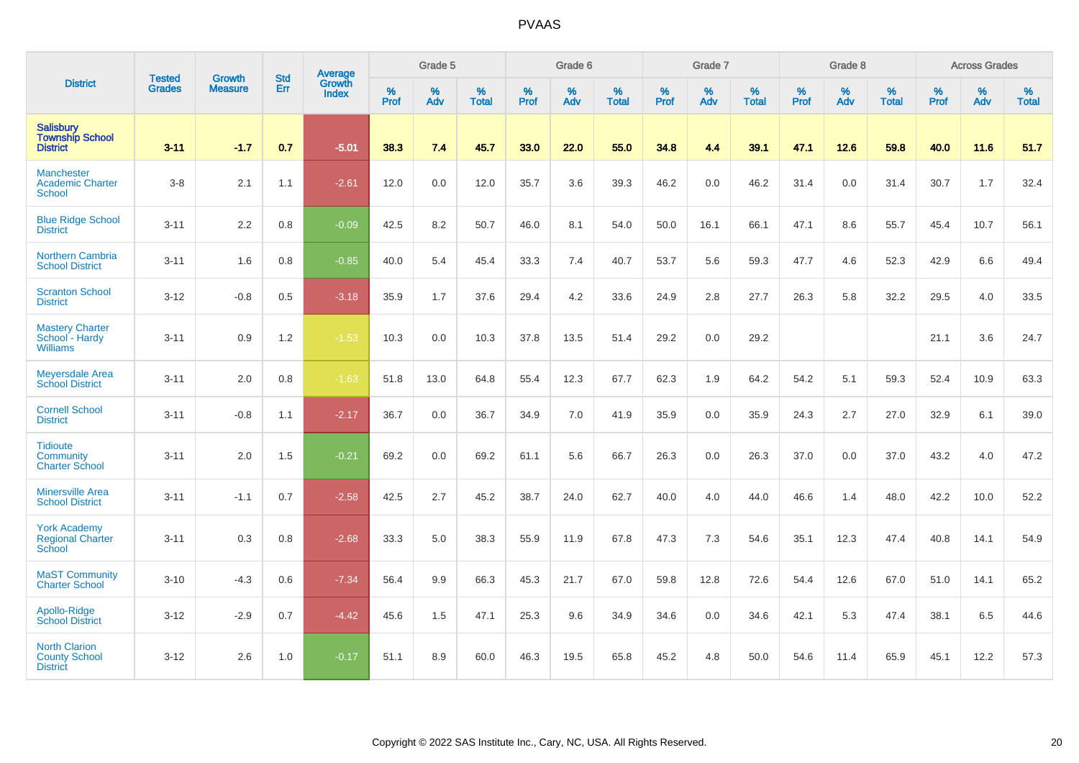|                                                                 |                                |                                 | <b>Std</b> | Average                       |                  | Grade 5  |                   |           | Grade 6  |                   |           | Grade 7  |                   |           | Grade 8  |                   |           | <b>Across Grades</b> |                   |
|-----------------------------------------------------------------|--------------------------------|---------------------------------|------------|-------------------------------|------------------|----------|-------------------|-----------|----------|-------------------|-----------|----------|-------------------|-----------|----------|-------------------|-----------|----------------------|-------------------|
| <b>District</b>                                                 | <b>Tested</b><br><b>Grades</b> | <b>Growth</b><br><b>Measure</b> | Err        | <b>Growth</b><br><b>Index</b> | %<br><b>Prof</b> | %<br>Adv | %<br><b>Total</b> | %<br>Prof | %<br>Adv | %<br><b>Total</b> | %<br>Prof | %<br>Adv | %<br><b>Total</b> | %<br>Prof | %<br>Adv | %<br><b>Total</b> | %<br>Prof | %<br>Adv             | %<br><b>Total</b> |
| <b>Salisbury</b><br><b>Township School</b><br><b>District</b>   | $3 - 11$                       | $-1.7$                          | 0.7        | $-5.01$                       | 38.3             | 7.4      | 45.7              | 33.0      | 22.0     | 55.0              | 34.8      | 4.4      | 39.1              | 47.1      | 12.6     | 59.8              | 40.0      | 11.6                 | 51.7              |
| <b>Manchester</b><br><b>Academic Charter</b><br>School          | $3 - 8$                        | 2.1                             | 1.1        | $-2.61$                       | 12.0             | 0.0      | 12.0              | 35.7      | 3.6      | 39.3              | 46.2      | 0.0      | 46.2              | 31.4      | 0.0      | 31.4              | 30.7      | 1.7                  | 32.4              |
| <b>Blue Ridge School</b><br><b>District</b>                     | $3 - 11$                       | 2.2                             | 0.8        | $-0.09$                       | 42.5             | 8.2      | 50.7              | 46.0      | 8.1      | 54.0              | 50.0      | 16.1     | 66.1              | 47.1      | 8.6      | 55.7              | 45.4      | 10.7                 | 56.1              |
| Northern Cambria<br><b>School District</b>                      | $3 - 11$                       | 1.6                             | 0.8        | $-0.85$                       | 40.0             | 5.4      | 45.4              | 33.3      | 7.4      | 40.7              | 53.7      | 5.6      | 59.3              | 47.7      | 4.6      | 52.3              | 42.9      | 6.6                  | 49.4              |
| <b>Scranton School</b><br><b>District</b>                       | $3 - 12$                       | $-0.8$                          | 0.5        | $-3.18$                       | 35.9             | 1.7      | 37.6              | 29.4      | 4.2      | 33.6              | 24.9      | 2.8      | 27.7              | 26.3      | 5.8      | 32.2              | 29.5      | 4.0                  | 33.5              |
| <b>Mastery Charter</b><br>School - Hardy<br><b>Williams</b>     | $3 - 11$                       | 0.9                             | 1.2        | $-1.53$                       | 10.3             | 0.0      | 10.3              | 37.8      | 13.5     | 51.4              | 29.2      | 0.0      | 29.2              |           |          |                   | 21.1      | 3.6                  | 24.7              |
| <b>Meyersdale Area</b><br><b>School District</b>                | $3 - 11$                       | 2.0                             | 0.8        | $-1.63$                       | 51.8             | 13.0     | 64.8              | 55.4      | 12.3     | 67.7              | 62.3      | 1.9      | 64.2              | 54.2      | 5.1      | 59.3              | 52.4      | 10.9                 | 63.3              |
| <b>Cornell School</b><br><b>District</b>                        | $3 - 11$                       | $-0.8$                          | 1.1        | $-2.17$                       | 36.7             | 0.0      | 36.7              | 34.9      | 7.0      | 41.9              | 35.9      | 0.0      | 35.9              | 24.3      | 2.7      | 27.0              | 32.9      | 6.1                  | 39.0              |
| <b>Tidioute</b><br>Community<br><b>Charter School</b>           | $3 - 11$                       | 2.0                             | 1.5        | $-0.21$                       | 69.2             | 0.0      | 69.2              | 61.1      | 5.6      | 66.7              | 26.3      | 0.0      | 26.3              | 37.0      | 0.0      | 37.0              | 43.2      | 4.0                  | 47.2              |
| <b>Minersville Area</b><br><b>School District</b>               | $3 - 11$                       | $-1.1$                          | 0.7        | $-2.58$                       | 42.5             | 2.7      | 45.2              | 38.7      | 24.0     | 62.7              | 40.0      | 4.0      | 44.0              | 46.6      | 1.4      | 48.0              | 42.2      | 10.0                 | 52.2              |
| <b>York Academy</b><br><b>Regional Charter</b><br>School        | $3 - 11$                       | 0.3                             | 0.8        | $-2.68$                       | 33.3             | 5.0      | 38.3              | 55.9      | 11.9     | 67.8              | 47.3      | 7.3      | 54.6              | 35.1      | 12.3     | 47.4              | 40.8      | 14.1                 | 54.9              |
| <b>MaST Community</b><br><b>Charter School</b>                  | $3 - 10$                       | $-4.3$                          | 0.6        | $-7.34$                       | 56.4             | 9.9      | 66.3              | 45.3      | 21.7     | 67.0              | 59.8      | 12.8     | 72.6              | 54.4      | 12.6     | 67.0              | 51.0      | 14.1                 | 65.2              |
| Apollo-Ridge<br><b>School District</b>                          | $3 - 12$                       | $-2.9$                          | 0.7        | $-4.42$                       | 45.6             | 1.5      | 47.1              | 25.3      | 9.6      | 34.9              | 34.6      | 0.0      | 34.6              | 42.1      | 5.3      | 47.4              | 38.1      | 6.5                  | 44.6              |
| <b>North Clarion</b><br><b>County School</b><br><b>District</b> | $3 - 12$                       | 2.6                             | 1.0        | $-0.17$                       | 51.1             | 8.9      | 60.0              | 46.3      | 19.5     | 65.8              | 45.2      | 4.8      | 50.0              | 54.6      | 11.4     | 65.9              | 45.1      | 12.2                 | 57.3              |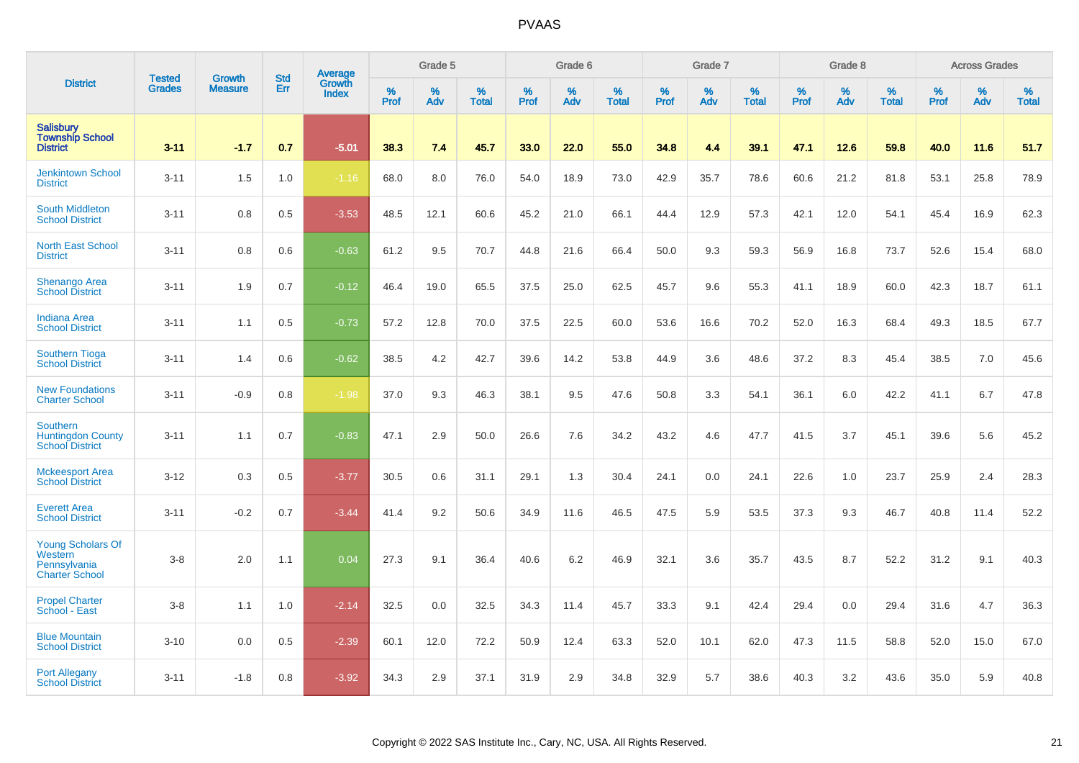|                                                                              | <b>Tested</b> | <b>Growth</b>  | <b>Std</b> | <b>Average</b><br>Growth |                     | Grade 5  |                   |                  | Grade 6  |                   |                  | Grade 7  |                   |                  | Grade 8     |                   |                  | <b>Across Grades</b> |                   |
|------------------------------------------------------------------------------|---------------|----------------|------------|--------------------------|---------------------|----------|-------------------|------------------|----------|-------------------|------------------|----------|-------------------|------------------|-------------|-------------------|------------------|----------------------|-------------------|
| <b>District</b>                                                              | <b>Grades</b> | <b>Measure</b> | Err        | <b>Index</b>             | $\%$<br><b>Prof</b> | %<br>Adv | %<br><b>Total</b> | %<br><b>Prof</b> | %<br>Adv | %<br><b>Total</b> | %<br><b>Prof</b> | %<br>Adv | %<br><b>Total</b> | %<br><b>Prof</b> | $\%$<br>Adv | %<br><b>Total</b> | %<br><b>Prof</b> | %<br>Adv             | %<br><b>Total</b> |
| <b>Salisbury</b><br><b>Township School</b><br><b>District</b>                | $3 - 11$      | $-1.7$         | 0.7        | $-5.01$                  | 38.3                | 7.4      | 45.7              | 33.0             | 22.0     | 55.0              | 34.8             | 4.4      | 39.1              | 47.1             | 12.6        | 59.8              | 40.0             | 11.6                 | 51.7              |
| <b>Jenkintown School</b><br><b>District</b>                                  | $3 - 11$      | 1.5            | 1.0        | $-1.16$                  | 68.0                | 8.0      | 76.0              | 54.0             | 18.9     | 73.0              | 42.9             | 35.7     | 78.6              | 60.6             | 21.2        | 81.8              | 53.1             | 25.8                 | 78.9              |
| <b>South Middleton</b><br><b>School District</b>                             | $3 - 11$      | 0.8            | 0.5        | $-3.53$                  | 48.5                | 12.1     | 60.6              | 45.2             | 21.0     | 66.1              | 44.4             | 12.9     | 57.3              | 42.1             | 12.0        | 54.1              | 45.4             | 16.9                 | 62.3              |
| <b>North East School</b><br><b>District</b>                                  | $3 - 11$      | 0.8            | 0.6        | $-0.63$                  | 61.2                | 9.5      | 70.7              | 44.8             | 21.6     | 66.4              | 50.0             | 9.3      | 59.3              | 56.9             | 16.8        | 73.7              | 52.6             | 15.4                 | 68.0              |
| Shenango Area<br><b>School District</b>                                      | $3 - 11$      | 1.9            | 0.7        | $-0.12$                  | 46.4                | 19.0     | 65.5              | 37.5             | 25.0     | 62.5              | 45.7             | 9.6      | 55.3              | 41.1             | 18.9        | 60.0              | 42.3             | 18.7                 | 61.1              |
| <b>Indiana Area</b><br><b>School District</b>                                | $3 - 11$      | 1.1            | 0.5        | $-0.73$                  | 57.2                | 12.8     | 70.0              | 37.5             | 22.5     | 60.0              | 53.6             | 16.6     | 70.2              | 52.0             | 16.3        | 68.4              | 49.3             | 18.5                 | 67.7              |
| <b>Southern Tioga</b><br><b>School District</b>                              | $3 - 11$      | 1.4            | 0.6        | $-0.62$                  | 38.5                | 4.2      | 42.7              | 39.6             | 14.2     | 53.8              | 44.9             | 3.6      | 48.6              | 37.2             | 8.3         | 45.4              | 38.5             | 7.0                  | 45.6              |
| <b>New Foundations</b><br><b>Charter School</b>                              | $3 - 11$      | $-0.9$         | 0.8        | $-1.98$                  | 37.0                | 9.3      | 46.3              | 38.1             | 9.5      | 47.6              | 50.8             | 3.3      | 54.1              | 36.1             | 6.0         | 42.2              | 41.1             | 6.7                  | 47.8              |
| Southern<br><b>Huntingdon County</b><br><b>School District</b>               | $3 - 11$      | 1.1            | 0.7        | $-0.83$                  | 47.1                | 2.9      | 50.0              | 26.6             | 7.6      | 34.2              | 43.2             | 4.6      | 47.7              | 41.5             | 3.7         | 45.1              | 39.6             | 5.6                  | 45.2              |
| <b>Mckeesport Area</b><br><b>School District</b>                             | $3 - 12$      | 0.3            | 0.5        | $-3.77$                  | 30.5                | 0.6      | 31.1              | 29.1             | 1.3      | 30.4              | 24.1             | 0.0      | 24.1              | 22.6             | 1.0         | 23.7              | 25.9             | 2.4                  | 28.3              |
| <b>Everett Area</b><br><b>School District</b>                                | $3 - 11$      | $-0.2$         | 0.7        | $-3.44$                  | 41.4                | 9.2      | 50.6              | 34.9             | 11.6     | 46.5              | 47.5             | 5.9      | 53.5              | 37.3             | 9.3         | 46.7              | 40.8             | 11.4                 | 52.2              |
| <b>Young Scholars Of</b><br>Western<br>Pennsylvania<br><b>Charter School</b> | $3-8$         | 2.0            | 1.1        | 0.04                     | 27.3                | 9.1      | 36.4              | 40.6             | 6.2      | 46.9              | 32.1             | 3.6      | 35.7              | 43.5             | 8.7         | 52.2              | 31.2             | 9.1                  | 40.3              |
| <b>Propel Charter</b><br>School - East                                       | $3-8$         | 1.1            | 1.0        | $-2.14$                  | 32.5                | 0.0      | 32.5              | 34.3             | 11.4     | 45.7              | 33.3             | 9.1      | 42.4              | 29.4             | 0.0         | 29.4              | 31.6             | 4.7                  | 36.3              |
| <b>Blue Mountain</b><br><b>School District</b>                               | $3 - 10$      | 0.0            | 0.5        | $-2.39$                  | 60.1                | 12.0     | 72.2              | 50.9             | 12.4     | 63.3              | 52.0             | 10.1     | 62.0              | 47.3             | 11.5        | 58.8              | 52.0             | 15.0                 | 67.0              |
| <b>Port Allegany</b><br><b>School District</b>                               | $3 - 11$      | $-1.8$         | 0.8        | $-3.92$                  | 34.3                | 2.9      | 37.1              | 31.9             | 2.9      | 34.8              | 32.9             | 5.7      | 38.6              | 40.3             | 3.2         | 43.6              | 35.0             | 5.9                  | 40.8              |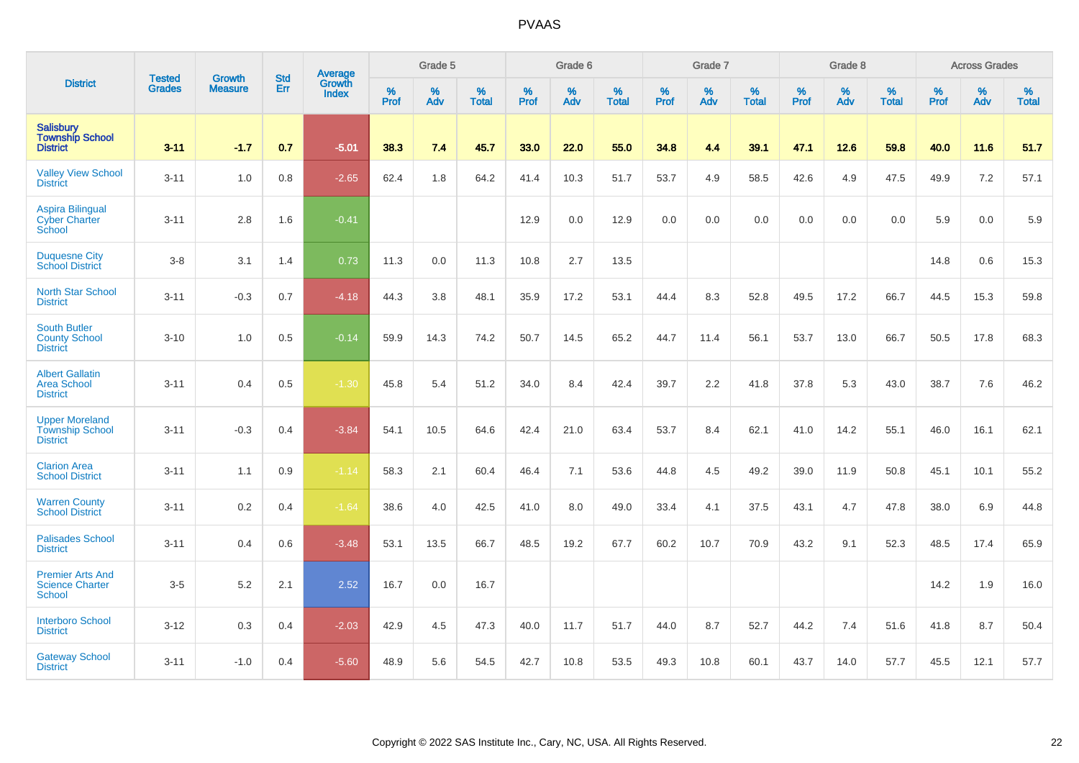|                                                                    |                                | <b>Growth</b>  | <b>Std</b> | Average                |                     | Grade 5  |                   |              | Grade 6  |                   |              | Grade 7  |                   |              | Grade 8  |                   |              | <b>Across Grades</b> |                   |
|--------------------------------------------------------------------|--------------------------------|----------------|------------|------------------------|---------------------|----------|-------------------|--------------|----------|-------------------|--------------|----------|-------------------|--------------|----------|-------------------|--------------|----------------------|-------------------|
| <b>District</b>                                                    | <b>Tested</b><br><b>Grades</b> | <b>Measure</b> | Err        | Growth<br><b>Index</b> | $\%$<br><b>Prof</b> | %<br>Adv | %<br><b>Total</b> | $\%$<br>Prof | %<br>Adv | %<br><b>Total</b> | $\%$<br>Prof | %<br>Adv | %<br><b>Total</b> | $\%$<br>Prof | %<br>Adv | %<br><b>Total</b> | $\%$<br>Prof | %<br>Adv             | %<br><b>Total</b> |
| <b>Salisbury</b><br><b>Township School</b><br><b>District</b>      | $3 - 11$                       | $-1.7$         | 0.7        | $-5.01$                | 38.3                | 7.4      | 45.7              | 33.0         | 22.0     | 55.0              | 34.8         | 4.4      | 39.1              | 47.1         | 12.6     | 59.8              | 40.0         | 11.6                 | 51.7              |
| <b>Valley View School</b><br><b>District</b>                       | $3 - 11$                       | 1.0            | 0.8        | $-2.65$                | 62.4                | 1.8      | 64.2              | 41.4         | 10.3     | 51.7              | 53.7         | 4.9      | 58.5              | 42.6         | 4.9      | 47.5              | 49.9         | 7.2                  | 57.1              |
| <b>Aspira Bilingual</b><br><b>Cyber Charter</b><br>School          | $3 - 11$                       | 2.8            | 1.6        | $-0.41$                |                     |          |                   | 12.9         | 0.0      | 12.9              | 0.0          | $0.0\,$  | 0.0               | 0.0          | 0.0      | 0.0               | 5.9          | $0.0\,$              | 5.9               |
| <b>Duquesne City</b><br><b>School District</b>                     | $3 - 8$                        | 3.1            | 1.4        | 0.73                   | 11.3                | 0.0      | 11.3              | 10.8         | 2.7      | 13.5              |              |          |                   |              |          |                   | 14.8         | 0.6                  | 15.3              |
| <b>North Star School</b><br><b>District</b>                        | $3 - 11$                       | $-0.3$         | 0.7        | $-4.18$                | 44.3                | 3.8      | 48.1              | 35.9         | 17.2     | 53.1              | 44.4         | 8.3      | 52.8              | 49.5         | 17.2     | 66.7              | 44.5         | 15.3                 | 59.8              |
| <b>South Butler</b><br><b>County School</b><br><b>District</b>     | $3 - 10$                       | 1.0            | 0.5        | $-0.14$                | 59.9                | 14.3     | 74.2              | 50.7         | 14.5     | 65.2              | 44.7         | 11.4     | 56.1              | 53.7         | 13.0     | 66.7              | 50.5         | 17.8                 | 68.3              |
| <b>Albert Gallatin</b><br><b>Area School</b><br><b>District</b>    | $3 - 11$                       | 0.4            | 0.5        | $-1.30$                | 45.8                | 5.4      | 51.2              | 34.0         | 8.4      | 42.4              | 39.7         | 2.2      | 41.8              | 37.8         | 5.3      | 43.0              | 38.7         | 7.6                  | 46.2              |
| <b>Upper Moreland</b><br><b>Township School</b><br><b>District</b> | $3 - 11$                       | $-0.3$         | 0.4        | $-3.84$                | 54.1                | 10.5     | 64.6              | 42.4         | 21.0     | 63.4              | 53.7         | 8.4      | 62.1              | 41.0         | 14.2     | 55.1              | 46.0         | 16.1                 | 62.1              |
| <b>Clarion Area</b><br><b>School District</b>                      | $3 - 11$                       | 1.1            | 0.9        | $-1.14$                | 58.3                | 2.1      | 60.4              | 46.4         | 7.1      | 53.6              | 44.8         | 4.5      | 49.2              | 39.0         | 11.9     | 50.8              | 45.1         | 10.1                 | 55.2              |
| <b>Warren County</b><br><b>School District</b>                     | $3 - 11$                       | 0.2            | 0.4        | $-1.64$                | 38.6                | 4.0      | 42.5              | 41.0         | 8.0      | 49.0              | 33.4         | 4.1      | 37.5              | 43.1         | 4.7      | 47.8              | 38.0         | 6.9                  | 44.8              |
| <b>Palisades School</b><br><b>District</b>                         | $3 - 11$                       | 0.4            | 0.6        | $-3.48$                | 53.1                | 13.5     | 66.7              | 48.5         | 19.2     | 67.7              | 60.2         | 10.7     | 70.9              | 43.2         | 9.1      | 52.3              | 48.5         | 17.4                 | 65.9              |
| <b>Premier Arts And</b><br><b>Science Charter</b><br><b>School</b> | $3-5$                          | 5.2            | 2.1        | 2.52                   | 16.7                | 0.0      | 16.7              |              |          |                   |              |          |                   |              |          |                   | 14.2         | 1.9                  | 16.0              |
| <b>Interboro School</b><br><b>District</b>                         | $3 - 12$                       | 0.3            | 0.4        | $-2.03$                | 42.9                | 4.5      | 47.3              | 40.0         | 11.7     | 51.7              | 44.0         | 8.7      | 52.7              | 44.2         | 7.4      | 51.6              | 41.8         | 8.7                  | 50.4              |
| <b>Gateway School</b><br><b>District</b>                           | $3 - 11$                       | $-1.0$         | 0.4        | $-5.60$                | 48.9                | 5.6      | 54.5              | 42.7         | 10.8     | 53.5              | 49.3         | 10.8     | 60.1              | 43.7         | 14.0     | 57.7              | 45.5         | 12.1                 | 57.7              |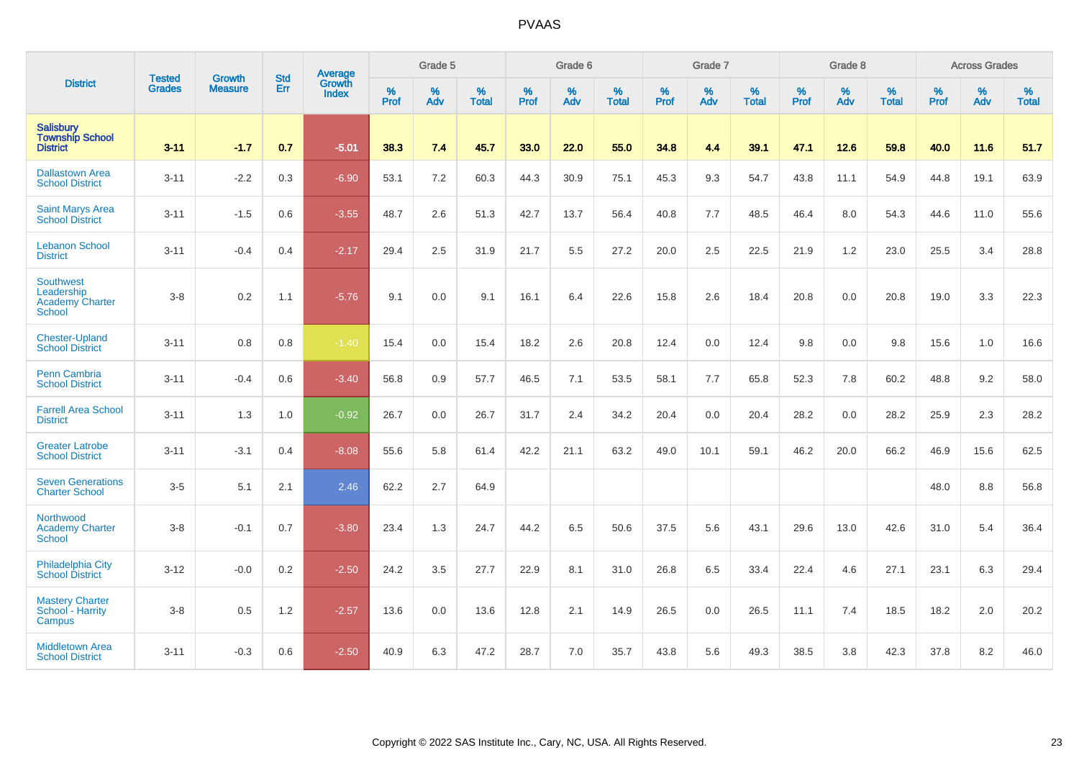|                                                                    |                                |                                 | <b>Std</b> | Average                |                     | Grade 5  |                   |                     | Grade 6  |                   |                     | Grade 7  |                   |                     | Grade 8  |                   |                     | <b>Across Grades</b> |                   |
|--------------------------------------------------------------------|--------------------------------|---------------------------------|------------|------------------------|---------------------|----------|-------------------|---------------------|----------|-------------------|---------------------|----------|-------------------|---------------------|----------|-------------------|---------------------|----------------------|-------------------|
| <b>District</b>                                                    | <b>Tested</b><br><b>Grades</b> | <b>Growth</b><br><b>Measure</b> | Err        | Growth<br><b>Index</b> | $\%$<br><b>Prof</b> | %<br>Adv | %<br><b>Total</b> | $\%$<br><b>Prof</b> | %<br>Adv | %<br><b>Total</b> | $\%$<br><b>Prof</b> | %<br>Adv | %<br><b>Total</b> | $\%$<br><b>Prof</b> | %<br>Adv | %<br><b>Total</b> | $\%$<br><b>Prof</b> | %<br>Adv             | %<br><b>Total</b> |
| Salisbury<br>Township School<br><b>District</b>                    | $3 - 11$                       | $-1.7$                          | 0.7        | $-5.01$                | 38.3                | 7.4      | 45.7              | 33.0                | 22.0     | 55.0              | 34.8                | 4.4      | 39.1              | 47.1                | 12.6     | 59.8              | 40.0                | 11.6                 | 51.7              |
| <b>Dallastown Area</b><br><b>School District</b>                   | $3 - 11$                       | $-2.2$                          | 0.3        | $-6.90$                | 53.1                | 7.2      | 60.3              | 44.3                | 30.9     | 75.1              | 45.3                | 9.3      | 54.7              | 43.8                | 11.1     | 54.9              | 44.8                | 19.1                 | 63.9              |
| <b>Saint Marys Area</b><br><b>School District</b>                  | $3 - 11$                       | $-1.5$                          | 0.6        | $-3.55$                | 48.7                | 2.6      | 51.3              | 42.7                | 13.7     | 56.4              | 40.8                | 7.7      | 48.5              | 46.4                | 8.0      | 54.3              | 44.6                | 11.0                 | 55.6              |
| <b>Lebanon School</b><br><b>District</b>                           | $3 - 11$                       | $-0.4$                          | 0.4        | $-2.17$                | 29.4                | 2.5      | 31.9              | 21.7                | 5.5      | 27.2              | 20.0                | 2.5      | 22.5              | 21.9                | 1.2      | 23.0              | 25.5                | 3.4                  | 28.8              |
| Southwest<br>Leadership<br><b>Academy Charter</b><br><b>School</b> | $3 - 8$                        | 0.2                             | 1.1        | $-5.76$                | 9.1                 | 0.0      | 9.1               | 16.1                | 6.4      | 22.6              | 15.8                | 2.6      | 18.4              | 20.8                | 0.0      | 20.8              | 19.0                | 3.3                  | 22.3              |
| <b>Chester-Upland</b><br><b>School District</b>                    | $3 - 11$                       | 0.8                             | 0.8        | $-1.40$                | 15.4                | 0.0      | 15.4              | 18.2                | 2.6      | 20.8              | 12.4                | 0.0      | 12.4              | 9.8                 | 0.0      | 9.8               | 15.6                | 1.0                  | 16.6              |
| <b>Penn Cambria</b><br><b>School District</b>                      | $3 - 11$                       | $-0.4$                          | 0.6        | $-3.40$                | 56.8                | 0.9      | 57.7              | 46.5                | 7.1      | 53.5              | 58.1                | 7.7      | 65.8              | 52.3                | 7.8      | 60.2              | 48.8                | 9.2                  | 58.0              |
| <b>Farrell Area School</b><br><b>District</b>                      | $3 - 11$                       | 1.3                             | 1.0        | $-0.92$                | 26.7                | 0.0      | 26.7              | 31.7                | 2.4      | 34.2              | 20.4                | 0.0      | 20.4              | 28.2                | 0.0      | 28.2              | 25.9                | 2.3                  | 28.2              |
| <b>Greater Latrobe</b><br><b>School District</b>                   | $3 - 11$                       | $-3.1$                          | 0.4        | $-8.08$                | 55.6                | 5.8      | 61.4              | 42.2                | 21.1     | 63.2              | 49.0                | 10.1     | 59.1              | 46.2                | 20.0     | 66.2              | 46.9                | 15.6                 | 62.5              |
| <b>Seven Generations</b><br><b>Charter School</b>                  | $3-5$                          | 5.1                             | 2.1        | 2.46                   | 62.2                | 2.7      | 64.9              |                     |          |                   |                     |          |                   |                     |          |                   | 48.0                | 8.8                  | 56.8              |
| Northwood<br><b>Academy Charter</b><br>School                      | $3 - 8$                        | $-0.1$                          | 0.7        | $-3.80$                | 23.4                | 1.3      | 24.7              | 44.2                | 6.5      | 50.6              | 37.5                | 5.6      | 43.1              | 29.6                | 13.0     | 42.6              | 31.0                | 5.4                  | 36.4              |
| <b>Philadelphia City</b><br><b>School District</b>                 | $3 - 12$                       | $-0.0$                          | 0.2        | $-2.50$                | 24.2                | 3.5      | 27.7              | 22.9                | 8.1      | 31.0              | 26.8                | 6.5      | 33.4              | 22.4                | 4.6      | 27.1              | 23.1                | 6.3                  | 29.4              |
| <b>Mastery Charter</b><br>School - Harrity<br>Campus               | $3-8$                          | 0.5                             | 1.2        | $-2.57$                | 13.6                | 0.0      | 13.6              | 12.8                | 2.1      | 14.9              | 26.5                | 0.0      | 26.5              | 11.1                | 7.4      | 18.5              | 18.2                | 2.0                  | 20.2              |
| <b>Middletown Area</b><br><b>School District</b>                   | $3 - 11$                       | $-0.3$                          | 0.6        | $-2.50$                | 40.9                | 6.3      | 47.2              | 28.7                | 7.0      | 35.7              | 43.8                | 5.6      | 49.3              | 38.5                | 3.8      | 42.3              | 37.8                | 8.2                  | 46.0              |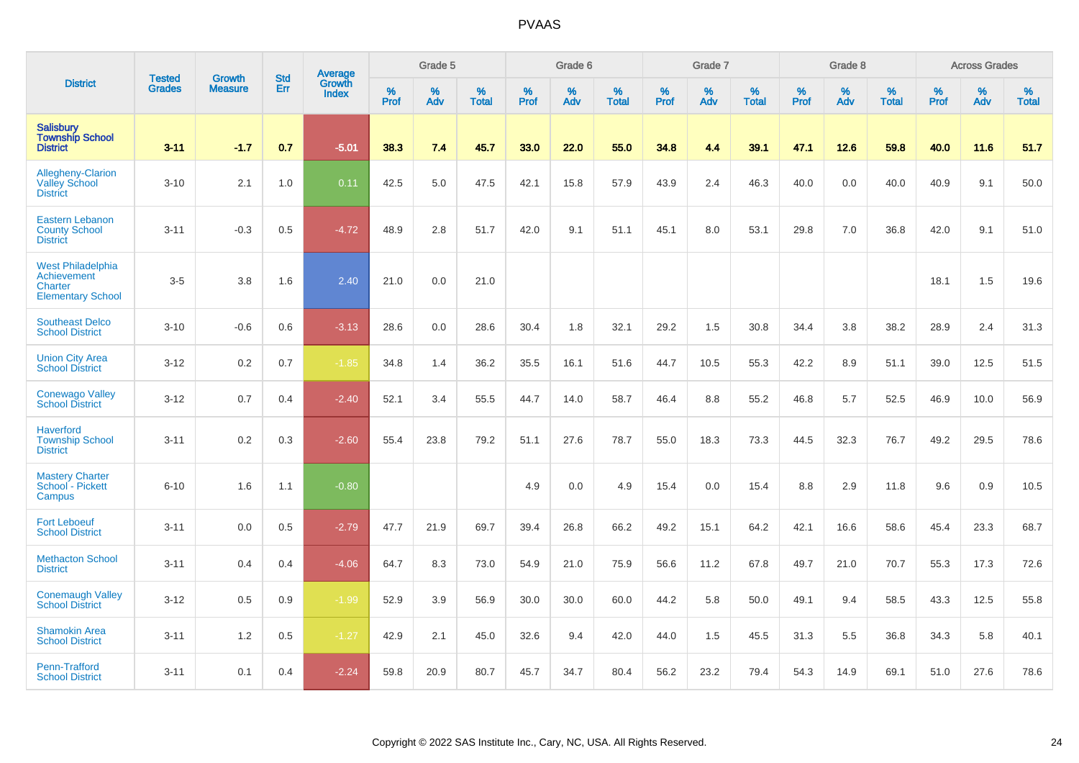|                                                                                | <b>Tested</b> | <b>Growth</b>  | <b>Std</b> | Average                |           | Grade 5  |                   |           | Grade 6  |                   |           | Grade 7  |                   |           | Grade 8  |                   |           | <b>Across Grades</b> |                   |
|--------------------------------------------------------------------------------|---------------|----------------|------------|------------------------|-----------|----------|-------------------|-----------|----------|-------------------|-----------|----------|-------------------|-----------|----------|-------------------|-----------|----------------------|-------------------|
| <b>District</b>                                                                | <b>Grades</b> | <b>Measure</b> | Err        | Growth<br><b>Index</b> | %<br>Prof | %<br>Adv | %<br><b>Total</b> | %<br>Prof | %<br>Adv | %<br><b>Total</b> | %<br>Prof | %<br>Adv | %<br><b>Total</b> | %<br>Prof | %<br>Adv | %<br><b>Total</b> | %<br>Prof | %<br>Adv             | %<br><b>Total</b> |
| <b>Salisbury</b><br><b>Township School</b><br><b>District</b>                  | $3 - 11$      | $-1.7$         | 0.7        | $-5.01$                | 38.3      | 7.4      | 45.7              | 33.0      | 22.0     | 55.0              | 34.8      | 4.4      | 39.1              | 47.1      | 12.6     | 59.8              | 40.0      | 11.6                 | 51.7              |
| Allegheny-Clarion<br><b>Valley School</b><br><b>District</b>                   | $3 - 10$      | 2.1            | 1.0        | 0.11                   | 42.5      | 5.0      | 47.5              | 42.1      | 15.8     | 57.9              | 43.9      | 2.4      | 46.3              | 40.0      | 0.0      | 40.0              | 40.9      | 9.1                  | 50.0              |
| <b>Eastern Lebanon</b><br><b>County School</b><br><b>District</b>              | $3 - 11$      | $-0.3$         | 0.5        | $-4.72$                | 48.9      | 2.8      | 51.7              | 42.0      | 9.1      | 51.1              | 45.1      | 8.0      | 53.1              | 29.8      | 7.0      | 36.8              | 42.0      | 9.1                  | 51.0              |
| <b>West Philadelphia</b><br>Achievement<br>Charter<br><b>Elementary School</b> | $3-5$         | 3.8            | 1.6        | 2.40                   | 21.0      | 0.0      | 21.0              |           |          |                   |           |          |                   |           |          |                   | 18.1      | 1.5                  | 19.6              |
| <b>Southeast Delco</b><br><b>School District</b>                               | $3 - 10$      | $-0.6$         | 0.6        | $-3.13$                | 28.6      | 0.0      | 28.6              | 30.4      | 1.8      | 32.1              | 29.2      | 1.5      | 30.8              | 34.4      | 3.8      | 38.2              | 28.9      | 2.4                  | 31.3              |
| <b>Union City Area</b><br><b>School District</b>                               | $3 - 12$      | 0.2            | 0.7        | $-1.85$                | 34.8      | 1.4      | 36.2              | 35.5      | 16.1     | 51.6              | 44.7      | 10.5     | 55.3              | 42.2      | 8.9      | 51.1              | 39.0      | 12.5                 | 51.5              |
| <b>Conewago Valley</b><br><b>School District</b>                               | $3 - 12$      | 0.7            | 0.4        | $-2.40$                | 52.1      | 3.4      | 55.5              | 44.7      | 14.0     | 58.7              | 46.4      | 8.8      | 55.2              | 46.8      | 5.7      | 52.5              | 46.9      | 10.0                 | 56.9              |
| Haverford<br><b>Township School</b><br><b>District</b>                         | $3 - 11$      | 0.2            | 0.3        | $-2.60$                | 55.4      | 23.8     | 79.2              | 51.1      | 27.6     | 78.7              | 55.0      | 18.3     | 73.3              | 44.5      | 32.3     | 76.7              | 49.2      | 29.5                 | 78.6              |
| <b>Mastery Charter</b><br>School - Pickett<br>Campus                           | $6 - 10$      | 1.6            | 1.1        | $-0.80$                |           |          |                   | 4.9       | 0.0      | 4.9               | 15.4      | 0.0      | 15.4              | 8.8       | 2.9      | 11.8              | 9.6       | 0.9                  | 10.5              |
| <b>Fort Leboeuf</b><br><b>School District</b>                                  | $3 - 11$      | 0.0            | 0.5        | $-2.79$                | 47.7      | 21.9     | 69.7              | 39.4      | 26.8     | 66.2              | 49.2      | 15.1     | 64.2              | 42.1      | 16.6     | 58.6              | 45.4      | 23.3                 | 68.7              |
| <b>Methacton School</b><br><b>District</b>                                     | $3 - 11$      | 0.4            | 0.4        | $-4.06$                | 64.7      | 8.3      | 73.0              | 54.9      | 21.0     | 75.9              | 56.6      | 11.2     | 67.8              | 49.7      | 21.0     | 70.7              | 55.3      | 17.3                 | 72.6              |
| <b>Conemaugh Valley</b><br><b>School District</b>                              | $3 - 12$      | 0.5            | 0.9        | $-1.99$                | 52.9      | 3.9      | 56.9              | 30.0      | 30.0     | 60.0              | 44.2      | 5.8      | 50.0              | 49.1      | 9.4      | 58.5              | 43.3      | 12.5                 | 55.8              |
| <b>Shamokin Area</b><br><b>School District</b>                                 | $3 - 11$      | 1.2            | 0.5        | $-1.27$                | 42.9      | 2.1      | 45.0              | 32.6      | 9.4      | 42.0              | 44.0      | 1.5      | 45.5              | 31.3      | 5.5      | 36.8              | 34.3      | 5.8                  | 40.1              |
| Penn-Trafford<br><b>School District</b>                                        | $3 - 11$      | 0.1            | 0.4        | $-2.24$                | 59.8      | 20.9     | 80.7              | 45.7      | 34.7     | 80.4              | 56.2      | 23.2     | 79.4              | 54.3      | 14.9     | 69.1              | 51.0      | 27.6                 | 78.6              |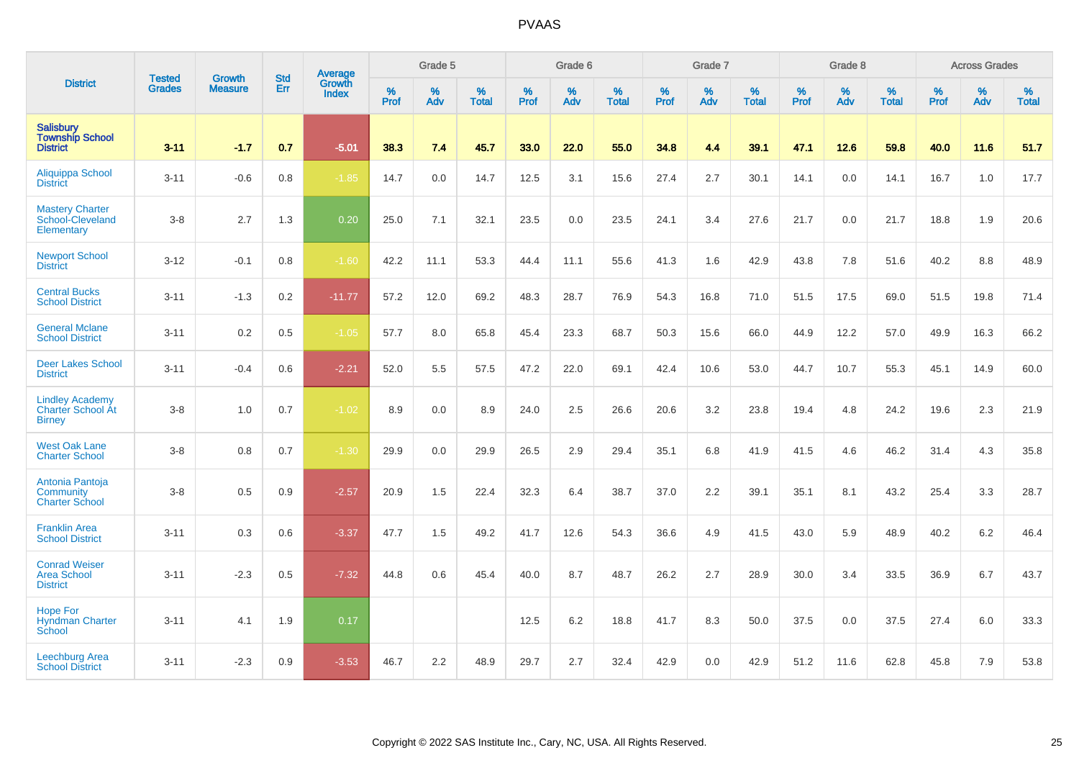|                                                                     |                                |                                 | <b>Std</b> | Average                |           | Grade 5  |                   |           | Grade 6  |                   |           | Grade 7  |                   |           | Grade 8  |                   |           | <b>Across Grades</b> |                   |
|---------------------------------------------------------------------|--------------------------------|---------------------------------|------------|------------------------|-----------|----------|-------------------|-----------|----------|-------------------|-----------|----------|-------------------|-----------|----------|-------------------|-----------|----------------------|-------------------|
| <b>District</b>                                                     | <b>Tested</b><br><b>Grades</b> | <b>Growth</b><br><b>Measure</b> | Err        | Growth<br><b>Index</b> | %<br>Prof | %<br>Adv | %<br><b>Total</b> | %<br>Prof | %<br>Adv | %<br><b>Total</b> | %<br>Prof | %<br>Adv | %<br><b>Total</b> | %<br>Prof | %<br>Adv | %<br><b>Total</b> | %<br>Prof | %<br>Adv             | %<br><b>Total</b> |
| Salisbury<br><b>Township School</b><br><b>District</b>              | $3 - 11$                       | $-1.7$                          | 0.7        | $-5.01$                | 38.3      | 7.4      | 45.7              | 33.0      | 22.0     | 55.0              | 34.8      | 4.4      | 39.1              | 47.1      | 12.6     | 59.8              | 40.0      | 11.6                 | 51.7              |
| Aliquippa School<br><b>District</b>                                 | $3 - 11$                       | $-0.6$                          | 0.8        | $-1.85$                | 14.7      | 0.0      | 14.7              | 12.5      | 3.1      | 15.6              | 27.4      | 2.7      | 30.1              | 14.1      | 0.0      | 14.1              | 16.7      | 1.0                  | 17.7              |
| <b>Mastery Charter</b><br>School-Cleveland<br>Elementary            | $3-8$                          | 2.7                             | 1.3        | 0.20                   | 25.0      | 7.1      | 32.1              | 23.5      | 0.0      | 23.5              | 24.1      | 3.4      | 27.6              | 21.7      | 0.0      | 21.7              | 18.8      | 1.9                  | 20.6              |
| <b>Newport School</b><br><b>District</b>                            | $3 - 12$                       | $-0.1$                          | 0.8        | $-1.60$                | 42.2      | 11.1     | 53.3              | 44.4      | 11.1     | 55.6              | 41.3      | 1.6      | 42.9              | 43.8      | 7.8      | 51.6              | 40.2      | 8.8                  | 48.9              |
| <b>Central Bucks</b><br><b>School District</b>                      | $3 - 11$                       | $-1.3$                          | 0.2        | $-11.77$               | 57.2      | 12.0     | 69.2              | 48.3      | 28.7     | 76.9              | 54.3      | 16.8     | 71.0              | 51.5      | 17.5     | 69.0              | 51.5      | 19.8                 | 71.4              |
| <b>General Mclane</b><br><b>School District</b>                     | $3 - 11$                       | 0.2                             | 0.5        | $-1.05$                | 57.7      | 8.0      | 65.8              | 45.4      | 23.3     | 68.7              | 50.3      | 15.6     | 66.0              | 44.9      | 12.2     | 57.0              | 49.9      | 16.3                 | 66.2              |
| <b>Deer Lakes School</b><br><b>District</b>                         | $3 - 11$                       | $-0.4$                          | 0.6        | $-2.21$                | 52.0      | 5.5      | 57.5              | 47.2      | 22.0     | 69.1              | 42.4      | 10.6     | 53.0              | 44.7      | 10.7     | 55.3              | 45.1      | 14.9                 | 60.0              |
| <b>Lindley Academy</b><br><b>Charter School At</b><br><b>Birney</b> | $3-8$                          | 1.0                             | 0.7        | $-1.02$                | 8.9       | 0.0      | 8.9               | 24.0      | 2.5      | 26.6              | 20.6      | 3.2      | 23.8              | 19.4      | 4.8      | 24.2              | 19.6      | 2.3                  | 21.9              |
| <b>West Oak Lane</b><br><b>Charter School</b>                       | $3-8$                          | 0.8                             | 0.7        | $-1.30$                | 29.9      | 0.0      | 29.9              | 26.5      | 2.9      | 29.4              | 35.1      | 6.8      | 41.9              | 41.5      | 4.6      | 46.2              | 31.4      | 4.3                  | 35.8              |
| Antonia Pantoja<br>Community<br><b>Charter School</b>               | $3-8$                          | 0.5                             | 0.9        | $-2.57$                | 20.9      | 1.5      | 22.4              | 32.3      | 6.4      | 38.7              | 37.0      | 2.2      | 39.1              | 35.1      | 8.1      | 43.2              | 25.4      | 3.3                  | 28.7              |
| <b>Franklin Area</b><br><b>School District</b>                      | $3 - 11$                       | 0.3                             | 0.6        | $-3.37$                | 47.7      | 1.5      | 49.2              | 41.7      | 12.6     | 54.3              | 36.6      | 4.9      | 41.5              | 43.0      | 5.9      | 48.9              | 40.2      | 6.2                  | 46.4              |
| <b>Conrad Weiser</b><br><b>Area School</b><br><b>District</b>       | $3 - 11$                       | $-2.3$                          | 0.5        | $-7.32$                | 44.8      | 0.6      | 45.4              | 40.0      | 8.7      | 48.7              | 26.2      | 2.7      | 28.9              | 30.0      | 3.4      | 33.5              | 36.9      | 6.7                  | 43.7              |
| <b>Hope For</b><br><b>Hyndman Charter</b><br>School                 | $3 - 11$                       | 4.1                             | 1.9        | 0.17                   |           |          |                   | 12.5      | 6.2      | 18.8              | 41.7      | 8.3      | 50.0              | 37.5      | 0.0      | 37.5              | 27.4      | 6.0                  | 33.3              |
| <b>Leechburg Area</b><br><b>School District</b>                     | $3 - 11$                       | $-2.3$                          | 0.9        | $-3.53$                | 46.7      | 2.2      | 48.9              | 29.7      | 2.7      | 32.4              | 42.9      | 0.0      | 42.9              | 51.2      | 11.6     | 62.8              | 45.8      | 7.9                  | 53.8              |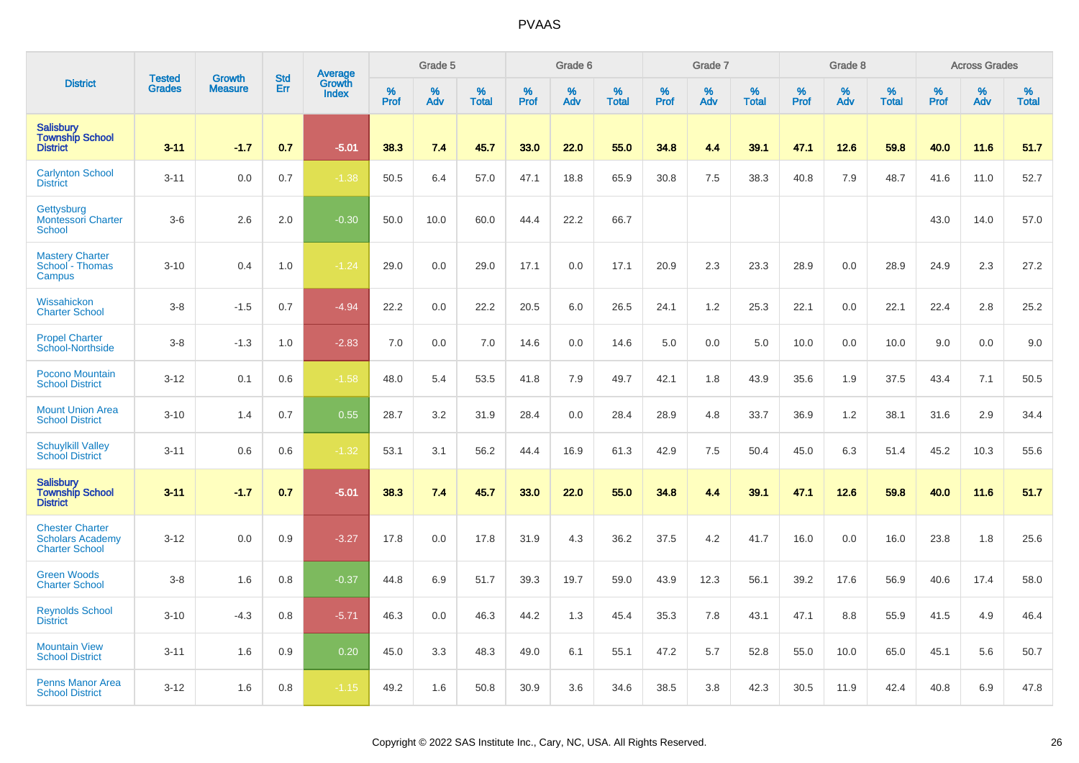|                                                                            | <b>Tested</b> | <b>Growth</b>  | <b>Std</b> | Average                |              | Grade 5  |                   |           | Grade 6  |                   |           | Grade 7  |                   |           | Grade 8  |                   |           | <b>Across Grades</b> |                   |
|----------------------------------------------------------------------------|---------------|----------------|------------|------------------------|--------------|----------|-------------------|-----------|----------|-------------------|-----------|----------|-------------------|-----------|----------|-------------------|-----------|----------------------|-------------------|
| <b>District</b>                                                            | <b>Grades</b> | <b>Measure</b> | Err        | Growth<br><b>Index</b> | $\%$<br>Prof | %<br>Adv | %<br><b>Total</b> | %<br>Prof | %<br>Adv | %<br><b>Total</b> | %<br>Prof | %<br>Adv | %<br><b>Total</b> | %<br>Prof | %<br>Adv | %<br><b>Total</b> | %<br>Prof | %<br>Adv             | %<br><b>Total</b> |
| <b>Salisbury</b><br><b>Township School</b><br><b>District</b>              | $3 - 11$      | $-1.7$         | 0.7        | $-5.01$                | 38.3         | 7.4      | 45.7              | 33.0      | 22.0     | 55.0              | 34.8      | 4.4      | 39.1              | 47.1      | 12.6     | 59.8              | 40.0      | 11.6                 | 51.7              |
| <b>Carlynton School</b><br><b>District</b>                                 | $3 - 11$      | 0.0            | 0.7        | $-1.38$                | 50.5         | 6.4      | 57.0              | 47.1      | 18.8     | 65.9              | 30.8      | 7.5      | 38.3              | 40.8      | 7.9      | 48.7              | 41.6      | 11.0                 | 52.7              |
| Gettysburg<br><b>Montessori Charter</b><br><b>School</b>                   | $3-6$         | 2.6            | 2.0        | $-0.30$                | 50.0         | 10.0     | 60.0              | 44.4      | 22.2     | 66.7              |           |          |                   |           |          |                   | 43.0      | 14.0                 | 57.0              |
| <b>Mastery Charter</b><br>School - Thomas<br>Campus                        | $3 - 10$      | 0.4            | 1.0        | $-1.24$                | 29.0         | 0.0      | 29.0              | 17.1      | 0.0      | 17.1              | 20.9      | 2.3      | 23.3              | 28.9      | 0.0      | 28.9              | 24.9      | 2.3                  | 27.2              |
| Wissahickon<br><b>Charter School</b>                                       | $3 - 8$       | $-1.5$         | 0.7        | $-4.94$                | 22.2         | 0.0      | 22.2              | 20.5      | 6.0      | 26.5              | 24.1      | 1.2      | 25.3              | 22.1      | 0.0      | 22.1              | 22.4      | 2.8                  | 25.2              |
| <b>Propel Charter</b><br>School-Northside                                  | $3 - 8$       | $-1.3$         | 1.0        | $-2.83$                | 7.0          | 0.0      | 7.0               | 14.6      | 0.0      | 14.6              | 5.0       | 0.0      | 5.0               | 10.0      | 0.0      | 10.0              | 9.0       | 0.0                  | 9.0               |
| <b>Pocono Mountain</b><br><b>School District</b>                           | $3 - 12$      | 0.1            | 0.6        | $-1.58$                | 48.0         | 5.4      | 53.5              | 41.8      | 7.9      | 49.7              | 42.1      | 1.8      | 43.9              | 35.6      | 1.9      | 37.5              | 43.4      | 7.1                  | 50.5              |
| <b>Mount Union Area</b><br><b>School District</b>                          | $3 - 10$      | 1.4            | 0.7        | 0.55                   | 28.7         | 3.2      | 31.9              | 28.4      | 0.0      | 28.4              | 28.9      | 4.8      | 33.7              | 36.9      | 1.2      | 38.1              | 31.6      | 2.9                  | 34.4              |
| <b>Schuylkill Valley</b><br><b>School District</b>                         | $3 - 11$      | 0.6            | 0.6        | $-1.32$                | 53.1         | 3.1      | 56.2              | 44.4      | 16.9     | 61.3              | 42.9      | 7.5      | 50.4              | 45.0      | 6.3      | 51.4              | 45.2      | 10.3                 | 55.6              |
| <b>Salisbury</b><br><b>Township School</b><br><b>District</b>              | $3 - 11$      | $-1.7$         | 0.7        | $-5.01$                | 38.3         | 7.4      | 45.7              | 33.0      | 22.0     | 55.0              | 34.8      | 4.4      | 39.1              | 47.1      | 12.6     | 59.8              | 40.0      | 11.6                 | 51.7              |
| <b>Chester Charter</b><br><b>Scholars Academy</b><br><b>Charter School</b> | $3 - 12$      | 0.0            | 0.9        | $-3.27$                | 17.8         | 0.0      | 17.8              | 31.9      | 4.3      | 36.2              | 37.5      | 4.2      | 41.7              | 16.0      | 0.0      | 16.0              | 23.8      | 1.8                  | 25.6              |
| <b>Green Woods</b><br><b>Charter School</b>                                | $3 - 8$       | 1.6            | 0.8        | $-0.37$                | 44.8         | 6.9      | 51.7              | 39.3      | 19.7     | 59.0              | 43.9      | 12.3     | 56.1              | 39.2      | 17.6     | 56.9              | 40.6      | 17.4                 | 58.0              |
| <b>Reynolds School</b><br><b>District</b>                                  | $3 - 10$      | $-4.3$         | 0.8        | $-5.71$                | 46.3         | 0.0      | 46.3              | 44.2      | 1.3      | 45.4              | 35.3      | 7.8      | 43.1              | 47.1      | 8.8      | 55.9              | 41.5      | 4.9                  | 46.4              |
| <b>Mountain View</b><br><b>School District</b>                             | $3 - 11$      | 1.6            | 0.9        | 0.20                   | 45.0         | 3.3      | 48.3              | 49.0      | 6.1      | 55.1              | 47.2      | 5.7      | 52.8              | 55.0      | 10.0     | 65.0              | 45.1      | 5.6                  | 50.7              |
| <b>Penns Manor Area</b><br><b>School District</b>                          | $3 - 12$      | 1.6            | 0.8        | $-1.15$                | 49.2         | 1.6      | 50.8              | 30.9      | 3.6      | 34.6              | 38.5      | 3.8      | 42.3              | 30.5      | 11.9     | 42.4              | 40.8      | 6.9                  | 47.8              |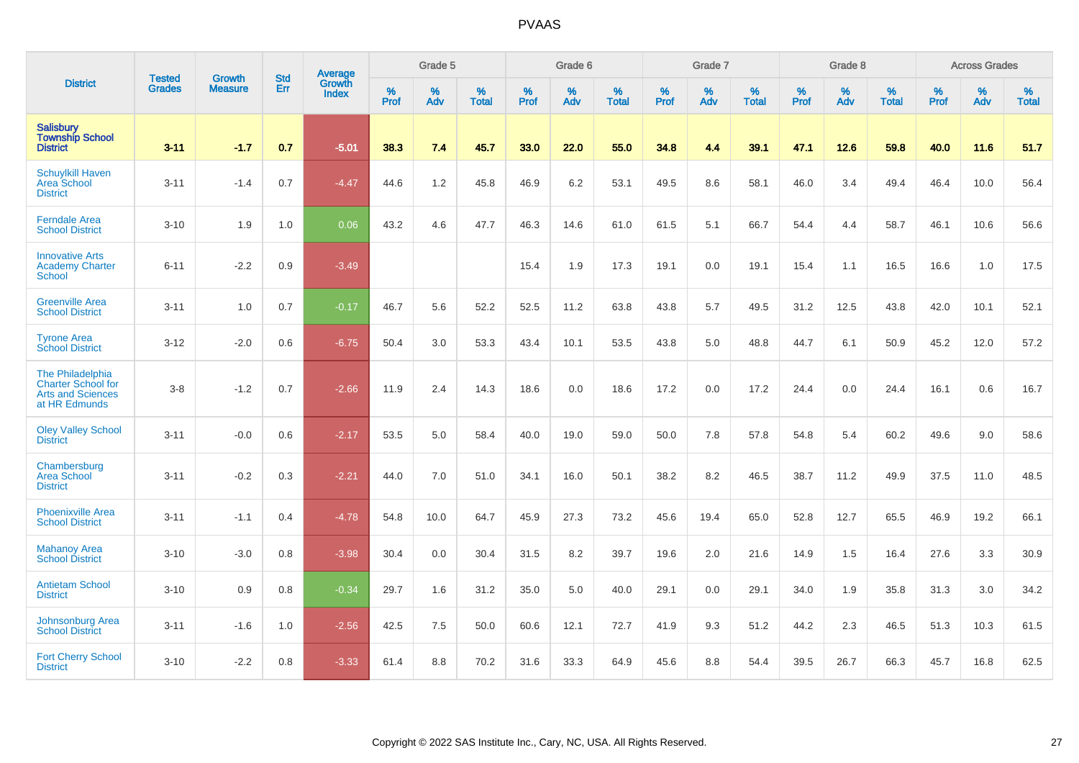|                                                                                            |                                |                                 | <b>Std</b> | Average                |           | Grade 5  |                   |           | Grade 6  |                   |           | Grade 7  |                   |           | Grade 8  |                   |           | <b>Across Grades</b> |                   |
|--------------------------------------------------------------------------------------------|--------------------------------|---------------------------------|------------|------------------------|-----------|----------|-------------------|-----------|----------|-------------------|-----------|----------|-------------------|-----------|----------|-------------------|-----------|----------------------|-------------------|
| <b>District</b>                                                                            | <b>Tested</b><br><b>Grades</b> | <b>Growth</b><br><b>Measure</b> | Err        | Growth<br><b>Index</b> | %<br>Prof | %<br>Adv | %<br><b>Total</b> | %<br>Prof | %<br>Adv | %<br><b>Total</b> | %<br>Prof | %<br>Adv | %<br><b>Total</b> | %<br>Prof | %<br>Adv | %<br><b>Total</b> | %<br>Prof | %<br>Adv             | %<br><b>Total</b> |
| <b>Salisbury</b><br><b>Township School</b><br><b>District</b>                              | $3 - 11$                       | $-1.7$                          | 0.7        | $-5.01$                | 38.3      | 7.4      | 45.7              | 33.0      | 22.0     | 55.0              | 34.8      | 4.4      | 39.1              | 47.1      | 12.6     | 59.8              | 40.0      | 11.6                 | 51.7              |
| <b>Schuylkill Haven</b><br>Area School<br><b>District</b>                                  | $3 - 11$                       | $-1.4$                          | 0.7        | $-4.47$                | 44.6      | 1.2      | 45.8              | 46.9      | 6.2      | 53.1              | 49.5      | 8.6      | 58.1              | 46.0      | 3.4      | 49.4              | 46.4      | 10.0                 | 56.4              |
| <b>Ferndale Area</b><br><b>School District</b>                                             | $3 - 10$                       | 1.9                             | 1.0        | 0.06                   | 43.2      | 4.6      | 47.7              | 46.3      | 14.6     | 61.0              | 61.5      | 5.1      | 66.7              | 54.4      | 4.4      | 58.7              | 46.1      | 10.6                 | 56.6              |
| <b>Innovative Arts</b><br><b>Academy Charter</b><br><b>School</b>                          | $6 - 11$                       | $-2.2$                          | 0.9        | $-3.49$                |           |          |                   | 15.4      | 1.9      | 17.3              | 19.1      | 0.0      | 19.1              | 15.4      | 1.1      | 16.5              | 16.6      | 1.0                  | 17.5              |
| <b>Greenville Area</b><br><b>School District</b>                                           | $3 - 11$                       | 1.0                             | 0.7        | $-0.17$                | 46.7      | 5.6      | 52.2              | 52.5      | 11.2     | 63.8              | 43.8      | 5.7      | 49.5              | 31.2      | 12.5     | 43.8              | 42.0      | 10.1                 | 52.1              |
| <b>Tyrone Area</b><br><b>School District</b>                                               | $3 - 12$                       | $-2.0$                          | 0.6        | $-6.75$                | 50.4      | 3.0      | 53.3              | 43.4      | 10.1     | 53.5              | 43.8      | 5.0      | 48.8              | 44.7      | 6.1      | 50.9              | 45.2      | 12.0                 | 57.2              |
| The Philadelphia<br><b>Charter School for</b><br><b>Arts and Sciences</b><br>at HR Edmunds | $3-8$                          | $-1.2$                          | 0.7        | $-2.66$                | 11.9      | 2.4      | 14.3              | 18.6      | 0.0      | 18.6              | 17.2      | 0.0      | 17.2              | 24.4      | 0.0      | 24.4              | 16.1      | 0.6                  | 16.7              |
| <b>Oley Valley School</b><br><b>District</b>                                               | $3 - 11$                       | $-0.0$                          | 0.6        | $-2.17$                | 53.5      | 5.0      | 58.4              | 40.0      | 19.0     | 59.0              | 50.0      | 7.8      | 57.8              | 54.8      | 5.4      | 60.2              | 49.6      | 9.0                  | 58.6              |
| Chambersburg<br>Area School<br><b>District</b>                                             | $3 - 11$                       | $-0.2$                          | 0.3        | $-2.21$                | 44.0      | 7.0      | 51.0              | 34.1      | 16.0     | 50.1              | 38.2      | 8.2      | 46.5              | 38.7      | 11.2     | 49.9              | 37.5      | 11.0                 | 48.5              |
| <b>Phoenixville Area</b><br><b>School District</b>                                         | $3 - 11$                       | $-1.1$                          | 0.4        | $-4.78$                | 54.8      | 10.0     | 64.7              | 45.9      | 27.3     | 73.2              | 45.6      | 19.4     | 65.0              | 52.8      | 12.7     | 65.5              | 46.9      | 19.2                 | 66.1              |
| <b>Mahanoy Area</b><br><b>School District</b>                                              | $3 - 10$                       | $-3.0$                          | 0.8        | $-3.98$                | 30.4      | 0.0      | 30.4              | 31.5      | 8.2      | 39.7              | 19.6      | 2.0      | 21.6              | 14.9      | 1.5      | 16.4              | 27.6      | 3.3                  | 30.9              |
| <b>Antietam School</b><br><b>District</b>                                                  | $3 - 10$                       | 0.9                             | 0.8        | $-0.34$                | 29.7      | 1.6      | 31.2              | 35.0      | 5.0      | 40.0              | 29.1      | 0.0      | 29.1              | 34.0      | 1.9      | 35.8              | 31.3      | 3.0                  | 34.2              |
| Johnsonburg Area<br><b>School District</b>                                                 | $3 - 11$                       | $-1.6$                          | 1.0        | $-2.56$                | 42.5      | 7.5      | 50.0              | 60.6      | 12.1     | 72.7              | 41.9      | 9.3      | 51.2              | 44.2      | 2.3      | 46.5              | 51.3      | 10.3                 | 61.5              |
| <b>Fort Cherry School</b><br><b>District</b>                                               | $3 - 10$                       | $-2.2$                          | 0.8        | $-3.33$                | 61.4      | 8.8      | 70.2              | 31.6      | 33.3     | 64.9              | 45.6      | 8.8      | 54.4              | 39.5      | 26.7     | 66.3              | 45.7      | 16.8                 | 62.5              |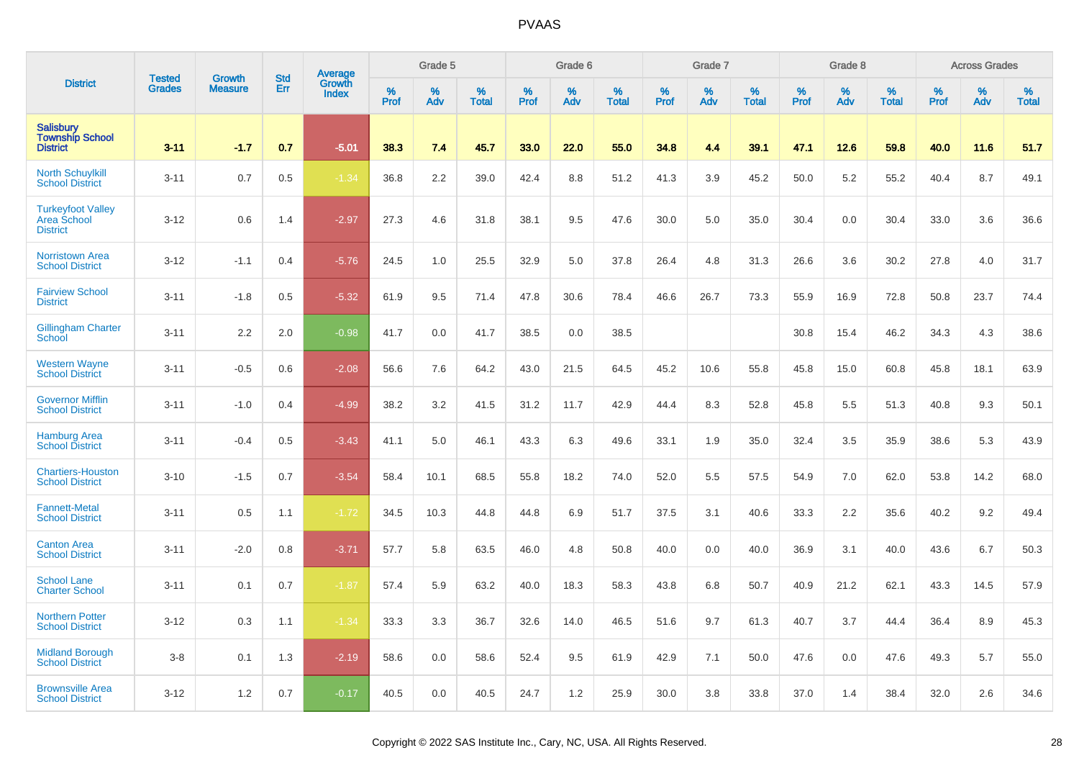|                                                            | <b>Tested</b> | <b>Growth</b>  | <b>Std</b> | <b>Average</b><br>Growth |                     | Grade 5     |                   |                  | Grade 6  |                   |                     | Grade 7  |                   |                  | Grade 8  |                   |              | <b>Across Grades</b> |                   |
|------------------------------------------------------------|---------------|----------------|------------|--------------------------|---------------------|-------------|-------------------|------------------|----------|-------------------|---------------------|----------|-------------------|------------------|----------|-------------------|--------------|----------------------|-------------------|
| <b>District</b>                                            | <b>Grades</b> | <b>Measure</b> | Err        | <b>Index</b>             | $\%$<br><b>Prof</b> | $\%$<br>Adv | %<br><b>Total</b> | %<br><b>Prof</b> | %<br>Adv | %<br><b>Total</b> | $\%$<br><b>Prof</b> | %<br>Adv | %<br><b>Total</b> | %<br><b>Prof</b> | %<br>Adv | %<br><b>Total</b> | $\%$<br>Prof | %<br>Adv             | %<br><b>Total</b> |
| Salisbury<br><b>Township School</b><br><b>District</b>     | $3 - 11$      | $-1.7$         | 0.7        | $-5.01$                  | 38.3                | 7.4         | 45.7              | 33.0             | 22.0     | 55.0              | 34.8                | 4.4      | 39.1              | 47.1             | 12.6     | 59.8              | 40.0         | 11.6                 | 51.7              |
| <b>North Schuylkill</b><br><b>School District</b>          | $3 - 11$      | 0.7            | 0.5        | $-1.34$                  | 36.8                | 2.2         | 39.0              | 42.4             | 8.8      | 51.2              | 41.3                | 3.9      | 45.2              | 50.0             | 5.2      | 55.2              | 40.4         | 8.7                  | 49.1              |
| <b>Turkeyfoot Valley</b><br>Area School<br><b>District</b> | $3 - 12$      | 0.6            | 1.4        | $-2.97$                  | 27.3                | 4.6         | 31.8              | 38.1             | 9.5      | 47.6              | 30.0                | 5.0      | 35.0              | 30.4             | 0.0      | 30.4              | 33.0         | 3.6                  | 36.6              |
| <b>Norristown Area</b><br><b>School District</b>           | $3 - 12$      | $-1.1$         | 0.4        | $-5.76$                  | 24.5                | 1.0         | 25.5              | 32.9             | 5.0      | 37.8              | 26.4                | 4.8      | 31.3              | 26.6             | 3.6      | 30.2              | 27.8         | 4.0                  | 31.7              |
| <b>Fairview School</b><br><b>District</b>                  | $3 - 11$      | $-1.8$         | 0.5        | $-5.32$                  | 61.9                | 9.5         | 71.4              | 47.8             | 30.6     | 78.4              | 46.6                | 26.7     | 73.3              | 55.9             | 16.9     | 72.8              | 50.8         | 23.7                 | 74.4              |
| Gillingham Charter<br>School                               | $3 - 11$      | 2.2            | 2.0        | $-0.98$                  | 41.7                | 0.0         | 41.7              | 38.5             | 0.0      | 38.5              |                     |          |                   | 30.8             | 15.4     | 46.2              | 34.3         | 4.3                  | 38.6              |
| <b>Western Wayne</b><br><b>School District</b>             | $3 - 11$      | $-0.5$         | 0.6        | $-2.08$                  | 56.6                | 7.6         | 64.2              | 43.0             | 21.5     | 64.5              | 45.2                | 10.6     | 55.8              | 45.8             | 15.0     | 60.8              | 45.8         | 18.1                 | 63.9              |
| <b>Governor Mifflin</b><br><b>School District</b>          | $3 - 11$      | $-1.0$         | 0.4        | $-4.99$                  | 38.2                | 3.2         | 41.5              | 31.2             | 11.7     | 42.9              | 44.4                | 8.3      | 52.8              | 45.8             | 5.5      | 51.3              | 40.8         | 9.3                  | 50.1              |
| <b>Hamburg Area</b><br><b>School District</b>              | $3 - 11$      | $-0.4$         | 0.5        | $-3.43$                  | 41.1                | 5.0         | 46.1              | 43.3             | 6.3      | 49.6              | 33.1                | 1.9      | 35.0              | 32.4             | 3.5      | 35.9              | 38.6         | 5.3                  | 43.9              |
| <b>Chartiers-Houston</b><br><b>School District</b>         | $3 - 10$      | $-1.5$         | 0.7        | $-3.54$                  | 58.4                | 10.1        | 68.5              | 55.8             | 18.2     | 74.0              | 52.0                | 5.5      | 57.5              | 54.9             | 7.0      | 62.0              | 53.8         | 14.2                 | 68.0              |
| <b>Fannett-Metal</b><br><b>School District</b>             | $3 - 11$      | 0.5            | 1.1        | $-1.72$                  | 34.5                | 10.3        | 44.8              | 44.8             | 6.9      | 51.7              | 37.5                | 3.1      | 40.6              | 33.3             | 2.2      | 35.6              | 40.2         | 9.2                  | 49.4              |
| <b>Canton Area</b><br><b>School District</b>               | $3 - 11$      | $-2.0$         | 0.8        | $-3.71$                  | 57.7                | 5.8         | 63.5              | 46.0             | 4.8      | 50.8              | 40.0                | 0.0      | 40.0              | 36.9             | 3.1      | 40.0              | 43.6         | 6.7                  | 50.3              |
| <b>School Lane</b><br><b>Charter School</b>                | $3 - 11$      | 0.1            | 0.7        | $-1.87$                  | 57.4                | 5.9         | 63.2              | 40.0             | 18.3     | 58.3              | 43.8                | 6.8      | 50.7              | 40.9             | 21.2     | 62.1              | 43.3         | 14.5                 | 57.9              |
| <b>Northern Potter</b><br><b>School District</b>           | $3 - 12$      | 0.3            | 1.1        | $-1.34$                  | 33.3                | 3.3         | 36.7              | 32.6             | 14.0     | 46.5              | 51.6                | 9.7      | 61.3              | 40.7             | 3.7      | 44.4              | 36.4         | 8.9                  | 45.3              |
| <b>Midland Borough</b><br><b>School District</b>           | $3 - 8$       | 0.1            | 1.3        | $-2.19$                  | 58.6                | 0.0         | 58.6              | 52.4             | 9.5      | 61.9              | 42.9                | 7.1      | 50.0              | 47.6             | 0.0      | 47.6              | 49.3         | 5.7                  | 55.0              |
| <b>Brownsville Area</b><br><b>School District</b>          | $3 - 12$      | 1.2            | 0.7        | $-0.17$                  | 40.5                | 0.0         | 40.5              | 24.7             | 1.2      | 25.9              | 30.0                | 3.8      | 33.8              | 37.0             | 1.4      | 38.4              | 32.0         | 2.6                  | 34.6              |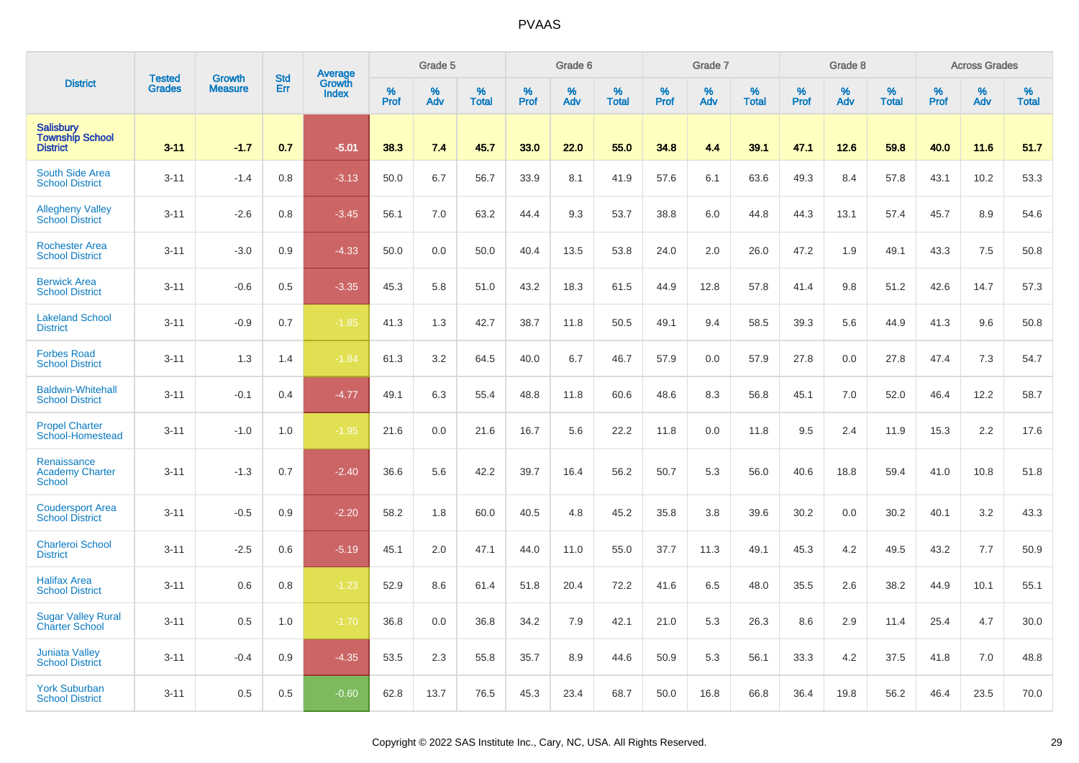|                                                               | <b>Tested</b> | <b>Growth</b>  | <b>Std</b> |                                   |                     | Grade 5  |                   |              | Grade 6  |                   |              | Grade 7  |                   |           | Grade 8  |                   |                  | <b>Across Grades</b> |                   |
|---------------------------------------------------------------|---------------|----------------|------------|-----------------------------------|---------------------|----------|-------------------|--------------|----------|-------------------|--------------|----------|-------------------|-----------|----------|-------------------|------------------|----------------------|-------------------|
| <b>District</b>                                               | <b>Grades</b> | <b>Measure</b> | Err        | Average<br>Growth<br><b>Index</b> | $\%$<br><b>Prof</b> | %<br>Adv | %<br><b>Total</b> | $\%$<br>Prof | %<br>Adv | %<br><b>Total</b> | $\%$<br>Prof | %<br>Adv | %<br><b>Total</b> | %<br>Prof | %<br>Adv | %<br><b>Total</b> | %<br><b>Prof</b> | %<br>Adv             | %<br><b>Total</b> |
| <b>Salisbury</b><br><b>Township School</b><br><b>District</b> | $3 - 11$      | $-1.7$         | 0.7        | $-5.01$                           | 38.3                | 7.4      | 45.7              | 33.0         | 22.0     | 55.0              | 34.8         | 4.4      | 39.1              | 47.1      | 12.6     | 59.8              | 40.0             | 11.6                 | 51.7              |
| South Side Area<br><b>School District</b>                     | $3 - 11$      | $-1.4$         | 0.8        | $-3.13$                           | 50.0                | 6.7      | 56.7              | 33.9         | 8.1      | 41.9              | 57.6         | 6.1      | 63.6              | 49.3      | 8.4      | 57.8              | 43.1             | 10.2                 | 53.3              |
| <b>Allegheny Valley</b><br><b>School District</b>             | $3 - 11$      | $-2.6$         | 0.8        | $-3.45$                           | 56.1                | 7.0      | 63.2              | 44.4         | 9.3      | 53.7              | 38.8         | 6.0      | 44.8              | 44.3      | 13.1     | 57.4              | 45.7             | 8.9                  | 54.6              |
| <b>Rochester Area</b><br><b>School District</b>               | $3 - 11$      | $-3.0$         | 0.9        | $-4.33$                           | 50.0                | 0.0      | 50.0              | 40.4         | 13.5     | 53.8              | 24.0         | 2.0      | 26.0              | 47.2      | 1.9      | 49.1              | 43.3             | 7.5                  | 50.8              |
| <b>Berwick Area</b><br><b>School District</b>                 | $3 - 11$      | $-0.6$         | 0.5        | $-3.35$                           | 45.3                | 5.8      | 51.0              | 43.2         | 18.3     | 61.5              | 44.9         | 12.8     | 57.8              | 41.4      | 9.8      | 51.2              | 42.6             | 14.7                 | 57.3              |
| <b>Lakeland School</b><br><b>District</b>                     | $3 - 11$      | $-0.9$         | 0.7        | $-1.85$                           | 41.3                | 1.3      | 42.7              | 38.7         | 11.8     | 50.5              | 49.1         | 9.4      | 58.5              | 39.3      | 5.6      | 44.9              | 41.3             | 9.6                  | 50.8              |
| <b>Forbes Road</b><br><b>School District</b>                  | $3 - 11$      | 1.3            | 1.4        | $-1.84$                           | 61.3                | 3.2      | 64.5              | 40.0         | 6.7      | 46.7              | 57.9         | 0.0      | 57.9              | 27.8      | 0.0      | 27.8              | 47.4             | 7.3                  | 54.7              |
| <b>Baldwin-Whitehall</b><br><b>School District</b>            | $3 - 11$      | $-0.1$         | 0.4        | $-4.77$                           | 49.1                | 6.3      | 55.4              | 48.8         | 11.8     | 60.6              | 48.6         | 8.3      | 56.8              | 45.1      | 7.0      | 52.0              | 46.4             | 12.2                 | 58.7              |
| <b>Propel Charter</b><br>School-Homestead                     | $3 - 11$      | $-1.0$         | 1.0        | $-1.95$                           | 21.6                | 0.0      | 21.6              | 16.7         | 5.6      | 22.2              | 11.8         | 0.0      | 11.8              | 9.5       | 2.4      | 11.9              | 15.3             | 2.2                  | 17.6              |
| Renaissance<br><b>Academy Charter</b><br><b>School</b>        | $3 - 11$      | $-1.3$         | 0.7        | $-2.40$                           | 36.6                | 5.6      | 42.2              | 39.7         | 16.4     | 56.2              | 50.7         | 5.3      | 56.0              | 40.6      | 18.8     | 59.4              | 41.0             | 10.8                 | 51.8              |
| <b>Coudersport Area</b><br><b>School District</b>             | $3 - 11$      | $-0.5$         | 0.9        | $-2.20$                           | 58.2                | 1.8      | 60.0              | 40.5         | 4.8      | 45.2              | 35.8         | 3.8      | 39.6              | 30.2      | 0.0      | 30.2              | 40.1             | 3.2                  | 43.3              |
| <b>Charleroi School</b><br><b>District</b>                    | $3 - 11$      | $-2.5$         | 0.6        | $-5.19$                           | 45.1                | 2.0      | 47.1              | 44.0         | 11.0     | 55.0              | 37.7         | 11.3     | 49.1              | 45.3      | 4.2      | 49.5              | 43.2             | 7.7                  | 50.9              |
| <b>Halifax Area</b><br><b>School District</b>                 | $3 - 11$      | 0.6            | 0.8        | $-1.23$                           | 52.9                | 8.6      | 61.4              | 51.8         | 20.4     | 72.2              | 41.6         | 6.5      | 48.0              | 35.5      | 2.6      | 38.2              | 44.9             | 10.1                 | 55.1              |
| <b>Sugar Valley Rural</b><br><b>Charter School</b>            | $3 - 11$      | 0.5            | 1.0        | $-1.70$                           | 36.8                | 0.0      | 36.8              | 34.2         | 7.9      | 42.1              | 21.0         | 5.3      | 26.3              | 8.6       | 2.9      | 11.4              | 25.4             | 4.7                  | 30.0              |
| <b>Juniata Valley</b><br><b>School District</b>               | $3 - 11$      | $-0.4$         | 0.9        | $-4.35$                           | 53.5                | 2.3      | 55.8              | 35.7         | 8.9      | 44.6              | 50.9         | 5.3      | 56.1              | 33.3      | 4.2      | 37.5              | 41.8             | 7.0                  | 48.8              |
| <b>York Suburban</b><br><b>School District</b>                | $3 - 11$      | 0.5            | 0.5        | $-0.60$                           | 62.8                | 13.7     | 76.5              | 45.3         | 23.4     | 68.7              | 50.0         | 16.8     | 66.8              | 36.4      | 19.8     | 56.2              | 46.4             | 23.5                 | 70.0              |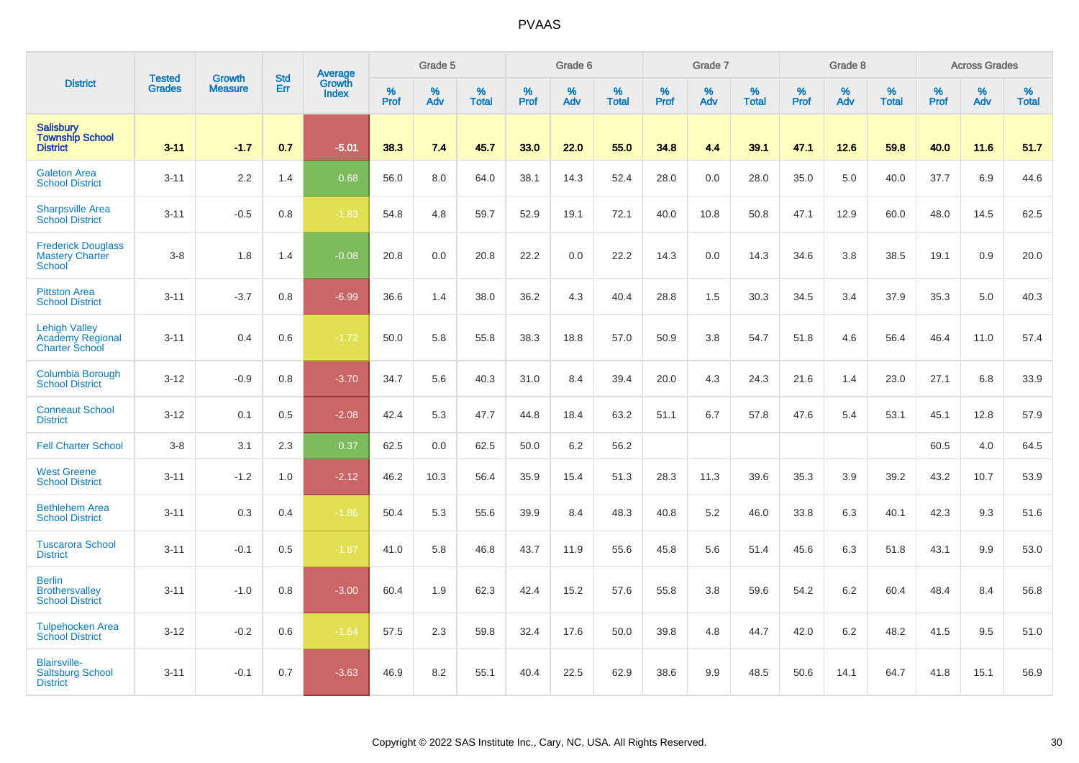|                                                                          |                                |                                 | <b>Std</b> | Average                |           | Grade 5  |                   |           | Grade 6  |                   |           | Grade 7  |                   |           | Grade 8  |                   |           | <b>Across Grades</b> |                   |
|--------------------------------------------------------------------------|--------------------------------|---------------------------------|------------|------------------------|-----------|----------|-------------------|-----------|----------|-------------------|-----------|----------|-------------------|-----------|----------|-------------------|-----------|----------------------|-------------------|
| <b>District</b>                                                          | <b>Tested</b><br><b>Grades</b> | <b>Growth</b><br><b>Measure</b> | Err        | <b>Growth</b><br>Index | %<br>Prof | %<br>Adv | %<br><b>Total</b> | %<br>Prof | %<br>Adv | %<br><b>Total</b> | %<br>Prof | %<br>Adv | %<br><b>Total</b> | %<br>Prof | %<br>Adv | %<br><b>Total</b> | %<br>Prof | %<br>Adv             | %<br><b>Total</b> |
| <b>Salisbury</b><br><b>Township School</b><br><b>District</b>            | $3 - 11$                       | $-1.7$                          | 0.7        | $-5.01$                | 38.3      | 7.4      | 45.7              | 33.0      | 22.0     | 55.0              | 34.8      | 4.4      | 39.1              | 47.1      | 12.6     | 59.8              | 40.0      | 11.6                 | 51.7              |
| <b>Galeton Area</b><br><b>School District</b>                            | $3 - 11$                       | 2.2                             | 1.4        | 0.68                   | 56.0      | 8.0      | 64.0              | 38.1      | 14.3     | 52.4              | 28.0      | 0.0      | 28.0              | 35.0      | 5.0      | 40.0              | 37.7      | 6.9                  | 44.6              |
| <b>Sharpsville Area</b><br><b>School District</b>                        | $3 - 11$                       | $-0.5$                          | 0.8        | $-1.83$                | 54.8      | 4.8      | 59.7              | 52.9      | 19.1     | 72.1              | 40.0      | 10.8     | 50.8              | 47.1      | 12.9     | 60.0              | 48.0      | 14.5                 | 62.5              |
| <b>Frederick Douglass</b><br><b>Mastery Charter</b><br>School            | $3-8$                          | 1.8                             | 1.4        | $-0.08$                | 20.8      | 0.0      | 20.8              | 22.2      | 0.0      | 22.2              | 14.3      | 0.0      | 14.3              | 34.6      | 3.8      | 38.5              | 19.1      | 0.9                  | 20.0              |
| <b>Pittston Area</b><br><b>School District</b>                           | $3 - 11$                       | $-3.7$                          | 0.8        | $-6.99$                | 36.6      | 1.4      | 38.0              | 36.2      | 4.3      | 40.4              | 28.8      | 1.5      | 30.3              | 34.5      | 3.4      | 37.9              | 35.3      | 5.0                  | 40.3              |
| <b>Lehigh Valley</b><br><b>Academy Regional</b><br><b>Charter School</b> | $3 - 11$                       | 0.4                             | 0.6        | $-1.72$                | 50.0      | 5.8      | 55.8              | 38.3      | 18.8     | 57.0              | 50.9      | 3.8      | 54.7              | 51.8      | 4.6      | 56.4              | 46.4      | 11.0                 | 57.4              |
| <b>Columbia Borough</b><br><b>School District</b>                        | $3 - 12$                       | $-0.9$                          | 0.8        | $-3.70$                | 34.7      | 5.6      | 40.3              | 31.0      | 8.4      | 39.4              | 20.0      | 4.3      | 24.3              | 21.6      | 1.4      | 23.0              | 27.1      | 6.8                  | 33.9              |
| <b>Conneaut School</b><br><b>District</b>                                | $3 - 12$                       | 0.1                             | 0.5        | $-2.08$                | 42.4      | 5.3      | 47.7              | 44.8      | 18.4     | 63.2              | 51.1      | 6.7      | 57.8              | 47.6      | 5.4      | 53.1              | 45.1      | 12.8                 | 57.9              |
| <b>Fell Charter School</b>                                               | $3-8$                          | 3.1                             | 2.3        | 0.37                   | 62.5      | 0.0      | 62.5              | 50.0      | 6.2      | 56.2              |           |          |                   |           |          |                   | 60.5      | 4.0                  | 64.5              |
| <b>West Greene</b><br><b>School District</b>                             | $3 - 11$                       | $-1.2$                          | 1.0        | $-2.12$                | 46.2      | 10.3     | 56.4              | 35.9      | 15.4     | 51.3              | 28.3      | 11.3     | 39.6              | 35.3      | 3.9      | 39.2              | 43.2      | 10.7                 | 53.9              |
| <b>Bethlehem Area</b><br><b>School District</b>                          | $3 - 11$                       | 0.3                             | 0.4        | $-1.86$                | 50.4      | 5.3      | 55.6              | 39.9      | 8.4      | 48.3              | 40.8      | 5.2      | 46.0              | 33.8      | 6.3      | 40.1              | 42.3      | 9.3                  | 51.6              |
| <b>Tuscarora School</b><br><b>District</b>                               | $3 - 11$                       | $-0.1$                          | 0.5        | $-1.87$                | 41.0      | 5.8      | 46.8              | 43.7      | 11.9     | 55.6              | 45.8      | 5.6      | 51.4              | 45.6      | 6.3      | 51.8              | 43.1      | 9.9                  | 53.0              |
| <b>Berlin</b><br><b>Brothersvalley</b><br><b>School District</b>         | $3 - 11$                       | $-1.0$                          | 0.8        | $-3.00$                | 60.4      | 1.9      | 62.3              | 42.4      | 15.2     | 57.6              | 55.8      | 3.8      | 59.6              | 54.2      | 6.2      | 60.4              | 48.4      | 8.4                  | 56.8              |
| <b>Tulpehocken Area</b><br><b>School District</b>                        | $3 - 12$                       | $-0.2$                          | 0.6        | $-1.64$                | 57.5      | 2.3      | 59.8              | 32.4      | 17.6     | 50.0              | 39.8      | 4.8      | 44.7              | 42.0      | 6.2      | 48.2              | 41.5      | 9.5                  | 51.0              |
| <b>Blairsville-</b><br><b>Saltsburg School</b><br><b>District</b>        | $3 - 11$                       | $-0.1$                          | 0.7        | $-3.63$                | 46.9      | 8.2      | 55.1              | 40.4      | 22.5     | 62.9              | 38.6      | 9.9      | 48.5              | 50.6      | 14.1     | 64.7              | 41.8      | 15.1                 | 56.9              |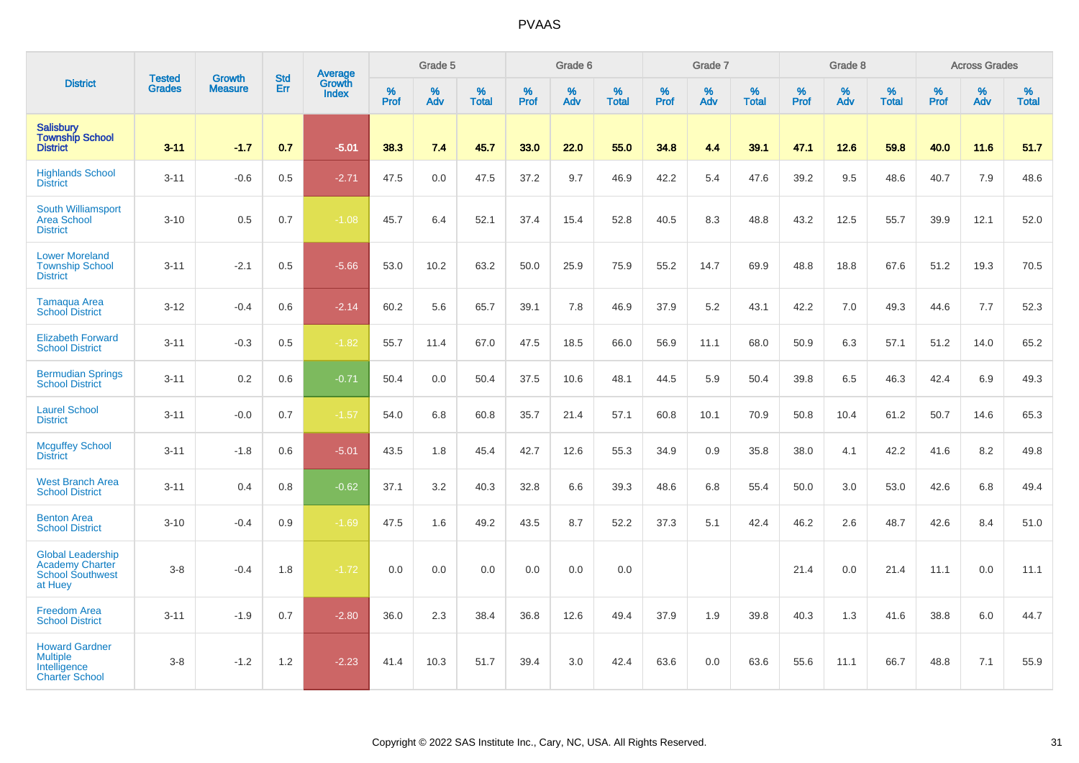|                                                                                          | <b>Tested</b> | <b>Growth</b>  | <b>Std</b> | <b>Average</b>         |              | Grade 5     |                      |                  | Grade 6  |                   |           | Grade 7  |                   |              | Grade 8  |                      |              | <b>Across Grades</b> |                      |
|------------------------------------------------------------------------------------------|---------------|----------------|------------|------------------------|--------------|-------------|----------------------|------------------|----------|-------------------|-----------|----------|-------------------|--------------|----------|----------------------|--------------|----------------------|----------------------|
| <b>District</b>                                                                          | <b>Grades</b> | <b>Measure</b> | Err        | Growth<br><b>Index</b> | $\%$<br>Prof | $\%$<br>Adv | $\%$<br><b>Total</b> | %<br><b>Prof</b> | %<br>Adv | %<br><b>Total</b> | %<br>Prof | %<br>Adv | %<br><b>Total</b> | $\%$<br>Prof | %<br>Adv | $\%$<br><b>Total</b> | $\%$<br>Prof | $\%$<br>Adv          | $\%$<br><b>Total</b> |
| <b>Salisbury</b><br><b>Township School</b><br><b>District</b>                            | $3 - 11$      | $-1.7$         | 0.7        | $-5.01$                | 38.3         | 7.4         | 45.7                 | 33.0             | 22.0     | 55.0              | 34.8      | 4.4      | 39.1              | 47.1         | 12.6     | 59.8                 | 40.0         | 11.6                 | 51.7                 |
| <b>Highlands School</b><br><b>District</b>                                               | $3 - 11$      | $-0.6$         | 0.5        | $-2.71$                | 47.5         | 0.0         | 47.5                 | 37.2             | 9.7      | 46.9              | 42.2      | 5.4      | 47.6              | 39.2         | 9.5      | 48.6                 | 40.7         | 7.9                  | 48.6                 |
| <b>South Williamsport</b><br><b>Area School</b><br><b>District</b>                       | $3 - 10$      | 0.5            | 0.7        | $-1.08$                | 45.7         | 6.4         | 52.1                 | 37.4             | 15.4     | 52.8              | 40.5      | 8.3      | 48.8              | 43.2         | 12.5     | 55.7                 | 39.9         | 12.1                 | 52.0                 |
| <b>Lower Moreland</b><br><b>Township School</b><br><b>District</b>                       | $3 - 11$      | $-2.1$         | 0.5        | $-5.66$                | 53.0         | 10.2        | 63.2                 | 50.0             | 25.9     | 75.9              | 55.2      | 14.7     | 69.9              | 48.8         | 18.8     | 67.6                 | 51.2         | 19.3                 | 70.5                 |
| <b>Tamaqua Area</b><br><b>School District</b>                                            | $3 - 12$      | $-0.4$         | 0.6        | $-2.14$                | 60.2         | 5.6         | 65.7                 | 39.1             | 7.8      | 46.9              | 37.9      | 5.2      | 43.1              | 42.2         | 7.0      | 49.3                 | 44.6         | 7.7                  | 52.3                 |
| <b>Elizabeth Forward</b><br><b>School District</b>                                       | $3 - 11$      | $-0.3$         | 0.5        | $-1.82$                | 55.7         | 11.4        | 67.0                 | 47.5             | 18.5     | 66.0              | 56.9      | 11.1     | 68.0              | 50.9         | 6.3      | 57.1                 | 51.2         | 14.0                 | 65.2                 |
| <b>Bermudian Springs</b><br><b>School District</b>                                       | $3 - 11$      | 0.2            | 0.6        | $-0.71$                | 50.4         | 0.0         | 50.4                 | 37.5             | 10.6     | 48.1              | 44.5      | 5.9      | 50.4              | 39.8         | 6.5      | 46.3                 | 42.4         | 6.9                  | 49.3                 |
| <b>Laurel School</b><br><b>District</b>                                                  | $3 - 11$      | $-0.0$         | 0.7        | $-1.57$                | 54.0         | 6.8         | 60.8                 | 35.7             | 21.4     | 57.1              | 60.8      | 10.1     | 70.9              | 50.8         | 10.4     | 61.2                 | 50.7         | 14.6                 | 65.3                 |
| <b>Mcguffey School</b><br><b>District</b>                                                | $3 - 11$      | $-1.8$         | 0.6        | $-5.01$                | 43.5         | 1.8         | 45.4                 | 42.7             | 12.6     | 55.3              | 34.9      | 0.9      | 35.8              | 38.0         | 4.1      | 42.2                 | 41.6         | $8.2\,$              | 49.8                 |
| <b>West Branch Area</b><br><b>School District</b>                                        | $3 - 11$      | 0.4            | 0.8        | $-0.62$                | 37.1         | 3.2         | 40.3                 | 32.8             | 6.6      | 39.3              | 48.6      | 6.8      | 55.4              | 50.0         | 3.0      | 53.0                 | 42.6         | 6.8                  | 49.4                 |
| <b>Benton Area</b><br><b>School District</b>                                             | $3 - 10$      | $-0.4$         | 0.9        | $-1.69$                | 47.5         | 1.6         | 49.2                 | 43.5             | 8.7      | 52.2              | 37.3      | 5.1      | 42.4              | 46.2         | 2.6      | 48.7                 | 42.6         | 8.4                  | 51.0                 |
| <b>Global Leadership</b><br><b>Academy Charter</b><br><b>School Southwest</b><br>at Huey | $3 - 8$       | $-0.4$         | 1.8        | $-1.72$                | 0.0          | 0.0         | 0.0                  | 0.0              | 0.0      | 0.0               |           |          |                   | 21.4         | 0.0      | 21.4                 | 11.1         | 0.0                  | 11.1                 |
| <b>Freedom Area</b><br><b>School District</b>                                            | $3 - 11$      | $-1.9$         | 0.7        | $-2.80$                | 36.0         | 2.3         | 38.4                 | 36.8             | 12.6     | 49.4              | 37.9      | 1.9      | 39.8              | 40.3         | 1.3      | 41.6                 | 38.8         | 6.0                  | 44.7                 |
| <b>Howard Gardner</b><br><b>Multiple</b><br>Intelligence<br><b>Charter School</b>        | $3 - 8$       | $-1.2$         | 1.2        | $-2.23$                | 41.4         | 10.3        | 51.7                 | 39.4             | 3.0      | 42.4              | 63.6      | 0.0      | 63.6              | 55.6         | 11.1     | 66.7                 | 48.8         | 7.1                  | 55.9                 |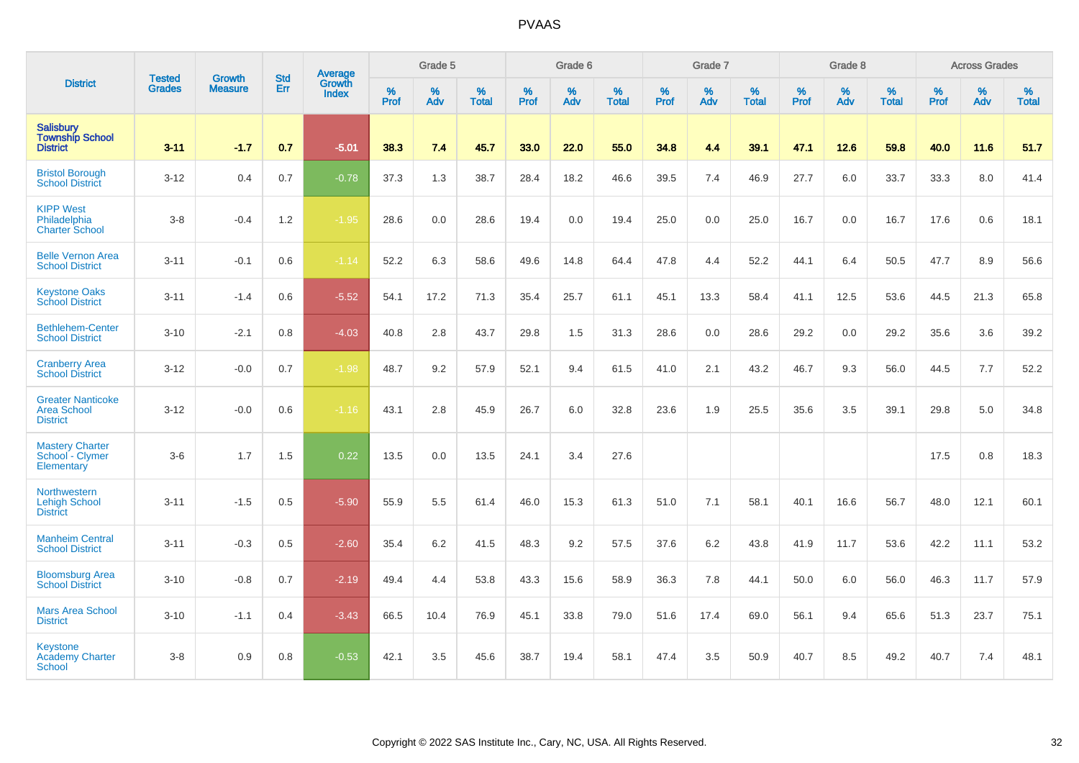|                                                                   |                                |                                 | <b>Std</b> | Average                |              | Grade 5  |                   |           | Grade 6  |                   |           | Grade 7  |                   |           | Grade 8  |                   |           | <b>Across Grades</b> |                   |
|-------------------------------------------------------------------|--------------------------------|---------------------------------|------------|------------------------|--------------|----------|-------------------|-----------|----------|-------------------|-----------|----------|-------------------|-----------|----------|-------------------|-----------|----------------------|-------------------|
| <b>District</b>                                                   | <b>Tested</b><br><b>Grades</b> | <b>Growth</b><br><b>Measure</b> | Err        | Growth<br><b>Index</b> | $\%$<br>Prof | %<br>Adv | %<br><b>Total</b> | %<br>Prof | %<br>Adv | %<br><b>Total</b> | %<br>Prof | %<br>Adv | %<br><b>Total</b> | %<br>Prof | %<br>Adv | %<br><b>Total</b> | %<br>Prof | %<br>Adv             | %<br><b>Total</b> |
| <b>Salisbury</b><br><b>Township School</b><br><b>District</b>     | $3 - 11$                       | $-1.7$                          | 0.7        | $-5.01$                | 38.3         | 7.4      | 45.7              | 33.0      | 22.0     | 55.0              | 34.8      | 4.4      | 39.1              | 47.1      | 12.6     | 59.8              | 40.0      | 11.6                 | 51.7              |
| <b>Bristol Borough</b><br><b>School District</b>                  | $3 - 12$                       | 0.4                             | 0.7        | $-0.78$                | 37.3         | 1.3      | 38.7              | 28.4      | 18.2     | 46.6              | 39.5      | 7.4      | 46.9              | 27.7      | 6.0      | 33.7              | 33.3      | 8.0                  | 41.4              |
| <b>KIPP West</b><br>Philadelphia<br><b>Charter School</b>         | $3 - 8$                        | $-0.4$                          | 1.2        | $-1.95$                | 28.6         | 0.0      | 28.6              | 19.4      | 0.0      | 19.4              | 25.0      | 0.0      | 25.0              | 16.7      | 0.0      | 16.7              | 17.6      | 0.6                  | 18.1              |
| <b>Belle Vernon Area</b><br><b>School District</b>                | $3 - 11$                       | $-0.1$                          | 0.6        | $-1.14$                | 52.2         | 6.3      | 58.6              | 49.6      | 14.8     | 64.4              | 47.8      | 4.4      | 52.2              | 44.1      | 6.4      | 50.5              | 47.7      | 8.9                  | 56.6              |
| <b>Keystone Oaks</b><br><b>School District</b>                    | $3 - 11$                       | $-1.4$                          | 0.6        | $-5.52$                | 54.1         | 17.2     | 71.3              | 35.4      | 25.7     | 61.1              | 45.1      | 13.3     | 58.4              | 41.1      | 12.5     | 53.6              | 44.5      | 21.3                 | 65.8              |
| <b>Bethlehem-Center</b><br><b>School District</b>                 | $3 - 10$                       | $-2.1$                          | 0.8        | $-4.03$                | 40.8         | 2.8      | 43.7              | 29.8      | 1.5      | 31.3              | 28.6      | 0.0      | 28.6              | 29.2      | 0.0      | 29.2              | 35.6      | 3.6                  | 39.2              |
| <b>Cranberry Area</b><br><b>School District</b>                   | $3 - 12$                       | $-0.0$                          | 0.7        | $-1.98$                | 48.7         | 9.2      | 57.9              | 52.1      | 9.4      | 61.5              | 41.0      | 2.1      | 43.2              | 46.7      | 9.3      | 56.0              | 44.5      | 7.7                  | 52.2              |
| <b>Greater Nanticoke</b><br><b>Area School</b><br><b>District</b> | $3 - 12$                       | $-0.0$                          | 0.6        | $-1.16$                | 43.1         | 2.8      | 45.9              | 26.7      | 6.0      | 32.8              | 23.6      | 1.9      | 25.5              | 35.6      | 3.5      | 39.1              | 29.8      | 5.0                  | 34.8              |
| <b>Mastery Charter</b><br>School - Clymer<br>Elementary           | $3-6$                          | 1.7                             | 1.5        | 0.22                   | 13.5         | 0.0      | 13.5              | 24.1      | 3.4      | 27.6              |           |          |                   |           |          |                   | 17.5      | 0.8                  | 18.3              |
| Northwestern<br><b>Lehigh School</b><br><b>District</b>           | $3 - 11$                       | $-1.5$                          | 0.5        | $-5.90$                | 55.9         | 5.5      | 61.4              | 46.0      | 15.3     | 61.3              | 51.0      | 7.1      | 58.1              | 40.1      | 16.6     | 56.7              | 48.0      | 12.1                 | 60.1              |
| <b>Manheim Central</b><br><b>School District</b>                  | $3 - 11$                       | $-0.3$                          | 0.5        | $-2.60$                | 35.4         | 6.2      | 41.5              | 48.3      | 9.2      | 57.5              | 37.6      | 6.2      | 43.8              | 41.9      | 11.7     | 53.6              | 42.2      | 11.1                 | 53.2              |
| <b>Bloomsburg Area</b><br><b>School District</b>                  | $3 - 10$                       | $-0.8$                          | 0.7        | $-2.19$                | 49.4         | 4.4      | 53.8              | 43.3      | 15.6     | 58.9              | 36.3      | 7.8      | 44.1              | 50.0      | 6.0      | 56.0              | 46.3      | 11.7                 | 57.9              |
| <b>Mars Area School</b><br><b>District</b>                        | $3 - 10$                       | $-1.1$                          | 0.4        | $-3.43$                | 66.5         | 10.4     | 76.9              | 45.1      | 33.8     | 79.0              | 51.6      | 17.4     | 69.0              | 56.1      | 9.4      | 65.6              | 51.3      | 23.7                 | 75.1              |
| <b>Keystone</b><br><b>Academy Charter</b><br><b>School</b>        | $3-8$                          | 0.9                             | 0.8        | $-0.53$                | 42.1         | 3.5      | 45.6              | 38.7      | 19.4     | 58.1              | 47.4      | 3.5      | 50.9              | 40.7      | 8.5      | 49.2              | 40.7      | 7.4                  | 48.1              |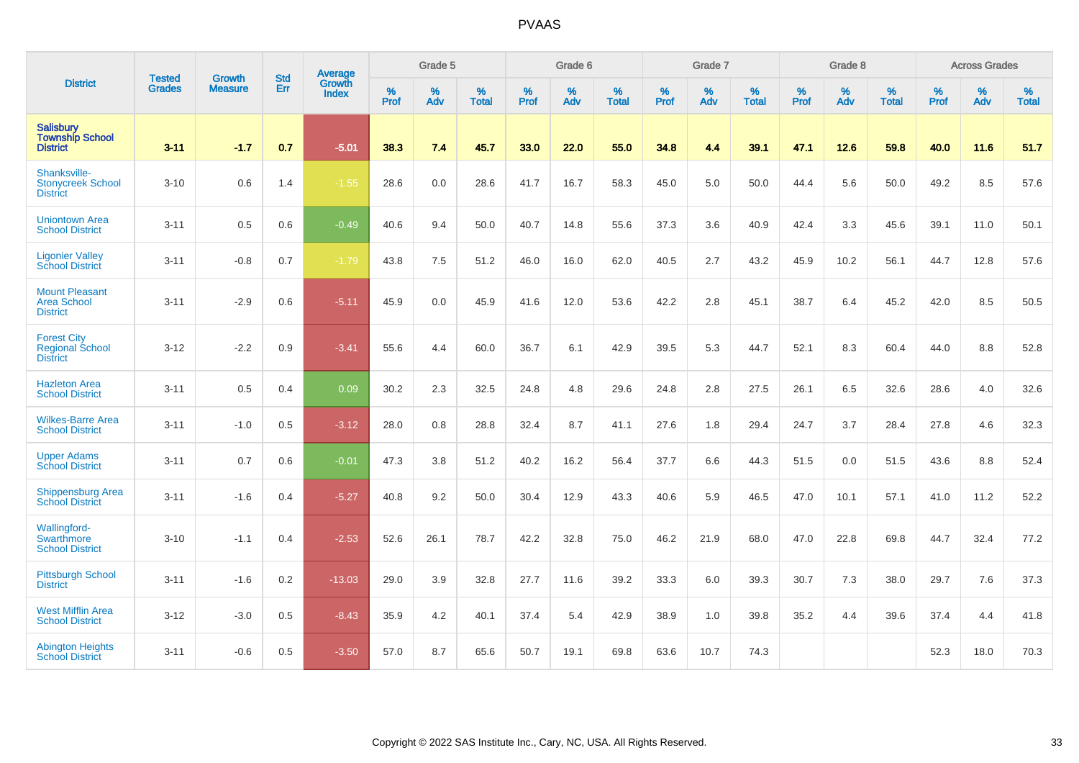|                                                                 |                                | <b>Growth</b>  | <b>Std</b> | Average                |                     | Grade 5  |                   |                     | Grade 6  |                   |                     | Grade 7  |                   |                     | Grade 8  |                      |                     | <b>Across Grades</b> |                   |
|-----------------------------------------------------------------|--------------------------------|----------------|------------|------------------------|---------------------|----------|-------------------|---------------------|----------|-------------------|---------------------|----------|-------------------|---------------------|----------|----------------------|---------------------|----------------------|-------------------|
| <b>District</b>                                                 | <b>Tested</b><br><b>Grades</b> | <b>Measure</b> | Err        | Growth<br><b>Index</b> | $\%$<br><b>Prof</b> | %<br>Adv | %<br><b>Total</b> | $\%$<br><b>Prof</b> | %<br>Adv | %<br><b>Total</b> | $\%$<br><b>Prof</b> | %<br>Adv | %<br><b>Total</b> | $\%$<br><b>Prof</b> | %<br>Adv | $\%$<br><b>Total</b> | $\%$<br><b>Prof</b> | %<br>Adv             | %<br><b>Total</b> |
| Salisbury<br>Township School<br><b>District</b>                 | $3 - 11$                       | $-1.7$         | 0.7        | $-5.01$                | 38.3                | 7.4      | 45.7              | 33.0                | 22.0     | 55.0              | 34.8                | 4.4      | 39.1              | 47.1                | 12.6     | 59.8                 | 40.0                | 11.6                 | 51.7              |
| Shanksville-<br><b>Stonycreek School</b><br><b>District</b>     | $3 - 10$                       | 0.6            | 1.4        | $-1.55$                | 28.6                | 0.0      | 28.6              | 41.7                | 16.7     | 58.3              | 45.0                | 5.0      | 50.0              | 44.4                | 5.6      | 50.0                 | 49.2                | 8.5                  | 57.6              |
| <b>Uniontown Area</b><br><b>School District</b>                 | $3 - 11$                       | 0.5            | 0.6        | $-0.49$                | 40.6                | 9.4      | 50.0              | 40.7                | 14.8     | 55.6              | 37.3                | 3.6      | 40.9              | 42.4                | 3.3      | 45.6                 | 39.1                | 11.0                 | 50.1              |
| <b>Ligonier Valley</b><br><b>School District</b>                | $3 - 11$                       | $-0.8$         | 0.7        | $-1.79$                | 43.8                | 7.5      | 51.2              | 46.0                | 16.0     | 62.0              | 40.5                | 2.7      | 43.2              | 45.9                | 10.2     | 56.1                 | 44.7                | 12.8                 | 57.6              |
| <b>Mount Pleasant</b><br><b>Area School</b><br><b>District</b>  | $3 - 11$                       | $-2.9$         | 0.6        | $-5.11$                | 45.9                | 0.0      | 45.9              | 41.6                | 12.0     | 53.6              | 42.2                | 2.8      | 45.1              | 38.7                | 6.4      | 45.2                 | 42.0                | 8.5                  | 50.5              |
| <b>Forest City</b><br><b>Regional School</b><br><b>District</b> | $3 - 12$                       | $-2.2$         | 0.9        | $-3.41$                | 55.6                | 4.4      | 60.0              | 36.7                | 6.1      | 42.9              | 39.5                | 5.3      | 44.7              | 52.1                | 8.3      | 60.4                 | 44.0                | 8.8                  | 52.8              |
| <b>Hazleton Area</b><br><b>School District</b>                  | $3 - 11$                       | 0.5            | 0.4        | 0.09                   | 30.2                | 2.3      | 32.5              | 24.8                | 4.8      | 29.6              | 24.8                | 2.8      | 27.5              | 26.1                | 6.5      | 32.6                 | 28.6                | 4.0                  | 32.6              |
| <b>Wilkes-Barre Area</b><br><b>School District</b>              | $3 - 11$                       | $-1.0$         | 0.5        | $-3.12$                | 28.0                | 0.8      | 28.8              | 32.4                | 8.7      | 41.1              | 27.6                | 1.8      | 29.4              | 24.7                | 3.7      | 28.4                 | 27.8                | 4.6                  | 32.3              |
| <b>Upper Adams</b><br><b>School District</b>                    | $3 - 11$                       | 0.7            | 0.6        | $-0.01$                | 47.3                | 3.8      | 51.2              | 40.2                | 16.2     | 56.4              | 37.7                | 6.6      | 44.3              | 51.5                | 0.0      | 51.5                 | 43.6                | 8.8                  | 52.4              |
| <b>Shippensburg Area</b><br><b>School District</b>              | $3 - 11$                       | $-1.6$         | 0.4        | $-5.27$                | 40.8                | 9.2      | 50.0              | 30.4                | 12.9     | 43.3              | 40.6                | 5.9      | 46.5              | 47.0                | 10.1     | 57.1                 | 41.0                | 11.2                 | 52.2              |
| Wallingford-<br>Swarthmore<br><b>School District</b>            | $3 - 10$                       | $-1.1$         | 0.4        | $-2.53$                | 52.6                | 26.1     | 78.7              | 42.2                | 32.8     | 75.0              | 46.2                | 21.9     | 68.0              | 47.0                | 22.8     | 69.8                 | 44.7                | 32.4                 | 77.2              |
| <b>Pittsburgh School</b><br><b>District</b>                     | $3 - 11$                       | $-1.6$         | 0.2        | $-13.03$               | 29.0                | 3.9      | 32.8              | 27.7                | 11.6     | 39.2              | 33.3                | 6.0      | 39.3              | 30.7                | 7.3      | 38.0                 | 29.7                | 7.6                  | 37.3              |
| <b>West Mifflin Area</b><br><b>School District</b>              | $3 - 12$                       | $-3.0$         | 0.5        | $-8.43$                | 35.9                | 4.2      | 40.1              | 37.4                | 5.4      | 42.9              | 38.9                | 1.0      | 39.8              | 35.2                | 4.4      | 39.6                 | 37.4                | 4.4                  | 41.8              |
| <b>Abington Heights</b><br><b>School District</b>               | $3 - 11$                       | $-0.6$         | 0.5        | $-3.50$                | 57.0                | 8.7      | 65.6              | 50.7                | 19.1     | 69.8              | 63.6                | 10.7     | 74.3              |                     |          |                      | 52.3                | 18.0                 | 70.3              |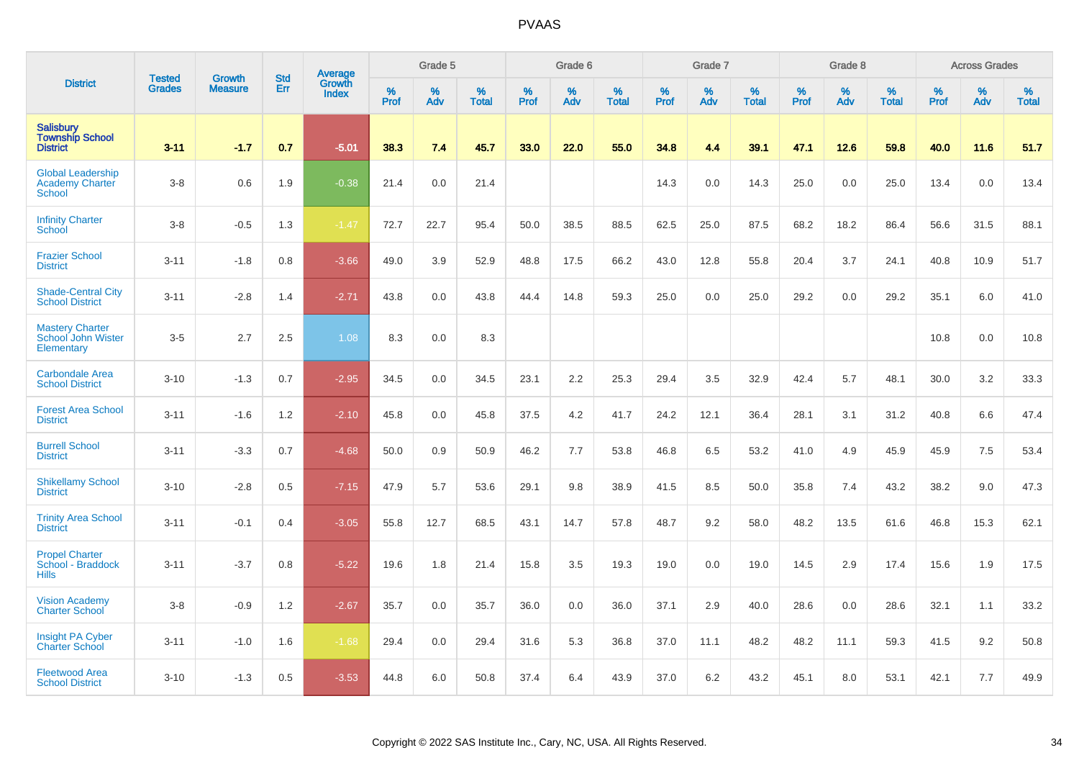|                                                                     |                                | <b>Growth</b>  | <b>Std</b> | Average                |              | Grade 5  |                   |           | Grade 6  |                   |              | Grade 7  |                   |           | Grade 8  |                   |           | <b>Across Grades</b> |                   |
|---------------------------------------------------------------------|--------------------------------|----------------|------------|------------------------|--------------|----------|-------------------|-----------|----------|-------------------|--------------|----------|-------------------|-----------|----------|-------------------|-----------|----------------------|-------------------|
| <b>District</b>                                                     | <b>Tested</b><br><b>Grades</b> | <b>Measure</b> | Err        | Growth<br><b>Index</b> | $\%$<br>Prof | %<br>Adv | %<br><b>Total</b> | %<br>Prof | %<br>Adv | %<br><b>Total</b> | $\%$<br>Prof | %<br>Adv | %<br><b>Total</b> | %<br>Prof | %<br>Adv | %<br><b>Total</b> | %<br>Prof | %<br>Adv             | %<br><b>Total</b> |
| <b>Salisbury</b><br><b>Township School</b><br><b>District</b>       | $3 - 11$                       | $-1.7$         | 0.7        | $-5.01$                | 38.3         | 7.4      | 45.7              | 33.0      | 22.0     | 55.0              | 34.8         | 4.4      | 39.1              | 47.1      | 12.6     | 59.8              | 40.0      | 11.6                 | 51.7              |
| <b>Global Leadership</b><br><b>Academy Charter</b><br><b>School</b> | $3-8$                          | 0.6            | 1.9        | $-0.38$                | 21.4         | 0.0      | 21.4              |           |          |                   | 14.3         | 0.0      | 14.3              | 25.0      | 0.0      | 25.0              | 13.4      | 0.0                  | 13.4              |
| <b>Infinity Charter</b><br>School                                   | $3-8$                          | $-0.5$         | 1.3        | $-1.47$                | 72.7         | 22.7     | 95.4              | 50.0      | 38.5     | 88.5              | 62.5         | 25.0     | 87.5              | 68.2      | 18.2     | 86.4              | 56.6      | 31.5                 | 88.1              |
| <b>Frazier School</b><br><b>District</b>                            | $3 - 11$                       | $-1.8$         | 0.8        | $-3.66$                | 49.0         | 3.9      | 52.9              | 48.8      | 17.5     | 66.2              | 43.0         | 12.8     | 55.8              | 20.4      | 3.7      | 24.1              | 40.8      | 10.9                 | 51.7              |
| <b>Shade-Central City</b><br><b>School District</b>                 | $3 - 11$                       | $-2.8$         | 1.4        | $-2.71$                | 43.8         | 0.0      | 43.8              | 44.4      | 14.8     | 59.3              | 25.0         | 0.0      | 25.0              | 29.2      | 0.0      | 29.2              | 35.1      | 6.0                  | 41.0              |
| <b>Mastery Charter</b><br>School John Wister<br>Elementary          | $3-5$                          | 2.7            | 2.5        | 1.08                   | 8.3          | 0.0      | 8.3               |           |          |                   |              |          |                   |           |          |                   | 10.8      | 0.0                  | 10.8              |
| <b>Carbondale Area</b><br><b>School District</b>                    | $3 - 10$                       | $-1.3$         | 0.7        | $-2.95$                | 34.5         | 0.0      | 34.5              | 23.1      | 2.2      | 25.3              | 29.4         | 3.5      | 32.9              | 42.4      | 5.7      | 48.1              | 30.0      | 3.2                  | 33.3              |
| <b>Forest Area School</b><br><b>District</b>                        | $3 - 11$                       | $-1.6$         | 1.2        | $-2.10$                | 45.8         | 0.0      | 45.8              | 37.5      | 4.2      | 41.7              | 24.2         | 12.1     | 36.4              | 28.1      | 3.1      | 31.2              | 40.8      | 6.6                  | 47.4              |
| <b>Burrell School</b><br><b>District</b>                            | $3 - 11$                       | $-3.3$         | 0.7        | $-4.68$                | 50.0         | 0.9      | 50.9              | 46.2      | 7.7      | 53.8              | 46.8         | 6.5      | 53.2              | 41.0      | 4.9      | 45.9              | 45.9      | 7.5                  | 53.4              |
| <b>Shikellamy School</b><br><b>District</b>                         | $3 - 10$                       | $-2.8$         | 0.5        | $-7.15$                | 47.9         | 5.7      | 53.6              | 29.1      | 9.8      | 38.9              | 41.5         | 8.5      | 50.0              | 35.8      | 7.4      | 43.2              | 38.2      | 9.0                  | 47.3              |
| <b>Trinity Area School</b><br><b>District</b>                       | $3 - 11$                       | $-0.1$         | 0.4        | $-3.05$                | 55.8         | 12.7     | 68.5              | 43.1      | 14.7     | 57.8              | 48.7         | 9.2      | 58.0              | 48.2      | 13.5     | 61.6              | 46.8      | 15.3                 | 62.1              |
| <b>Propel Charter</b><br>School - Braddock<br><b>Hills</b>          | $3 - 11$                       | $-3.7$         | 0.8        | $-5.22$                | 19.6         | 1.8      | 21.4              | 15.8      | 3.5      | 19.3              | 19.0         | 0.0      | 19.0              | 14.5      | 2.9      | 17.4              | 15.6      | 1.9                  | 17.5              |
| <b>Vision Academy</b><br><b>Charter School</b>                      | $3-8$                          | $-0.9$         | 1.2        | $-2.67$                | 35.7         | 0.0      | 35.7              | 36.0      | 0.0      | 36.0              | 37.1         | 2.9      | 40.0              | 28.6      | 0.0      | 28.6              | 32.1      | 1.1                  | 33.2              |
| <b>Insight PA Cyber</b><br><b>Charter School</b>                    | $3 - 11$                       | $-1.0$         | 1.6        | $-1.68$                | 29.4         | 0.0      | 29.4              | 31.6      | 5.3      | 36.8              | 37.0         | 11.1     | 48.2              | 48.2      | 11.1     | 59.3              | 41.5      | 9.2                  | 50.8              |
| <b>Fleetwood Area</b><br><b>School District</b>                     | $3 - 10$                       | $-1.3$         | 0.5        | $-3.53$                | 44.8         | 6.0      | 50.8              | 37.4      | 6.4      | 43.9              | 37.0         | 6.2      | 43.2              | 45.1      | 8.0      | 53.1              | 42.1      | 7.7                  | 49.9              |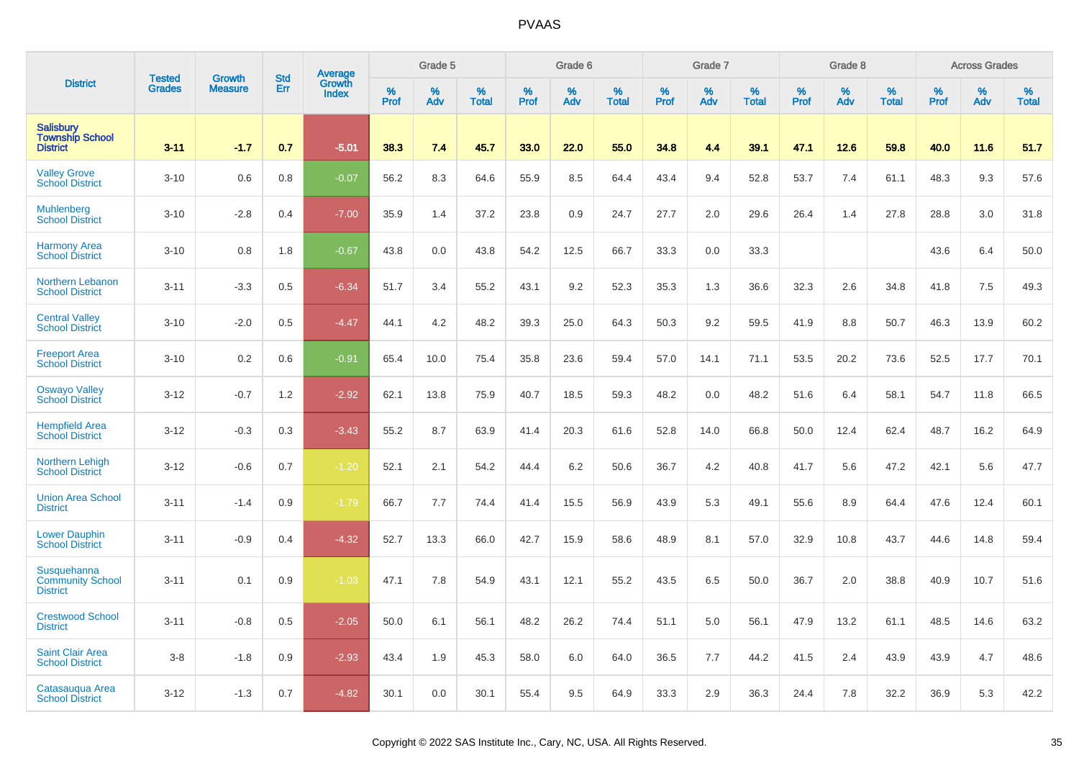|                                                               | <b>Tested</b> | <b>Growth</b>  | <b>Std</b> |                                   |              | Grade 5  |                   |              | Grade 6  |                   |              | Grade 7  |                   |              | Grade 8  |                   |                  | <b>Across Grades</b> |                   |
|---------------------------------------------------------------|---------------|----------------|------------|-----------------------------------|--------------|----------|-------------------|--------------|----------|-------------------|--------------|----------|-------------------|--------------|----------|-------------------|------------------|----------------------|-------------------|
| <b>District</b>                                               | <b>Grades</b> | <b>Measure</b> | Err        | Average<br>Growth<br><b>Index</b> | $\%$<br>Prof | %<br>Adv | %<br><b>Total</b> | $\%$<br>Prof | %<br>Adv | %<br><b>Total</b> | $\%$<br>Prof | %<br>Adv | %<br><b>Total</b> | $\%$<br>Prof | %<br>Adv | %<br><b>Total</b> | %<br><b>Prof</b> | %<br>Adv             | %<br><b>Total</b> |
| <b>Salisbury</b><br><b>Township School</b><br><b>District</b> | $3 - 11$      | $-1.7$         | 0.7        | $-5.01$                           | 38.3         | 7.4      | 45.7              | 33.0         | 22.0     | 55.0              | 34.8         | 4.4      | 39.1              | 47.1         | 12.6     | 59.8              | 40.0             | 11.6                 | 51.7              |
| <b>Valley Grove</b><br><b>School District</b>                 | $3 - 10$      | 0.6            | 0.8        | $-0.07$                           | 56.2         | 8.3      | 64.6              | 55.9         | 8.5      | 64.4              | 43.4         | 9.4      | 52.8              | 53.7         | 7.4      | 61.1              | 48.3             | 9.3                  | 57.6              |
| <b>Muhlenberg</b><br><b>School District</b>                   | $3 - 10$      | $-2.8$         | 0.4        | $-7.00$                           | 35.9         | 1.4      | 37.2              | 23.8         | 0.9      | 24.7              | 27.7         | 2.0      | 29.6              | 26.4         | 1.4      | 27.8              | 28.8             | 3.0                  | 31.8              |
| <b>Harmony Area</b><br><b>School District</b>                 | $3 - 10$      | 0.8            | 1.8        | $-0.67$                           | 43.8         | 0.0      | 43.8              | 54.2         | 12.5     | 66.7              | 33.3         | 0.0      | 33.3              |              |          |                   | 43.6             | 6.4                  | 50.0              |
| <b>Northern Lebanon</b><br><b>School District</b>             | $3 - 11$      | $-3.3$         | 0.5        | $-6.34$                           | 51.7         | 3.4      | 55.2              | 43.1         | 9.2      | 52.3              | 35.3         | 1.3      | 36.6              | 32.3         | 2.6      | 34.8              | 41.8             | 7.5                  | 49.3              |
| <b>Central Valley</b><br><b>School District</b>               | $3 - 10$      | $-2.0$         | 0.5        | $-4.47$                           | 44.1         | 4.2      | 48.2              | 39.3         | 25.0     | 64.3              | 50.3         | 9.2      | 59.5              | 41.9         | 8.8      | 50.7              | 46.3             | 13.9                 | 60.2              |
| <b>Freeport Area</b><br><b>School District</b>                | $3 - 10$      | 0.2            | 0.6        | $-0.91$                           | 65.4         | 10.0     | 75.4              | 35.8         | 23.6     | 59.4              | 57.0         | 14.1     | 71.1              | 53.5         | 20.2     | 73.6              | 52.5             | 17.7                 | 70.1              |
| <b>Oswayo Valley</b><br>School District                       | $3 - 12$      | $-0.7$         | 1.2        | $-2.92$                           | 62.1         | 13.8     | 75.9              | 40.7         | 18.5     | 59.3              | 48.2         | 0.0      | 48.2              | 51.6         | 6.4      | 58.1              | 54.7             | 11.8                 | 66.5              |
| <b>Hempfield Area</b><br><b>School District</b>               | $3 - 12$      | $-0.3$         | 0.3        | $-3.43$                           | 55.2         | 8.7      | 63.9              | 41.4         | 20.3     | 61.6              | 52.8         | 14.0     | 66.8              | 50.0         | 12.4     | 62.4              | 48.7             | 16.2                 | 64.9              |
| <b>Northern Lehigh</b><br><b>School District</b>              | $3 - 12$      | $-0.6$         | 0.7        | $-1.20$                           | 52.1         | 2.1      | 54.2              | 44.4         | 6.2      | 50.6              | 36.7         | 4.2      | 40.8              | 41.7         | 5.6      | 47.2              | 42.1             | 5.6                  | 47.7              |
| <b>Union Area School</b><br><b>District</b>                   | $3 - 11$      | $-1.4$         | 0.9        | $-1.79$                           | 66.7         | 7.7      | 74.4              | 41.4         | 15.5     | 56.9              | 43.9         | 5.3      | 49.1              | 55.6         | 8.9      | 64.4              | 47.6             | 12.4                 | 60.1              |
| <b>Lower Dauphin</b><br><b>School District</b>                | $3 - 11$      | $-0.9$         | 0.4        | $-4.32$                           | 52.7         | 13.3     | 66.0              | 42.7         | 15.9     | 58.6              | 48.9         | 8.1      | 57.0              | 32.9         | 10.8     | 43.7              | 44.6             | 14.8                 | 59.4              |
| Susquehanna<br><b>Community School</b><br><b>District</b>     | $3 - 11$      | 0.1            | 0.9        | $-1.03$                           | 47.1         | 7.8      | 54.9              | 43.1         | 12.1     | 55.2              | 43.5         | 6.5      | 50.0              | 36.7         | 2.0      | 38.8              | 40.9             | 10.7                 | 51.6              |
| <b>Crestwood School</b><br><b>District</b>                    | $3 - 11$      | $-0.8$         | 0.5        | $-2.05$                           | 50.0         | 6.1      | 56.1              | 48.2         | 26.2     | 74.4              | 51.1         | 5.0      | 56.1              | 47.9         | 13.2     | 61.1              | 48.5             | 14.6                 | 63.2              |
| <b>Saint Clair Area</b><br><b>School District</b>             | $3 - 8$       | $-1.8$         | 0.9        | $-2.93$                           | 43.4         | 1.9      | 45.3              | 58.0         | 6.0      | 64.0              | 36.5         | 7.7      | 44.2              | 41.5         | 2.4      | 43.9              | 43.9             | 4.7                  | 48.6              |
| Catasaugua Area<br><b>School District</b>                     | $3 - 12$      | $-1.3$         | 0.7        | $-4.82$                           | 30.1         | 0.0      | 30.1              | 55.4         | 9.5      | 64.9              | 33.3         | 2.9      | 36.3              | 24.4         | 7.8      | 32.2              | 36.9             | 5.3                  | 42.2              |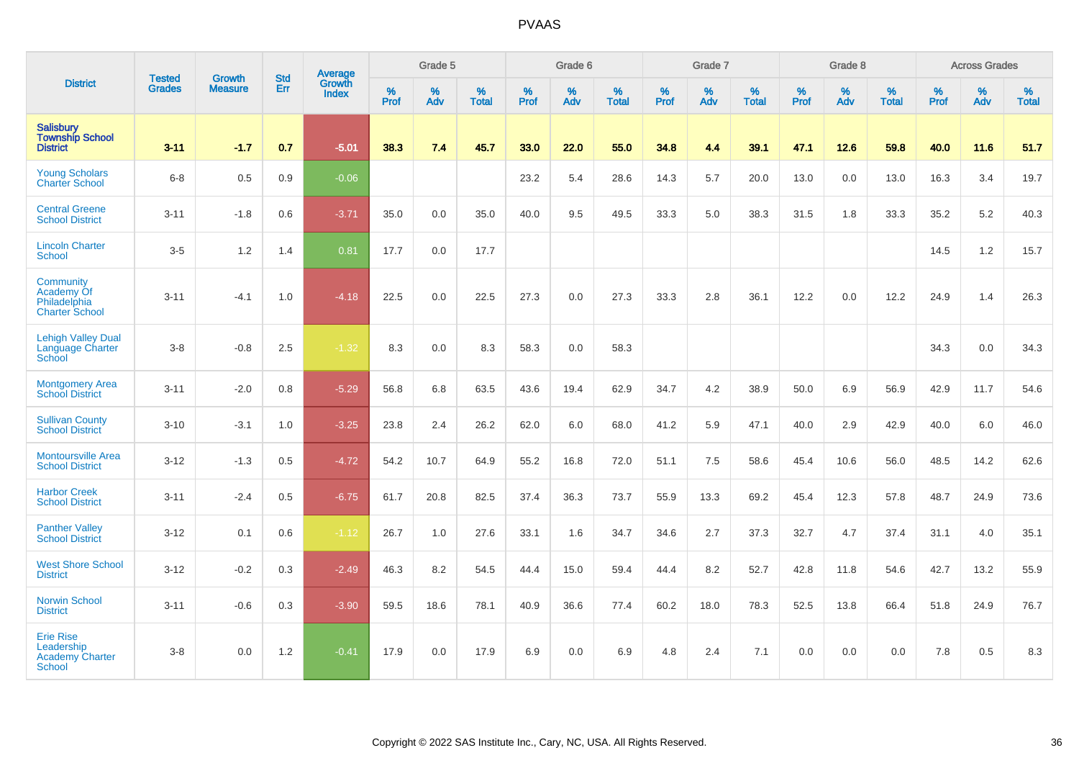|                                                                           | <b>Tested</b> | <b>Growth</b>  | <b>Std</b> | Average                |                     | Grade 5  |                   |              | Grade 6  |                   |              | Grade 7  |                   |              | Grade 8  |                   |                  | <b>Across Grades</b> |                   |
|---------------------------------------------------------------------------|---------------|----------------|------------|------------------------|---------------------|----------|-------------------|--------------|----------|-------------------|--------------|----------|-------------------|--------------|----------|-------------------|------------------|----------------------|-------------------|
| <b>District</b>                                                           | <b>Grades</b> | <b>Measure</b> | Err        | Growth<br><b>Index</b> | $\%$<br><b>Prof</b> | %<br>Adv | %<br><b>Total</b> | $\%$<br>Prof | %<br>Adv | %<br><b>Total</b> | $\%$<br>Prof | %<br>Adv | %<br><b>Total</b> | $\%$<br>Prof | %<br>Adv | %<br><b>Total</b> | %<br><b>Prof</b> | %<br>Adv             | %<br><b>Total</b> |
| <b>Salisbury</b><br><b>Township School</b><br><b>District</b>             | $3 - 11$      | $-1.7$         | 0.7        | $-5.01$                | 38.3                | 7.4      | 45.7              | 33.0         | 22.0     | 55.0              | 34.8         | 4.4      | 39.1              | 47.1         | 12.6     | 59.8              | 40.0             | 11.6                 | 51.7              |
| <b>Young Scholars</b><br><b>Charter School</b>                            | $6-8$         | 0.5            | 0.9        | $-0.06$                |                     |          |                   | 23.2         | 5.4      | 28.6              | 14.3         | 5.7      | 20.0              | 13.0         | 0.0      | 13.0              | 16.3             | 3.4                  | 19.7              |
| <b>Central Greene</b><br><b>School District</b>                           | $3 - 11$      | $-1.8$         | 0.6        | $-3.71$                | 35.0                | 0.0      | 35.0              | 40.0         | 9.5      | 49.5              | 33.3         | 5.0      | 38.3              | 31.5         | 1.8      | 33.3              | 35.2             | 5.2                  | 40.3              |
| <b>Lincoln Charter</b><br>School                                          | $3-5$         | 1.2            | 1.4        | 0.81                   | 17.7                | 0.0      | 17.7              |              |          |                   |              |          |                   |              |          |                   | 14.5             | 1.2                  | 15.7              |
| Community<br>Academy Of<br>Philadelphia<br><b>Charter School</b>          | $3 - 11$      | $-4.1$         | 1.0        | $-4.18$                | 22.5                | 0.0      | 22.5              | 27.3         | 0.0      | 27.3              | 33.3         | 2.8      | 36.1              | 12.2         | 0.0      | 12.2              | 24.9             | 1.4                  | 26.3              |
| <b>Lehigh Valley Dual</b><br><b>Language Charter</b><br>School            | $3-8$         | $-0.8$         | 2.5        | $-1.32$                | 8.3                 | 0.0      | 8.3               | 58.3         | 0.0      | 58.3              |              |          |                   |              |          |                   | 34.3             | 0.0                  | 34.3              |
| <b>Montgomery Area</b><br><b>School District</b>                          | $3 - 11$      | $-2.0$         | 0.8        | $-5.29$                | 56.8                | 6.8      | 63.5              | 43.6         | 19.4     | 62.9              | 34.7         | 4.2      | 38.9              | 50.0         | 6.9      | 56.9              | 42.9             | 11.7                 | 54.6              |
| <b>Sullivan County</b><br><b>School District</b>                          | $3 - 10$      | $-3.1$         | 1.0        | $-3.25$                | 23.8                | 2.4      | 26.2              | 62.0         | 6.0      | 68.0              | 41.2         | 5.9      | 47.1              | 40.0         | 2.9      | 42.9              | 40.0             | 6.0                  | 46.0              |
| <b>Montoursville Area</b><br><b>School District</b>                       | $3 - 12$      | $-1.3$         | 0.5        | $-4.72$                | 54.2                | 10.7     | 64.9              | 55.2         | 16.8     | 72.0              | 51.1         | 7.5      | 58.6              | 45.4         | 10.6     | 56.0              | 48.5             | 14.2                 | 62.6              |
| <b>Harbor Creek</b><br><b>School District</b>                             | $3 - 11$      | $-2.4$         | 0.5        | $-6.75$                | 61.7                | 20.8     | 82.5              | 37.4         | 36.3     | 73.7              | 55.9         | 13.3     | 69.2              | 45.4         | 12.3     | 57.8              | 48.7             | 24.9                 | 73.6              |
| <b>Panther Valley</b><br><b>School District</b>                           | $3 - 12$      | 0.1            | 0.6        | $-1.12$                | 26.7                | 1.0      | 27.6              | 33.1         | 1.6      | 34.7              | 34.6         | 2.7      | 37.3              | 32.7         | 4.7      | 37.4              | 31.1             | 4.0                  | 35.1              |
| <b>West Shore School</b><br><b>District</b>                               | $3 - 12$      | $-0.2$         | 0.3        | $-2.49$                | 46.3                | 8.2      | 54.5              | 44.4         | 15.0     | 59.4              | 44.4         | 8.2      | 52.7              | 42.8         | 11.8     | 54.6              | 42.7             | 13.2                 | 55.9              |
| <b>Norwin School</b><br><b>District</b>                                   | $3 - 11$      | $-0.6$         | 0.3        | $-3.90$                | 59.5                | 18.6     | 78.1              | 40.9         | 36.6     | 77.4              | 60.2         | 18.0     | 78.3              | 52.5         | 13.8     | 66.4              | 51.8             | 24.9                 | 76.7              |
| <b>Erie Rise</b><br>Leadership<br><b>Academy Charter</b><br><b>School</b> | $3 - 8$       | 0.0            | 1.2        | $-0.41$                | 17.9                | 0.0      | 17.9              | 6.9          | 0.0      | 6.9               | 4.8          | 2.4      | 7.1               | 0.0          | 0.0      | 0.0               | 7.8              | 0.5                  | 8.3               |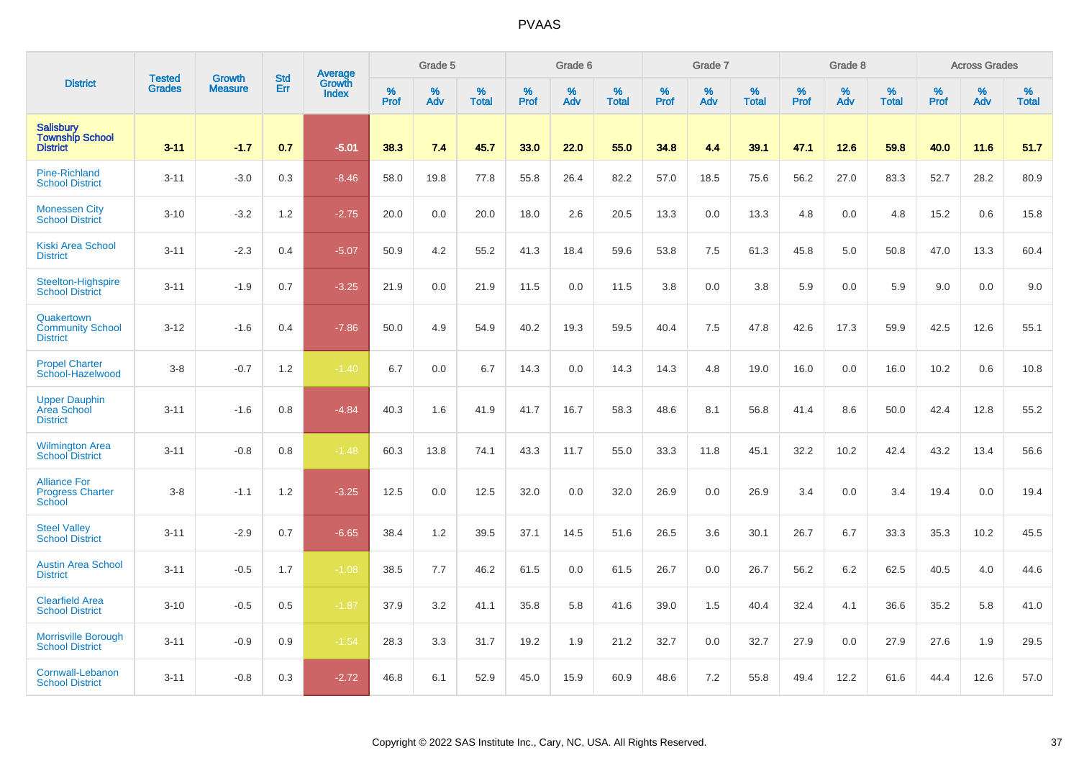|                                                               |                                | <b>Growth</b>  | <b>Std</b> | Average                |              | Grade 5  |                   |           | Grade 6  |                   |           | Grade 7  |                   |           | Grade 8  |                   |           | <b>Across Grades</b> |                   |
|---------------------------------------------------------------|--------------------------------|----------------|------------|------------------------|--------------|----------|-------------------|-----------|----------|-------------------|-----------|----------|-------------------|-----------|----------|-------------------|-----------|----------------------|-------------------|
| <b>District</b>                                               | <b>Tested</b><br><b>Grades</b> | <b>Measure</b> | Err        | Growth<br><b>Index</b> | $\%$<br>Prof | %<br>Adv | %<br><b>Total</b> | %<br>Prof | %<br>Adv | %<br><b>Total</b> | %<br>Prof | %<br>Adv | %<br><b>Total</b> | %<br>Prof | %<br>Adv | %<br><b>Total</b> | %<br>Prof | %<br>Adv             | %<br><b>Total</b> |
| <b>Salisbury</b><br><b>Township School</b><br><b>District</b> | $3 - 11$                       | $-1.7$         | 0.7        | $-5.01$                | 38.3         | 7.4      | 45.7              | 33.0      | 22.0     | 55.0              | 34.8      | 4.4      | 39.1              | 47.1      | 12.6     | 59.8              | 40.0      | 11.6                 | 51.7              |
| <b>Pine-Richland</b><br><b>School District</b>                | $3 - 11$                       | $-3.0$         | 0.3        | $-8.46$                | 58.0         | 19.8     | 77.8              | 55.8      | 26.4     | 82.2              | 57.0      | 18.5     | 75.6              | 56.2      | 27.0     | 83.3              | 52.7      | 28.2                 | 80.9              |
| <b>Monessen City</b><br><b>School District</b>                | $3 - 10$                       | $-3.2$         | 1.2        | $-2.75$                | 20.0         | 0.0      | 20.0              | 18.0      | 2.6      | 20.5              | 13.3      | 0.0      | 13.3              | 4.8       | 0.0      | 4.8               | 15.2      | 0.6                  | 15.8              |
| <b>Kiski Area School</b><br><b>District</b>                   | $3 - 11$                       | $-2.3$         | 0.4        | $-5.07$                | 50.9         | 4.2      | 55.2              | 41.3      | 18.4     | 59.6              | 53.8      | 7.5      | 61.3              | 45.8      | 5.0      | 50.8              | 47.0      | 13.3                 | 60.4              |
| Steelton-Highspire<br><b>School District</b>                  | $3 - 11$                       | $-1.9$         | 0.7        | $-3.25$                | 21.9         | 0.0      | 21.9              | 11.5      | 0.0      | 11.5              | 3.8       | 0.0      | 3.8               | 5.9       | 0.0      | 5.9               | 9.0       | 0.0                  | 9.0               |
| Quakertown<br><b>Community School</b><br><b>District</b>      | $3 - 12$                       | $-1.6$         | 0.4        | $-7.86$                | 50.0         | 4.9      | 54.9              | 40.2      | 19.3     | 59.5              | 40.4      | 7.5      | 47.8              | 42.6      | 17.3     | 59.9              | 42.5      | 12.6                 | 55.1              |
| <b>Propel Charter</b><br>School-Hazelwood                     | $3-8$                          | $-0.7$         | 1.2        | $-1.40$                | 6.7          | 0.0      | 6.7               | 14.3      | 0.0      | 14.3              | 14.3      | 4.8      | 19.0              | 16.0      | 0.0      | 16.0              | 10.2      | 0.6                  | 10.8              |
| <b>Upper Dauphin</b><br>Area School<br><b>District</b>        | $3 - 11$                       | $-1.6$         | 0.8        | $-4.84$                | 40.3         | 1.6      | 41.9              | 41.7      | 16.7     | 58.3              | 48.6      | 8.1      | 56.8              | 41.4      | 8.6      | 50.0              | 42.4      | 12.8                 | 55.2              |
| <b>Wilmington Area</b><br><b>School District</b>              | $3 - 11$                       | $-0.8$         | 0.8        | $-1.48$                | 60.3         | 13.8     | 74.1              | 43.3      | 11.7     | 55.0              | 33.3      | 11.8     | 45.1              | 32.2      | 10.2     | 42.4              | 43.2      | 13.4                 | 56.6              |
| <b>Alliance For</b><br><b>Progress Charter</b><br>School      | $3-8$                          | $-1.1$         | 1.2        | $-3.25$                | 12.5         | 0.0      | 12.5              | 32.0      | 0.0      | 32.0              | 26.9      | 0.0      | 26.9              | 3.4       | 0.0      | 3.4               | 19.4      | 0.0                  | 19.4              |
| <b>Steel Valley</b><br><b>School District</b>                 | $3 - 11$                       | $-2.9$         | 0.7        | $-6.65$                | 38.4         | 1.2      | 39.5              | 37.1      | 14.5     | 51.6              | 26.5      | 3.6      | 30.1              | 26.7      | 6.7      | 33.3              | 35.3      | 10.2                 | 45.5              |
| <b>Austin Area School</b><br><b>District</b>                  | $3 - 11$                       | $-0.5$         | 1.7        | $-1.08$                | 38.5         | 7.7      | 46.2              | 61.5      | 0.0      | 61.5              | 26.7      | 0.0      | 26.7              | 56.2      | 6.2      | 62.5              | 40.5      | 4.0                  | 44.6              |
| <b>Clearfield Area</b><br><b>School District</b>              | $3 - 10$                       | $-0.5$         | 0.5        | $-1.87$                | 37.9         | 3.2      | 41.1              | 35.8      | 5.8      | 41.6              | 39.0      | 1.5      | 40.4              | 32.4      | 4.1      | 36.6              | 35.2      | 5.8                  | 41.0              |
| <b>Morrisville Borough</b><br><b>School District</b>          | $3 - 11$                       | $-0.9$         | 0.9        | $-1.54$                | 28.3         | 3.3      | 31.7              | 19.2      | 1.9      | 21.2              | 32.7      | 0.0      | 32.7              | 27.9      | 0.0      | 27.9              | 27.6      | 1.9                  | 29.5              |
| Cornwall-Lebanon<br><b>School District</b>                    | $3 - 11$                       | $-0.8$         | 0.3        | $-2.72$                | 46.8         | 6.1      | 52.9              | 45.0      | 15.9     | 60.9              | 48.6      | 7.2      | 55.8              | 49.4      | 12.2     | 61.6              | 44.4      | 12.6                 | 57.0              |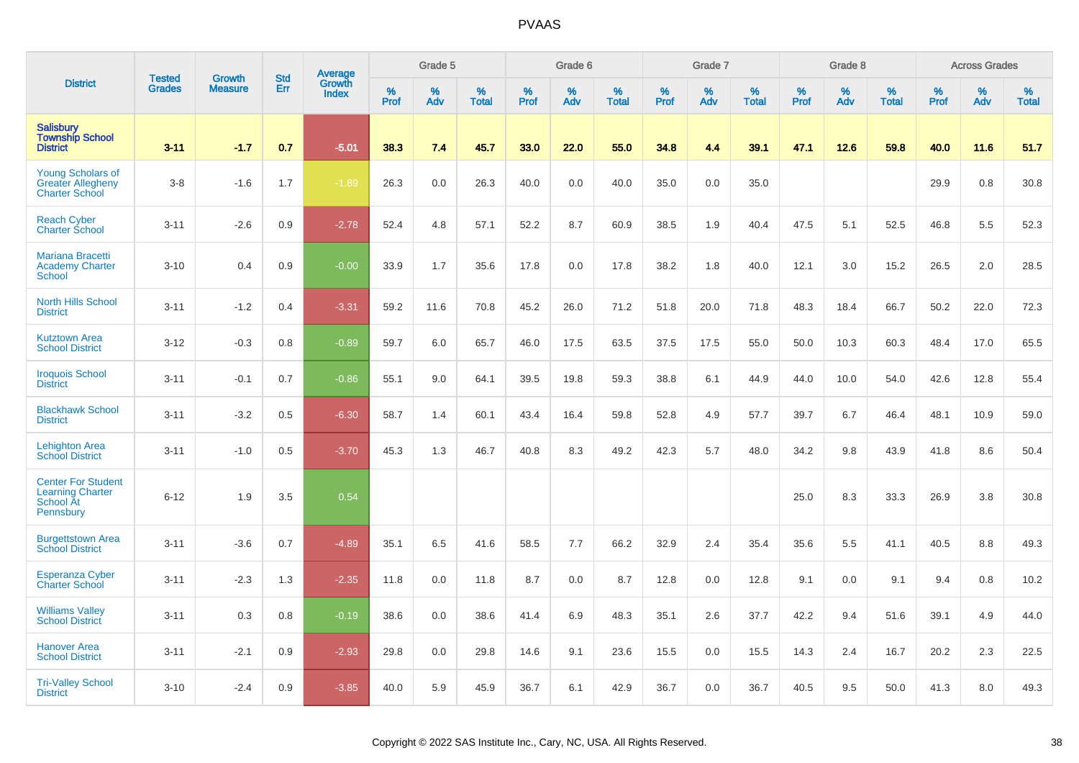|                                                                                |                                | <b>Growth</b>  | <b>Std</b> | <b>Average</b><br>Growth |              | Grade 5  |                   |           | Grade 6  |                   |           | Grade 7  |                   |                  | Grade 8  |                   |           | <b>Across Grades</b> |                   |
|--------------------------------------------------------------------------------|--------------------------------|----------------|------------|--------------------------|--------------|----------|-------------------|-----------|----------|-------------------|-----------|----------|-------------------|------------------|----------|-------------------|-----------|----------------------|-------------------|
| <b>District</b>                                                                | <b>Tested</b><br><b>Grades</b> | <b>Measure</b> | Err        | Index                    | $\%$<br>Prof | %<br>Adv | %<br><b>Total</b> | %<br>Prof | %<br>Adv | %<br><b>Total</b> | %<br>Prof | %<br>Adv | %<br><b>Total</b> | %<br><b>Prof</b> | %<br>Adv | %<br><b>Total</b> | %<br>Prof | %<br>Adv             | %<br><b>Total</b> |
| <b>Salisbury</b><br><b>Township School</b><br><b>District</b>                  | $3 - 11$                       | $-1.7$         | 0.7        | $-5.01$                  | 38.3         | 7.4      | 45.7              | 33.0      | 22.0     | 55.0              | 34.8      | 4.4      | 39.1              | 47.1             | 12.6     | 59.8              | 40.0      | 11.6                 | 51.7              |
| <b>Young Scholars of</b><br><b>Greater Allegheny</b><br><b>Charter School</b>  | $3-8$                          | $-1.6$         | 1.7        | $-1.89$                  | 26.3         | 0.0      | 26.3              | 40.0      | 0.0      | 40.0              | 35.0      | 0.0      | 35.0              |                  |          |                   | 29.9      | 0.8                  | 30.8              |
| <b>Reach Cyber</b><br>Charter School                                           | $3 - 11$                       | $-2.6$         | 0.9        | $-2.78$                  | 52.4         | 4.8      | 57.1              | 52.2      | 8.7      | 60.9              | 38.5      | 1.9      | 40.4              | 47.5             | 5.1      | 52.5              | 46.8      | 5.5                  | 52.3              |
| Mariana Bracetti<br><b>Academy Charter</b><br><b>School</b>                    | $3 - 10$                       | 0.4            | 0.9        | $-0.00$                  | 33.9         | 1.7      | 35.6              | 17.8      | 0.0      | 17.8              | 38.2      | 1.8      | 40.0              | 12.1             | 3.0      | 15.2              | 26.5      | 2.0                  | 28.5              |
| <b>North Hills School</b><br><b>District</b>                                   | $3 - 11$                       | $-1.2$         | 0.4        | $-3.31$                  | 59.2         | 11.6     | 70.8              | 45.2      | 26.0     | 71.2              | 51.8      | 20.0     | 71.8              | 48.3             | 18.4     | 66.7              | 50.2      | 22.0                 | 72.3              |
| <b>Kutztown Area</b><br><b>School District</b>                                 | $3 - 12$                       | $-0.3$         | 0.8        | $-0.89$                  | 59.7         | 6.0      | 65.7              | 46.0      | 17.5     | 63.5              | 37.5      | 17.5     | 55.0              | 50.0             | 10.3     | 60.3              | 48.4      | 17.0                 | 65.5              |
| <b>Iroquois School</b><br><b>District</b>                                      | $3 - 11$                       | $-0.1$         | 0.7        | $-0.86$                  | 55.1         | 9.0      | 64.1              | 39.5      | 19.8     | 59.3              | 38.8      | 6.1      | 44.9              | 44.0             | 10.0     | 54.0              | 42.6      | 12.8                 | 55.4              |
| <b>Blackhawk School</b><br><b>District</b>                                     | $3 - 11$                       | $-3.2$         | 0.5        | $-6.30$                  | 58.7         | 1.4      | 60.1              | 43.4      | 16.4     | 59.8              | 52.8      | 4.9      | 57.7              | 39.7             | 6.7      | 46.4              | 48.1      | 10.9                 | 59.0              |
| <b>Lehighton Area</b><br><b>School District</b>                                | $3 - 11$                       | $-1.0$         | 0.5        | $-3.70$                  | 45.3         | 1.3      | 46.7              | 40.8      | 8.3      | 49.2              | 42.3      | 5.7      | 48.0              | 34.2             | 9.8      | 43.9              | 41.8      | 8.6                  | 50.4              |
| <b>Center For Student</b><br><b>Learning Charter</b><br>School At<br>Pennsbury | $6 - 12$                       | 1.9            | 3.5        | 0.54                     |              |          |                   |           |          |                   |           |          |                   | 25.0             | 8.3      | 33.3              | 26.9      | 3.8                  | 30.8              |
| <b>Burgettstown Area</b><br><b>School District</b>                             | $3 - 11$                       | $-3.6$         | 0.7        | $-4.89$                  | 35.1         | 6.5      | 41.6              | 58.5      | 7.7      | 66.2              | 32.9      | 2.4      | 35.4              | 35.6             | 5.5      | 41.1              | 40.5      | 8.8                  | 49.3              |
| <b>Esperanza Cyber</b><br><b>Charter School</b>                                | $3 - 11$                       | $-2.3$         | 1.3        | $-2.35$                  | 11.8         | 0.0      | 11.8              | 8.7       | 0.0      | 8.7               | 12.8      | 0.0      | 12.8              | 9.1              | 0.0      | 9.1               | 9.4       | 0.8                  | 10.2              |
| <b>Williams Valley</b><br><b>School District</b>                               | $3 - 11$                       | 0.3            | 0.8        | $-0.19$                  | 38.6         | 0.0      | 38.6              | 41.4      | 6.9      | 48.3              | 35.1      | 2.6      | 37.7              | 42.2             | 9.4      | 51.6              | 39.1      | 4.9                  | 44.0              |
| <b>Hanover Area</b><br><b>School District</b>                                  | $3 - 11$                       | $-2.1$         | 0.9        | $-2.93$                  | 29.8         | 0.0      | 29.8              | 14.6      | 9.1      | 23.6              | 15.5      | 0.0      | 15.5              | 14.3             | 2.4      | 16.7              | 20.2      | 2.3                  | 22.5              |
| <b>Tri-Valley School</b><br><b>District</b>                                    | $3 - 10$                       | $-2.4$         | 0.9        | $-3.85$                  | 40.0         | 5.9      | 45.9              | 36.7      | 6.1      | 42.9              | 36.7      | 0.0      | 36.7              | 40.5             | 9.5      | 50.0              | 41.3      | 8.0                  | 49.3              |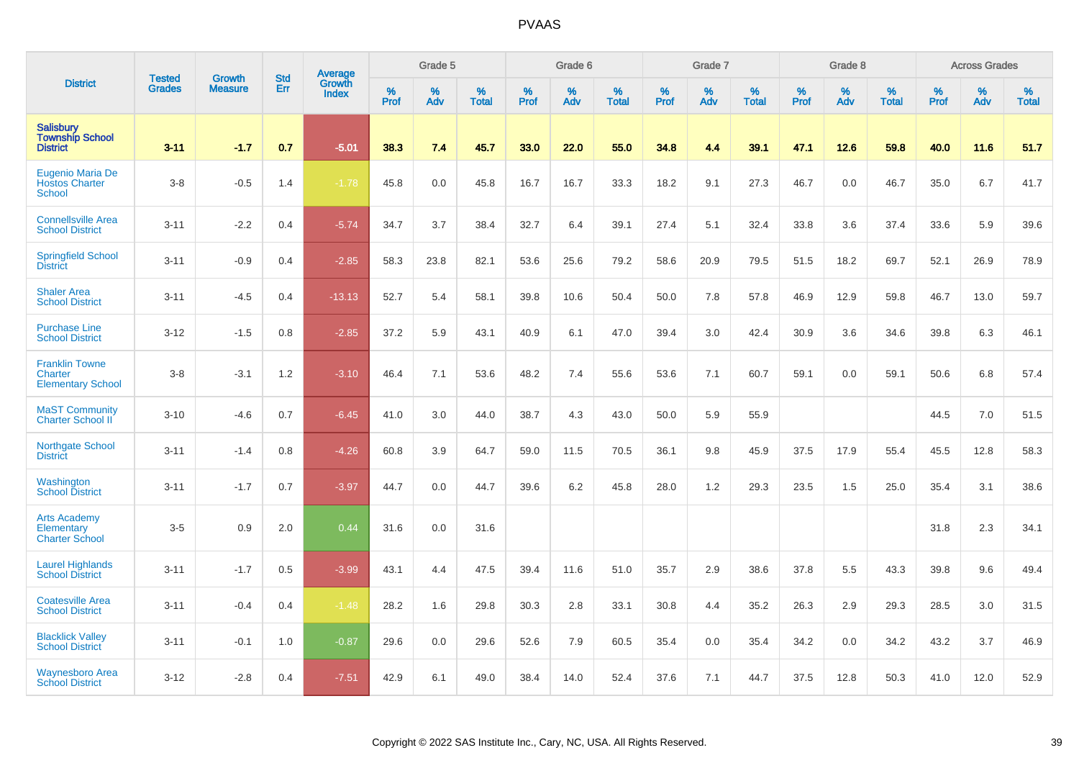|                                                                     | <b>Tested</b> | <b>Growth</b>  | <b>Std</b> | <b>Average</b><br>Growth |                     | Grade 5  |                   |           | Grade 6  |                   |                  | Grade 7  |                   |           | Grade 8     |                   |              | <b>Across Grades</b> |                   |
|---------------------------------------------------------------------|---------------|----------------|------------|--------------------------|---------------------|----------|-------------------|-----------|----------|-------------------|------------------|----------|-------------------|-----------|-------------|-------------------|--------------|----------------------|-------------------|
| <b>District</b>                                                     | <b>Grades</b> | <b>Measure</b> | Err        | Index                    | $\%$<br><b>Prof</b> | %<br>Adv | %<br><b>Total</b> | %<br>Prof | %<br>Adv | %<br><b>Total</b> | %<br><b>Prof</b> | %<br>Adv | %<br><b>Total</b> | %<br>Prof | $\%$<br>Adv | %<br><b>Total</b> | $\%$<br>Prof | $\%$<br>Adv          | %<br><b>Total</b> |
| <b>Salisbury</b><br><b>Township School</b><br><b>District</b>       | $3 - 11$      | $-1.7$         | 0.7        | $-5.01$                  | 38.3                | 7.4      | 45.7              | 33.0      | 22.0     | 55.0              | 34.8             | 4.4      | 39.1              | 47.1      | 12.6        | 59.8              | 40.0         | 11.6                 | 51.7              |
| Eugenio Maria De<br><b>Hostos Charter</b><br><b>School</b>          | $3-8$         | $-0.5$         | 1.4        | $-1.78$                  | 45.8                | 0.0      | 45.8              | 16.7      | 16.7     | 33.3              | 18.2             | 9.1      | 27.3              | 46.7      | 0.0         | 46.7              | 35.0         | 6.7                  | 41.7              |
| <b>Connellsville Area</b><br><b>School District</b>                 | $3 - 11$      | $-2.2$         | 0.4        | $-5.74$                  | 34.7                | 3.7      | 38.4              | 32.7      | 6.4      | 39.1              | 27.4             | 5.1      | 32.4              | 33.8      | 3.6         | 37.4              | 33.6         | 5.9                  | 39.6              |
| <b>Springfield School</b><br><b>District</b>                        | $3 - 11$      | $-0.9$         | 0.4        | $-2.85$                  | 58.3                | 23.8     | 82.1              | 53.6      | 25.6     | 79.2              | 58.6             | 20.9     | 79.5              | 51.5      | 18.2        | 69.7              | 52.1         | 26.9                 | 78.9              |
| <b>Shaler Area</b><br><b>School District</b>                        | $3 - 11$      | $-4.5$         | 0.4        | $-13.13$                 | 52.7                | 5.4      | 58.1              | 39.8      | 10.6     | 50.4              | 50.0             | 7.8      | 57.8              | 46.9      | 12.9        | 59.8              | 46.7         | 13.0                 | 59.7              |
| <b>Purchase Line</b><br><b>School District</b>                      | $3 - 12$      | $-1.5$         | 0.8        | $-2.85$                  | 37.2                | 5.9      | 43.1              | 40.9      | 6.1      | 47.0              | 39.4             | 3.0      | 42.4              | 30.9      | 3.6         | 34.6              | 39.8         | 6.3                  | 46.1              |
| <b>Franklin Towne</b><br><b>Charter</b><br><b>Elementary School</b> | $3-8$         | $-3.1$         | 1.2        | $-3.10$                  | 46.4                | 7.1      | 53.6              | 48.2      | 7.4      | 55.6              | 53.6             | 7.1      | 60.7              | 59.1      | 0.0         | 59.1              | 50.6         | 6.8                  | 57.4              |
| <b>MaST Community</b><br>Charter School II                          | $3 - 10$      | $-4.6$         | 0.7        | $-6.45$                  | 41.0                | 3.0      | 44.0              | 38.7      | 4.3      | 43.0              | 50.0             | 5.9      | 55.9              |           |             |                   | 44.5         | 7.0                  | 51.5              |
| <b>Northgate School</b><br><b>District</b>                          | $3 - 11$      | $-1.4$         | 0.8        | $-4.26$                  | 60.8                | 3.9      | 64.7              | 59.0      | 11.5     | 70.5              | 36.1             | 9.8      | 45.9              | 37.5      | 17.9        | 55.4              | 45.5         | 12.8                 | 58.3              |
| Washington<br><b>School District</b>                                | $3 - 11$      | $-1.7$         | 0.7        | $-3.97$                  | 44.7                | 0.0      | 44.7              | 39.6      | 6.2      | 45.8              | 28.0             | 1.2      | 29.3              | 23.5      | 1.5         | 25.0              | 35.4         | 3.1                  | 38.6              |
| <b>Arts Academy</b><br>Elementary<br><b>Charter School</b>          | $3-5$         | 0.9            | 2.0        | 0.44                     | 31.6                | 0.0      | 31.6              |           |          |                   |                  |          |                   |           |             |                   | 31.8         | 2.3                  | 34.1              |
| <b>Laurel Highlands</b><br><b>School District</b>                   | $3 - 11$      | $-1.7$         | 0.5        | $-3.99$                  | 43.1                | 4.4      | 47.5              | 39.4      | 11.6     | 51.0              | 35.7             | 2.9      | 38.6              | 37.8      | 5.5         | 43.3              | 39.8         | 9.6                  | 49.4              |
| <b>Coatesville Area</b><br><b>School District</b>                   | $3 - 11$      | $-0.4$         | 0.4        | $-1.48$                  | 28.2                | 1.6      | 29.8              | 30.3      | 2.8      | 33.1              | 30.8             | 4.4      | 35.2              | 26.3      | 2.9         | 29.3              | 28.5         | 3.0                  | 31.5              |
| <b>Blacklick Valley</b><br><b>School District</b>                   | $3 - 11$      | $-0.1$         | 1.0        | $-0.87$                  | 29.6                | 0.0      | 29.6              | 52.6      | 7.9      | 60.5              | 35.4             | 0.0      | 35.4              | 34.2      | 0.0         | 34.2              | 43.2         | 3.7                  | 46.9              |
| <b>Waynesboro Area</b><br><b>School District</b>                    | $3 - 12$      | $-2.8$         | 0.4        | $-7.51$                  | 42.9                | 6.1      | 49.0              | 38.4      | 14.0     | 52.4              | 37.6             | 7.1      | 44.7              | 37.5      | 12.8        | 50.3              | 41.0         | 12.0                 | 52.9              |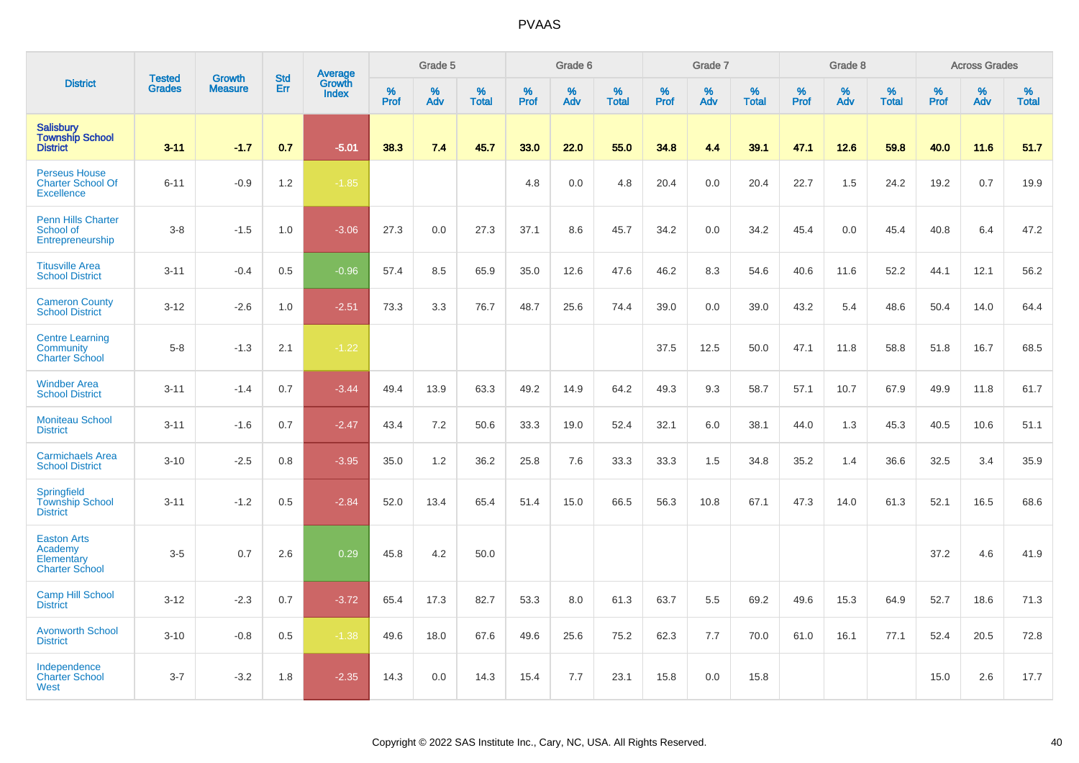|                                                                       |                                |                                 | <b>Std</b> | Average                |           | Grade 5  |                   |           | Grade 6  |                   |           | Grade 7  |                   |           | Grade 8  |                   |                  | <b>Across Grades</b> |                   |
|-----------------------------------------------------------------------|--------------------------------|---------------------------------|------------|------------------------|-----------|----------|-------------------|-----------|----------|-------------------|-----------|----------|-------------------|-----------|----------|-------------------|------------------|----------------------|-------------------|
| <b>District</b>                                                       | <b>Tested</b><br><b>Grades</b> | <b>Growth</b><br><b>Measure</b> | Err        | Growth<br><b>Index</b> | %<br>Prof | %<br>Adv | %<br><b>Total</b> | %<br>Prof | %<br>Adv | %<br><b>Total</b> | %<br>Prof | %<br>Adv | %<br><b>Total</b> | %<br>Prof | %<br>Adv | %<br><b>Total</b> | %<br><b>Prof</b> | %<br>Adv             | %<br><b>Total</b> |
| <b>Salisbury</b><br><b>Township School</b><br><b>District</b>         | $3 - 11$                       | $-1.7$                          | 0.7        | $-5.01$                | 38.3      | 7.4      | 45.7              | 33.0      | 22.0     | 55.0              | 34.8      | 4.4      | 39.1              | 47.1      | 12.6     | 59.8              | 40.0             | 11.6                 | 51.7              |
| <b>Perseus House</b><br><b>Charter School Of</b><br><b>Excellence</b> | $6 - 11$                       | $-0.9$                          | 1.2        | $-1.85$                |           |          |                   | 4.8       | 0.0      | 4.8               | 20.4      | 0.0      | 20.4              | 22.7      | 1.5      | 24.2              | 19.2             | 0.7                  | 19.9              |
| <b>Penn Hills Charter</b><br>School of<br>Entrepreneurship            | $3 - 8$                        | $-1.5$                          | 1.0        | $-3.06$                | 27.3      | 0.0      | 27.3              | 37.1      | 8.6      | 45.7              | 34.2      | 0.0      | 34.2              | 45.4      | 0.0      | 45.4              | 40.8             | 6.4                  | 47.2              |
| <b>Titusville Area</b><br><b>School District</b>                      | $3 - 11$                       | $-0.4$                          | 0.5        | $-0.96$                | 57.4      | 8.5      | 65.9              | 35.0      | 12.6     | 47.6              | 46.2      | 8.3      | 54.6              | 40.6      | 11.6     | 52.2              | 44.1             | 12.1                 | 56.2              |
| <b>Cameron County</b><br><b>School District</b>                       | $3 - 12$                       | $-2.6$                          | 1.0        | $-2.51$                | 73.3      | 3.3      | 76.7              | 48.7      | 25.6     | 74.4              | 39.0      | 0.0      | 39.0              | 43.2      | 5.4      | 48.6              | 50.4             | 14.0                 | 64.4              |
| <b>Centre Learning</b><br>Community<br><b>Charter School</b>          | $5-8$                          | $-1.3$                          | 2.1        | $-1.22$                |           |          |                   |           |          |                   | 37.5      | 12.5     | 50.0              | 47.1      | 11.8     | 58.8              | 51.8             | 16.7                 | 68.5              |
| <b>Windber Area</b><br><b>School District</b>                         | $3 - 11$                       | $-1.4$                          | 0.7        | $-3.44$                | 49.4      | 13.9     | 63.3              | 49.2      | 14.9     | 64.2              | 49.3      | 9.3      | 58.7              | 57.1      | 10.7     | 67.9              | 49.9             | 11.8                 | 61.7              |
| <b>Moniteau School</b><br><b>District</b>                             | $3 - 11$                       | $-1.6$                          | 0.7        | $-2.47$                | 43.4      | 7.2      | 50.6              | 33.3      | 19.0     | 52.4              | 32.1      | 6.0      | 38.1              | 44.0      | 1.3      | 45.3              | 40.5             | 10.6                 | 51.1              |
| <b>Carmichaels Area</b><br><b>School District</b>                     | $3 - 10$                       | $-2.5$                          | 0.8        | $-3.95$                | 35.0      | 1.2      | 36.2              | 25.8      | 7.6      | 33.3              | 33.3      | 1.5      | 34.8              | 35.2      | 1.4      | 36.6              | 32.5             | 3.4                  | 35.9              |
| Springfield<br><b>Township School</b><br><b>District</b>              | $3 - 11$                       | $-1.2$                          | 0.5        | $-2.84$                | 52.0      | 13.4     | 65.4              | 51.4      | 15.0     | 66.5              | 56.3      | 10.8     | 67.1              | 47.3      | 14.0     | 61.3              | 52.1             | 16.5                 | 68.6              |
| <b>Easton Arts</b><br>Academy<br>Elementary<br><b>Charter School</b>  | $3-5$                          | 0.7                             | 2.6        | 0.29                   | 45.8      | 4.2      | 50.0              |           |          |                   |           |          |                   |           |          |                   | 37.2             | 4.6                  | 41.9              |
| <b>Camp Hill School</b><br><b>District</b>                            | $3 - 12$                       | $-2.3$                          | 0.7        | $-3.72$                | 65.4      | 17.3     | 82.7              | 53.3      | 8.0      | 61.3              | 63.7      | 5.5      | 69.2              | 49.6      | 15.3     | 64.9              | 52.7             | 18.6                 | 71.3              |
| <b>Avonworth School</b><br><b>District</b>                            | $3 - 10$                       | $-0.8$                          | 0.5        | $-1.38$                | 49.6      | 18.0     | 67.6              | 49.6      | 25.6     | 75.2              | 62.3      | 7.7      | 70.0              | 61.0      | 16.1     | 77.1              | 52.4             | 20.5                 | 72.8              |
| Independence<br><b>Charter School</b><br>West                         | $3 - 7$                        | $-3.2$                          | 1.8        | $-2.35$                | 14.3      | 0.0      | 14.3              | 15.4      | 7.7      | 23.1              | 15.8      | 0.0      | 15.8              |           |          |                   | 15.0             | 2.6                  | 17.7              |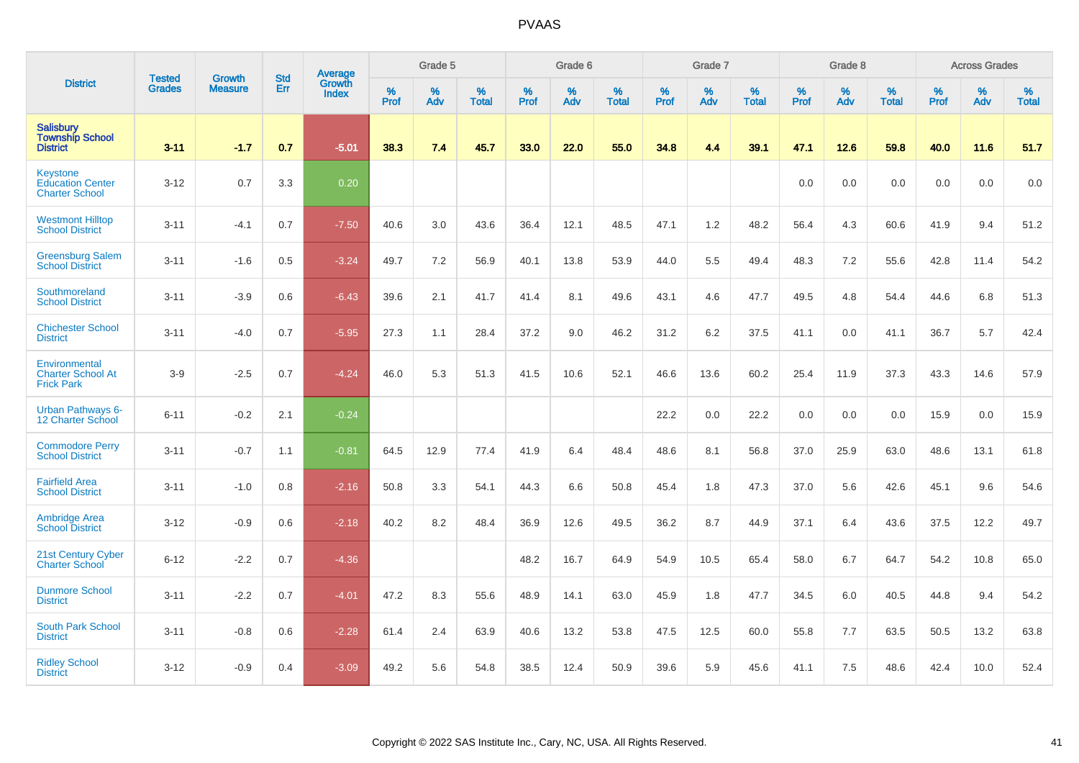|                                                                     | <b>Tested</b> | <b>Growth</b>  | <b>Std</b> | Average                |              | Grade 5  |                   |           | Grade 6  |                   |           | Grade 7  |                   |              | Grade 8  |                   |           | <b>Across Grades</b> |                   |
|---------------------------------------------------------------------|---------------|----------------|------------|------------------------|--------------|----------|-------------------|-----------|----------|-------------------|-----------|----------|-------------------|--------------|----------|-------------------|-----------|----------------------|-------------------|
| <b>District</b>                                                     | <b>Grades</b> | <b>Measure</b> | Err        | Growth<br><b>Index</b> | $\%$<br>Prof | %<br>Adv | %<br><b>Total</b> | %<br>Prof | %<br>Adv | %<br><b>Total</b> | %<br>Prof | %<br>Adv | %<br><b>Total</b> | $\%$<br>Prof | %<br>Adv | %<br><b>Total</b> | %<br>Prof | %<br>Adv             | %<br><b>Total</b> |
| <b>Salisbury</b><br><b>Township School</b><br><b>District</b>       | $3 - 11$      | $-1.7$         | 0.7        | $-5.01$                | 38.3         | 7.4      | 45.7              | 33.0      | 22.0     | 55.0              | 34.8      | 4.4      | 39.1              | 47.1         | 12.6     | 59.8              | 40.0      | 11.6                 | 51.7              |
| <b>Keystone</b><br><b>Education Center</b><br><b>Charter School</b> | $3 - 12$      | 0.7            | 3.3        | 0.20                   |              |          |                   |           |          |                   |           |          |                   | 0.0          | 0.0      | 0.0               | 0.0       | 0.0                  | 0.0               |
| <b>Westmont Hilltop</b><br><b>School District</b>                   | $3 - 11$      | $-4.1$         | 0.7        | $-7.50$                | 40.6         | 3.0      | 43.6              | 36.4      | 12.1     | 48.5              | 47.1      | 1.2      | 48.2              | 56.4         | 4.3      | 60.6              | 41.9      | 9.4                  | 51.2              |
| <b>Greensburg Salem</b><br><b>School District</b>                   | $3 - 11$      | $-1.6$         | 0.5        | $-3.24$                | 49.7         | 7.2      | 56.9              | 40.1      | 13.8     | 53.9              | 44.0      | 5.5      | 49.4              | 48.3         | 7.2      | 55.6              | 42.8      | 11.4                 | 54.2              |
| Southmoreland<br><b>School District</b>                             | $3 - 11$      | $-3.9$         | 0.6        | $-6.43$                | 39.6         | 2.1      | 41.7              | 41.4      | 8.1      | 49.6              | 43.1      | 4.6      | 47.7              | 49.5         | 4.8      | 54.4              | 44.6      | 6.8                  | 51.3              |
| <b>Chichester School</b><br><b>District</b>                         | $3 - 11$      | $-4.0$         | 0.7        | $-5.95$                | 27.3         | 1.1      | 28.4              | 37.2      | 9.0      | 46.2              | 31.2      | 6.2      | 37.5              | 41.1         | 0.0      | 41.1              | 36.7      | 5.7                  | 42.4              |
| Environmental<br><b>Charter School At</b><br><b>Frick Park</b>      | $3-9$         | $-2.5$         | 0.7        | $-4.24$                | 46.0         | 5.3      | 51.3              | 41.5      | 10.6     | 52.1              | 46.6      | 13.6     | 60.2              | 25.4         | 11.9     | 37.3              | 43.3      | 14.6                 | 57.9              |
| <b>Urban Pathways 6-</b><br>12 Charter School                       | $6 - 11$      | $-0.2$         | 2.1        | $-0.24$                |              |          |                   |           |          |                   | 22.2      | 0.0      | 22.2              | 0.0          | 0.0      | 0.0               | 15.9      | 0.0                  | 15.9              |
| <b>Commodore Perry</b><br><b>School District</b>                    | $3 - 11$      | $-0.7$         | 1.1        | $-0.81$                | 64.5         | 12.9     | 77.4              | 41.9      | 6.4      | 48.4              | 48.6      | 8.1      | 56.8              | 37.0         | 25.9     | 63.0              | 48.6      | 13.1                 | 61.8              |
| <b>Fairfield Area</b><br><b>School District</b>                     | $3 - 11$      | $-1.0$         | 0.8        | $-2.16$                | 50.8         | 3.3      | 54.1              | 44.3      | 6.6      | 50.8              | 45.4      | 1.8      | 47.3              | 37.0         | 5.6      | 42.6              | 45.1      | 9.6                  | 54.6              |
| <b>Ambridge Area</b><br><b>School District</b>                      | $3 - 12$      | $-0.9$         | 0.6        | $-2.18$                | 40.2         | 8.2      | 48.4              | 36.9      | 12.6     | 49.5              | 36.2      | 8.7      | 44.9              | 37.1         | 6.4      | 43.6              | 37.5      | 12.2                 | 49.7              |
| 21st Century Cyber<br><b>Charter School</b>                         | $6 - 12$      | $-2.2$         | 0.7        | $-4.36$                |              |          |                   | 48.2      | 16.7     | 64.9              | 54.9      | 10.5     | 65.4              | 58.0         | 6.7      | 64.7              | 54.2      | 10.8                 | 65.0              |
| <b>Dunmore School</b><br><b>District</b>                            | $3 - 11$      | $-2.2$         | 0.7        | $-4.01$                | 47.2         | 8.3      | 55.6              | 48.9      | 14.1     | 63.0              | 45.9      | 1.8      | 47.7              | 34.5         | 6.0      | 40.5              | 44.8      | 9.4                  | 54.2              |
| <b>South Park School</b><br><b>District</b>                         | $3 - 11$      | $-0.8$         | 0.6        | $-2.28$                | 61.4         | 2.4      | 63.9              | 40.6      | 13.2     | 53.8              | 47.5      | 12.5     | 60.0              | 55.8         | 7.7      | 63.5              | 50.5      | 13.2                 | 63.8              |
| <b>Ridley School</b><br><b>District</b>                             | $3 - 12$      | $-0.9$         | 0.4        | $-3.09$                | 49.2         | 5.6      | 54.8              | 38.5      | 12.4     | 50.9              | 39.6      | 5.9      | 45.6              | 41.1         | 7.5      | 48.6              | 42.4      | 10.0                 | 52.4              |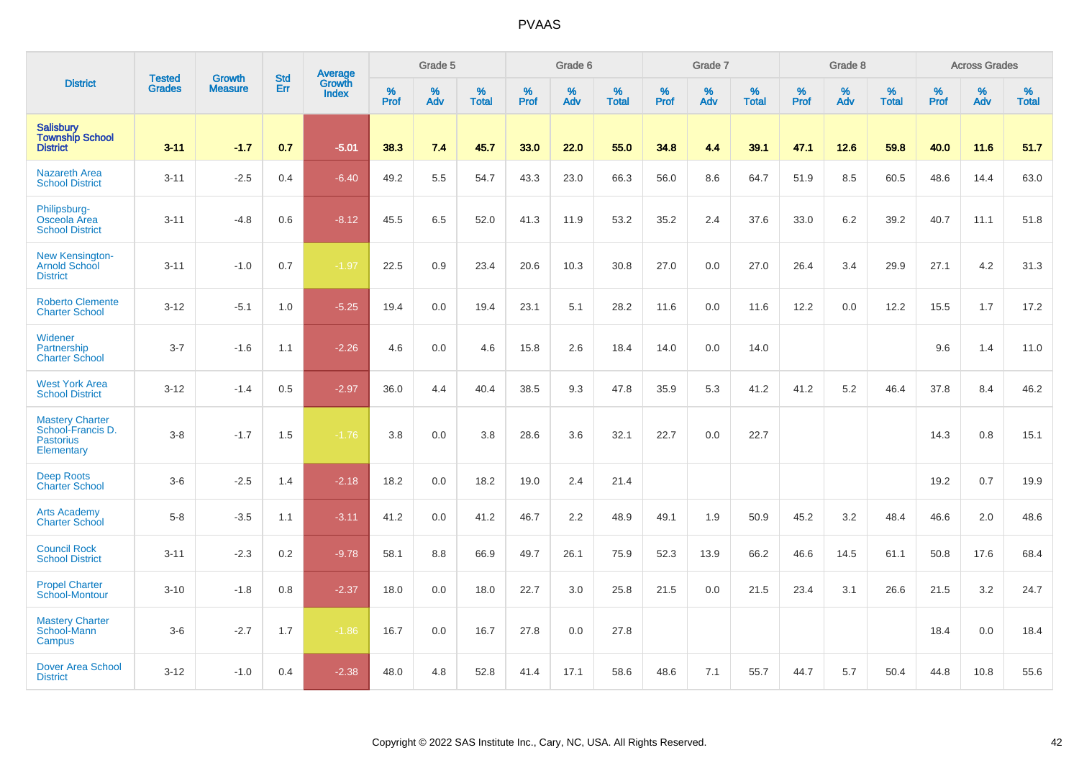|                                                                               |                                |                                 | <b>Std</b> | Average                |           | Grade 5  |                      |           | Grade 6  |                   |           | Grade 7         |                   |           | Grade 8  |                   |           | <b>Across Grades</b> |                   |
|-------------------------------------------------------------------------------|--------------------------------|---------------------------------|------------|------------------------|-----------|----------|----------------------|-----------|----------|-------------------|-----------|-----------------|-------------------|-----------|----------|-------------------|-----------|----------------------|-------------------|
| <b>District</b>                                                               | <b>Tested</b><br><b>Grades</b> | <b>Growth</b><br><b>Measure</b> | Err        | Growth<br><b>Index</b> | %<br>Prof | %<br>Adv | $\%$<br><b>Total</b> | %<br>Prof | %<br>Adv | %<br><b>Total</b> | %<br>Prof | %<br><b>Adv</b> | %<br><b>Total</b> | %<br>Prof | %<br>Adv | %<br><b>Total</b> | %<br>Prof | %<br>Adv             | %<br><b>Total</b> |
| <b>Salisbury</b><br><b>Township School</b><br><b>District</b>                 | $3 - 11$                       | $-1.7$                          | 0.7        | $-5.01$                | 38.3      | 7.4      | 45.7                 | 33.0      | 22.0     | 55.0              | 34.8      | 4.4             | 39.1              | 47.1      | 12.6     | 59.8              | 40.0      | 11.6                 | 51.7              |
| <b>Nazareth Area</b><br><b>School District</b>                                | $3 - 11$                       | $-2.5$                          | 0.4        | $-6.40$                | 49.2      | 5.5      | 54.7                 | 43.3      | 23.0     | 66.3              | 56.0      | 8.6             | 64.7              | 51.9      | 8.5      | 60.5              | 48.6      | 14.4                 | 63.0              |
| Philipsburg-<br>Osceola Area<br><b>School District</b>                        | $3 - 11$                       | $-4.8$                          | 0.6        | $-8.12$                | 45.5      | 6.5      | 52.0                 | 41.3      | 11.9     | 53.2              | 35.2      | 2.4             | 37.6              | 33.0      | 6.2      | 39.2              | 40.7      | 11.1                 | 51.8              |
| <b>New Kensington-</b><br>Arnold School<br><b>District</b>                    | $3 - 11$                       | $-1.0$                          | 0.7        | $-1.97$                | 22.5      | 0.9      | 23.4                 | 20.6      | 10.3     | 30.8              | 27.0      | 0.0             | 27.0              | 26.4      | 3.4      | 29.9              | 27.1      | 4.2                  | 31.3              |
| <b>Roberto Clemente</b><br><b>Charter School</b>                              | $3 - 12$                       | $-5.1$                          | 1.0        | $-5.25$                | 19.4      | 0.0      | 19.4                 | 23.1      | 5.1      | 28.2              | 11.6      | 0.0             | 11.6              | 12.2      | 0.0      | 12.2              | 15.5      | 1.7                  | 17.2              |
| Widener<br>Partnership<br><b>Charter School</b>                               | $3 - 7$                        | $-1.6$                          | 1.1        | $-2.26$                | 4.6       | 0.0      | 4.6                  | 15.8      | 2.6      | 18.4              | 14.0      | 0.0             | 14.0              |           |          |                   | 9.6       | 1.4                  | 11.0              |
| <b>West York Area</b><br><b>School District</b>                               | $3 - 12$                       | $-1.4$                          | 0.5        | $-2.97$                | 36.0      | 4.4      | 40.4                 | 38.5      | 9.3      | 47.8              | 35.9      | 5.3             | 41.2              | 41.2      | 5.2      | 46.4              | 37.8      | 8.4                  | 46.2              |
| <b>Mastery Charter</b><br>School-Francis D.<br><b>Pastorius</b><br>Elementary | $3 - 8$                        | $-1.7$                          | 1.5        | $-1.76$                | 3.8       | 0.0      | 3.8                  | 28.6      | 3.6      | 32.1              | 22.7      | 0.0             | 22.7              |           |          |                   | 14.3      | 0.8                  | 15.1              |
| <b>Deep Roots</b><br><b>Charter School</b>                                    | $3-6$                          | $-2.5$                          | 1.4        | $-2.18$                | 18.2      | 0.0      | 18.2                 | 19.0      | 2.4      | 21.4              |           |                 |                   |           |          |                   | 19.2      | 0.7                  | 19.9              |
| <b>Arts Academy</b><br><b>Charter School</b>                                  | $5 - 8$                        | $-3.5$                          | 1.1        | $-3.11$                | 41.2      | 0.0      | 41.2                 | 46.7      | 2.2      | 48.9              | 49.1      | 1.9             | 50.9              | 45.2      | 3.2      | 48.4              | 46.6      | 2.0                  | 48.6              |
| <b>Council Rock</b><br><b>School District</b>                                 | $3 - 11$                       | $-2.3$                          | 0.2        | $-9.78$                | 58.1      | 8.8      | 66.9                 | 49.7      | 26.1     | 75.9              | 52.3      | 13.9            | 66.2              | 46.6      | 14.5     | 61.1              | 50.8      | 17.6                 | 68.4              |
| <b>Propel Charter</b><br>School-Montour                                       | $3 - 10$                       | $-1.8$                          | 0.8        | $-2.37$                | 18.0      | 0.0      | 18.0                 | 22.7      | 3.0      | 25.8              | 21.5      | 0.0             | 21.5              | 23.4      | 3.1      | 26.6              | 21.5      | 3.2                  | 24.7              |
| <b>Mastery Charter</b><br>School-Mann<br>Campus                               | $3-6$                          | $-2.7$                          | 1.7        | $-1.86$                | 16.7      | 0.0      | 16.7                 | 27.8      | 0.0      | 27.8              |           |                 |                   |           |          |                   | 18.4      | 0.0                  | 18.4              |
| <b>Dover Area School</b><br><b>District</b>                                   | $3 - 12$                       | $-1.0$                          | 0.4        | $-2.38$                | 48.0      | 4.8      | 52.8                 | 41.4      | 17.1     | 58.6              | 48.6      | 7.1             | 55.7              | 44.7      | 5.7      | 50.4              | 44.8      | 10.8                 | 55.6              |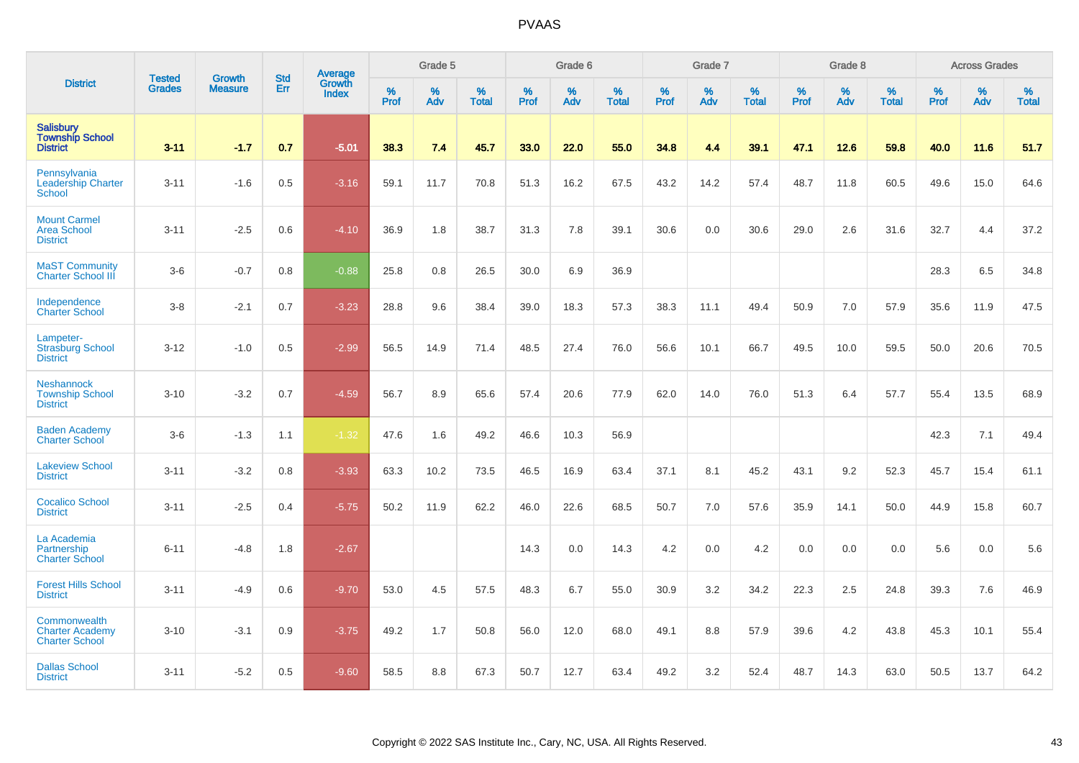|                                                                 |                                |                                 | <b>Std</b> | Average                |           | Grade 5  |                   |           | Grade 6  |                   |           | Grade 7  |                   |           | Grade 8  |                   |           | <b>Across Grades</b> |                   |
|-----------------------------------------------------------------|--------------------------------|---------------------------------|------------|------------------------|-----------|----------|-------------------|-----------|----------|-------------------|-----------|----------|-------------------|-----------|----------|-------------------|-----------|----------------------|-------------------|
| <b>District</b>                                                 | <b>Tested</b><br><b>Grades</b> | <b>Growth</b><br><b>Measure</b> | Err        | Growth<br><b>Index</b> | %<br>Prof | %<br>Adv | %<br><b>Total</b> | %<br>Prof | %<br>Adv | %<br><b>Total</b> | %<br>Prof | %<br>Adv | %<br><b>Total</b> | %<br>Prof | %<br>Adv | %<br><b>Total</b> | %<br>Prof | %<br>Adv             | %<br><b>Total</b> |
| <b>Salisbury</b><br><b>Township School</b><br><b>District</b>   | $3 - 11$                       | $-1.7$                          | 0.7        | $-5.01$                | 38.3      | 7.4      | 45.7              | 33.0      | 22.0     | 55.0              | 34.8      | 4.4      | 39.1              | 47.1      | 12.6     | 59.8              | 40.0      | 11.6                 | 51.7              |
| Pennsylvania<br><b>Leadership Charter</b><br><b>School</b>      | $3 - 11$                       | $-1.6$                          | 0.5        | $-3.16$                | 59.1      | 11.7     | 70.8              | 51.3      | 16.2     | 67.5              | 43.2      | 14.2     | 57.4              | 48.7      | 11.8     | 60.5              | 49.6      | 15.0                 | 64.6              |
| <b>Mount Carmel</b><br><b>Area School</b><br><b>District</b>    | $3 - 11$                       | $-2.5$                          | 0.6        | $-4.10$                | 36.9      | 1.8      | 38.7              | 31.3      | 7.8      | 39.1              | 30.6      | 0.0      | 30.6              | 29.0      | 2.6      | 31.6              | 32.7      | 4.4                  | 37.2              |
| <b>MaST Community</b><br><b>Charter School III</b>              | $3-6$                          | $-0.7$                          | 0.8        | $-0.88$                | 25.8      | 0.8      | 26.5              | 30.0      | 6.9      | 36.9              |           |          |                   |           |          |                   | 28.3      | 6.5                  | 34.8              |
| Independence<br><b>Charter School</b>                           | $3-8$                          | $-2.1$                          | 0.7        | $-3.23$                | 28.8      | 9.6      | 38.4              | 39.0      | 18.3     | 57.3              | 38.3      | 11.1     | 49.4              | 50.9      | 7.0      | 57.9              | 35.6      | 11.9                 | 47.5              |
| Lampeter-<br><b>Strasburg School</b><br><b>District</b>         | $3 - 12$                       | $-1.0$                          | 0.5        | $-2.99$                | 56.5      | 14.9     | 71.4              | 48.5      | 27.4     | 76.0              | 56.6      | 10.1     | 66.7              | 49.5      | 10.0     | 59.5              | 50.0      | 20.6                 | 70.5              |
| <b>Neshannock</b><br><b>Township School</b><br><b>District</b>  | $3 - 10$                       | $-3.2$                          | 0.7        | $-4.59$                | 56.7      | 8.9      | 65.6              | 57.4      | 20.6     | 77.9              | 62.0      | 14.0     | 76.0              | 51.3      | 6.4      | 57.7              | 55.4      | 13.5                 | 68.9              |
| <b>Baden Academy</b><br><b>Charter School</b>                   | $3-6$                          | $-1.3$                          | 1.1        | $-1.32$                | 47.6      | 1.6      | 49.2              | 46.6      | 10.3     | 56.9              |           |          |                   |           |          |                   | 42.3      | 7.1                  | 49.4              |
| <b>Lakeview School</b><br><b>District</b>                       | $3 - 11$                       | $-3.2$                          | 0.8        | $-3.93$                | 63.3      | 10.2     | 73.5              | 46.5      | 16.9     | 63.4              | 37.1      | 8.1      | 45.2              | 43.1      | 9.2      | 52.3              | 45.7      | 15.4                 | 61.1              |
| <b>Cocalico School</b><br><b>District</b>                       | $3 - 11$                       | $-2.5$                          | 0.4        | $-5.75$                | 50.2      | 11.9     | 62.2              | 46.0      | 22.6     | 68.5              | 50.7      | 7.0      | 57.6              | 35.9      | 14.1     | 50.0              | 44.9      | 15.8                 | 60.7              |
| La Academia<br>Partnership<br><b>Charter School</b>             | $6 - 11$                       | $-4.8$                          | 1.8        | $-2.67$                |           |          |                   | 14.3      | 0.0      | 14.3              | 4.2       | 0.0      | 4.2               | 0.0       | 0.0      | 0.0               | 5.6       | 0.0                  | 5.6               |
| <b>Forest Hills School</b><br><b>District</b>                   | $3 - 11$                       | $-4.9$                          | 0.6        | $-9.70$                | 53.0      | 4.5      | 57.5              | 48.3      | 6.7      | 55.0              | 30.9      | 3.2      | 34.2              | 22.3      | 2.5      | 24.8              | 39.3      | 7.6                  | 46.9              |
| Commonwealth<br><b>Charter Academy</b><br><b>Charter School</b> | $3 - 10$                       | $-3.1$                          | 0.9        | $-3.75$                | 49.2      | 1.7      | 50.8              | 56.0      | 12.0     | 68.0              | 49.1      | 8.8      | 57.9              | 39.6      | 4.2      | 43.8              | 45.3      | 10.1                 | 55.4              |
| <b>Dallas School</b><br><b>District</b>                         | $3 - 11$                       | $-5.2$                          | 0.5        | $-9.60$                | 58.5      | 8.8      | 67.3              | 50.7      | 12.7     | 63.4              | 49.2      | 3.2      | 52.4              | 48.7      | 14.3     | 63.0              | 50.5      | 13.7                 | 64.2              |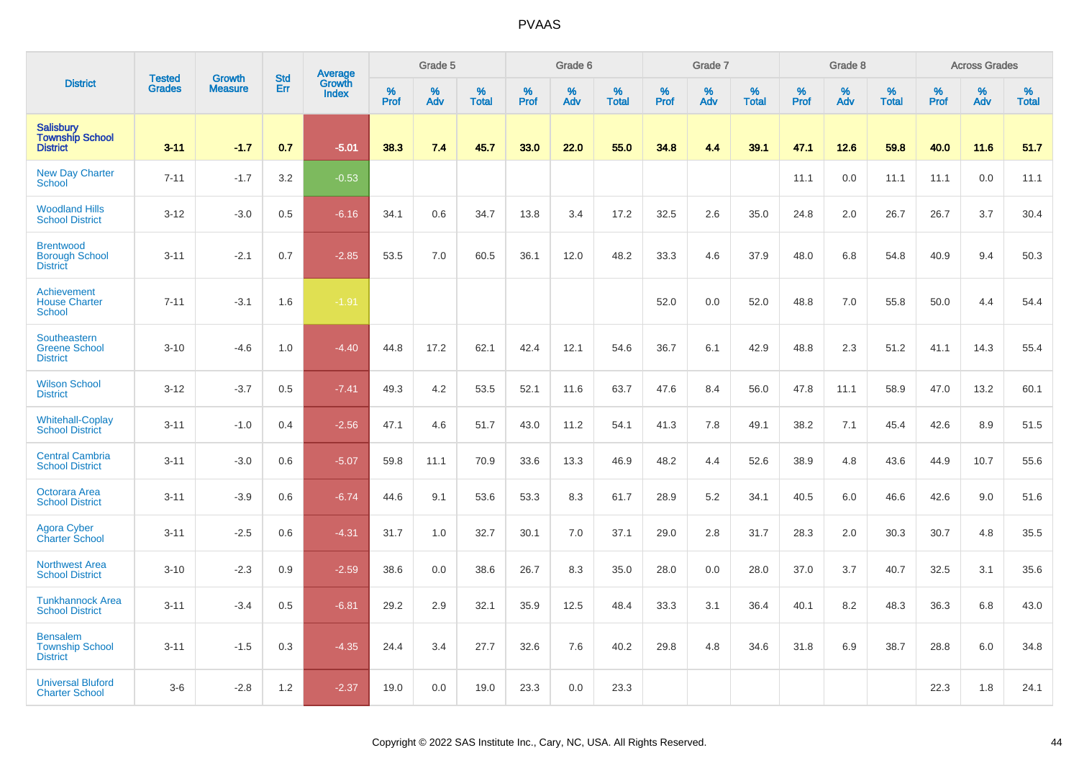|                                                               | <b>Tested</b> | <b>Growth</b>  | <b>Std</b> |                                          |           | Grade 5  |                   |           | Grade 6  |                   |           | Grade 7  |                   |           | Grade 8  |                   |           | <b>Across Grades</b> |                   |
|---------------------------------------------------------------|---------------|----------------|------------|------------------------------------------|-----------|----------|-------------------|-----------|----------|-------------------|-----------|----------|-------------------|-----------|----------|-------------------|-----------|----------------------|-------------------|
| <b>District</b>                                               | <b>Grades</b> | <b>Measure</b> | Err        | <b>Average</b><br>Growth<br><b>Index</b> | %<br>Prof | %<br>Adv | %<br><b>Total</b> | %<br>Prof | %<br>Adv | %<br><b>Total</b> | %<br>Prof | %<br>Adv | %<br><b>Total</b> | %<br>Prof | %<br>Adv | %<br><b>Total</b> | %<br>Prof | %<br>Adv             | %<br><b>Total</b> |
| <b>Salisbury</b><br><b>Township School</b><br><b>District</b> | $3 - 11$      | $-1.7$         | 0.7        | $-5.01$                                  | 38.3      | 7.4      | 45.7              | 33.0      | 22.0     | 55.0              | 34.8      | 4.4      | 39.1              | 47.1      | 12.6     | 59.8              | 40.0      | 11.6                 | 51.7              |
| <b>New Day Charter</b><br><b>School</b>                       | $7 - 11$      | $-1.7$         | 3.2        | $-0.53$                                  |           |          |                   |           |          |                   |           |          |                   | 11.1      | 0.0      | 11.1              | 11.1      | 0.0                  | 11.1              |
| <b>Woodland Hills</b><br><b>School District</b>               | $3 - 12$      | $-3.0$         | 0.5        | $-6.16$                                  | 34.1      | 0.6      | 34.7              | 13.8      | 3.4      | 17.2              | 32.5      | 2.6      | 35.0              | 24.8      | 2.0      | 26.7              | 26.7      | 3.7                  | 30.4              |
| <b>Brentwood</b><br><b>Borough School</b><br><b>District</b>  | $3 - 11$      | $-2.1$         | 0.7        | $-2.85$                                  | 53.5      | 7.0      | 60.5              | 36.1      | 12.0     | 48.2              | 33.3      | 4.6      | 37.9              | 48.0      | 6.8      | 54.8              | 40.9      | 9.4                  | 50.3              |
| Achievement<br><b>House Charter</b><br><b>School</b>          | $7 - 11$      | $-3.1$         | 1.6        | $-1.91$                                  |           |          |                   |           |          |                   | 52.0      | 0.0      | 52.0              | 48.8      | 7.0      | 55.8              | 50.0      | 4.4                  | 54.4              |
| Southeastern<br><b>Greene School</b><br><b>District</b>       | $3 - 10$      | $-4.6$         | 1.0        | $-4.40$                                  | 44.8      | 17.2     | 62.1              | 42.4      | 12.1     | 54.6              | 36.7      | 6.1      | 42.9              | 48.8      | 2.3      | 51.2              | 41.1      | 14.3                 | 55.4              |
| <b>Wilson School</b><br><b>District</b>                       | $3 - 12$      | $-3.7$         | 0.5        | $-7.41$                                  | 49.3      | 4.2      | 53.5              | 52.1      | 11.6     | 63.7              | 47.6      | 8.4      | 56.0              | 47.8      | 11.1     | 58.9              | 47.0      | 13.2                 | 60.1              |
| <b>Whitehall-Coplay</b><br><b>School District</b>             | $3 - 11$      | $-1.0$         | 0.4        | $-2.56$                                  | 47.1      | 4.6      | 51.7              | 43.0      | 11.2     | 54.1              | 41.3      | 7.8      | 49.1              | 38.2      | 7.1      | 45.4              | 42.6      | 8.9                  | 51.5              |
| <b>Central Cambria</b><br><b>School District</b>              | $3 - 11$      | $-3.0$         | 0.6        | $-5.07$                                  | 59.8      | 11.1     | 70.9              | 33.6      | 13.3     | 46.9              | 48.2      | 4.4      | 52.6              | 38.9      | 4.8      | 43.6              | 44.9      | 10.7                 | 55.6              |
| <b>Octorara Area</b><br><b>School District</b>                | $3 - 11$      | $-3.9$         | 0.6        | $-6.74$                                  | 44.6      | 9.1      | 53.6              | 53.3      | 8.3      | 61.7              | 28.9      | 5.2      | 34.1              | 40.5      | 6.0      | 46.6              | 42.6      | 9.0                  | 51.6              |
| <b>Agora Cyber</b><br><b>Charter School</b>                   | $3 - 11$      | $-2.5$         | 0.6        | $-4.31$                                  | 31.7      | 1.0      | 32.7              | 30.1      | 7.0      | 37.1              | 29.0      | 2.8      | 31.7              | 28.3      | 2.0      | 30.3              | 30.7      | 4.8                  | 35.5              |
| <b>Northwest Area</b><br><b>School District</b>               | $3 - 10$      | $-2.3$         | 0.9        | $-2.59$                                  | 38.6      | 0.0      | 38.6              | 26.7      | 8.3      | 35.0              | 28.0      | 0.0      | 28.0              | 37.0      | 3.7      | 40.7              | 32.5      | 3.1                  | 35.6              |
| <b>Tunkhannock Area</b><br><b>School District</b>             | $3 - 11$      | $-3.4$         | 0.5        | $-6.81$                                  | 29.2      | 2.9      | 32.1              | 35.9      | 12.5     | 48.4              | 33.3      | 3.1      | 36.4              | 40.1      | 8.2      | 48.3              | 36.3      | 6.8                  | 43.0              |
| <b>Bensalem</b><br><b>Township School</b><br><b>District</b>  | $3 - 11$      | $-1.5$         | 0.3        | $-4.35$                                  | 24.4      | 3.4      | 27.7              | 32.6      | 7.6      | 40.2              | 29.8      | 4.8      | 34.6              | 31.8      | 6.9      | 38.7              | 28.8      | 6.0                  | 34.8              |
| <b>Universal Bluford</b><br><b>Charter School</b>             | $3-6$         | $-2.8$         | 1.2        | $-2.37$                                  | 19.0      | 0.0      | 19.0              | 23.3      | 0.0      | 23.3              |           |          |                   |           |          |                   | 22.3      | 1.8                  | 24.1              |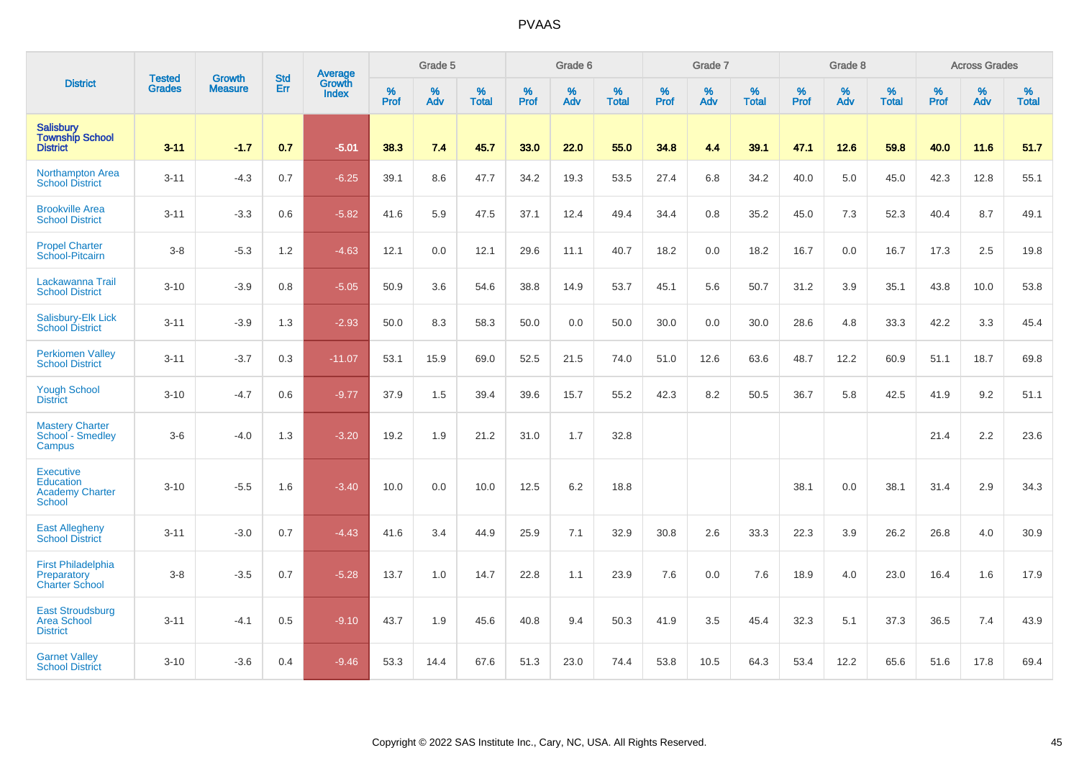|                                                                                 |                                |                                 | <b>Std</b> | Average                       |           | Grade 5  |                   |           | Grade 6  |                   |           | Grade 7  |                   |           | Grade 8  |                   |           | <b>Across Grades</b> |                   |
|---------------------------------------------------------------------------------|--------------------------------|---------------------------------|------------|-------------------------------|-----------|----------|-------------------|-----------|----------|-------------------|-----------|----------|-------------------|-----------|----------|-------------------|-----------|----------------------|-------------------|
| <b>District</b>                                                                 | <b>Tested</b><br><b>Grades</b> | <b>Growth</b><br><b>Measure</b> | Err        | <b>Growth</b><br><b>Index</b> | %<br>Prof | %<br>Adv | %<br><b>Total</b> | %<br>Prof | %<br>Adv | %<br><b>Total</b> | %<br>Prof | %<br>Adv | %<br><b>Total</b> | %<br>Prof | %<br>Adv | %<br><b>Total</b> | %<br>Prof | %<br>Adv             | %<br><b>Total</b> |
| <b>Salisbury</b><br><b>Township School</b><br><b>District</b>                   | $3 - 11$                       | $-1.7$                          | 0.7        | $-5.01$                       | 38.3      | 7.4      | 45.7              | 33.0      | 22.0     | 55.0              | 34.8      | 4.4      | 39.1              | 47.1      | 12.6     | 59.8              | 40.0      | 11.6                 | 51.7              |
| Northampton Area<br><b>School District</b>                                      | $3 - 11$                       | $-4.3$                          | 0.7        | $-6.25$                       | 39.1      | 8.6      | 47.7              | 34.2      | 19.3     | 53.5              | 27.4      | 6.8      | 34.2              | 40.0      | 5.0      | 45.0              | 42.3      | 12.8                 | 55.1              |
| <b>Brookville Area</b><br><b>School District</b>                                | $3 - 11$                       | $-3.3$                          | 0.6        | $-5.82$                       | 41.6      | 5.9      | 47.5              | 37.1      | 12.4     | 49.4              | 34.4      | 0.8      | 35.2              | 45.0      | 7.3      | 52.3              | 40.4      | 8.7                  | 49.1              |
| <b>Propel Charter</b><br>School-Pitcairn                                        | $3-8$                          | $-5.3$                          | 1.2        | $-4.63$                       | 12.1      | 0.0      | 12.1              | 29.6      | 11.1     | 40.7              | 18.2      | 0.0      | 18.2              | 16.7      | 0.0      | 16.7              | 17.3      | 2.5                  | 19.8              |
| Lackawanna Trail<br><b>School District</b>                                      | $3 - 10$                       | $-3.9$                          | 0.8        | $-5.05$                       | 50.9      | 3.6      | 54.6              | 38.8      | 14.9     | 53.7              | 45.1      | 5.6      | 50.7              | 31.2      | 3.9      | 35.1              | 43.8      | 10.0                 | 53.8              |
| Salisbury-Elk Lick<br><b>School District</b>                                    | $3 - 11$                       | $-3.9$                          | 1.3        | $-2.93$                       | 50.0      | 8.3      | 58.3              | 50.0      | 0.0      | 50.0              | 30.0      | 0.0      | 30.0              | 28.6      | 4.8      | 33.3              | 42.2      | 3.3                  | 45.4              |
| <b>Perkiomen Valley</b><br><b>School District</b>                               | $3 - 11$                       | $-3.7$                          | 0.3        | $-11.07$                      | 53.1      | 15.9     | 69.0              | 52.5      | 21.5     | 74.0              | 51.0      | 12.6     | 63.6              | 48.7      | 12.2     | 60.9              | 51.1      | 18.7                 | 69.8              |
| <b>Yough School</b><br><b>District</b>                                          | $3 - 10$                       | $-4.7$                          | 0.6        | $-9.77$                       | 37.9      | 1.5      | 39.4              | 39.6      | 15.7     | 55.2              | 42.3      | 8.2      | 50.5              | 36.7      | 5.8      | 42.5              | 41.9      | 9.2                  | 51.1              |
| <b>Mastery Charter</b><br>School - Smedley<br>Campus                            | $3-6$                          | $-4.0$                          | 1.3        | $-3.20$                       | 19.2      | 1.9      | 21.2              | 31.0      | 1.7      | 32.8              |           |          |                   |           |          |                   | 21.4      | 2.2                  | 23.6              |
| <b>Executive</b><br><b>Education</b><br><b>Academy Charter</b><br><b>School</b> | $3 - 10$                       | $-5.5$                          | 1.6        | $-3.40$                       | 10.0      | 0.0      | 10.0              | 12.5      | 6.2      | 18.8              |           |          |                   | 38.1      | 0.0      | 38.1              | 31.4      | 2.9                  | 34.3              |
| <b>East Allegheny</b><br><b>School District</b>                                 | $3 - 11$                       | $-3.0$                          | 0.7        | $-4.43$                       | 41.6      | 3.4      | 44.9              | 25.9      | 7.1      | 32.9              | 30.8      | 2.6      | 33.3              | 22.3      | 3.9      | 26.2              | 26.8      | 4.0                  | 30.9              |
| <b>First Philadelphia</b><br>Preparatory<br><b>Charter School</b>               | $3-8$                          | $-3.5$                          | 0.7        | $-5.28$                       | 13.7      | 1.0      | 14.7              | 22.8      | 1.1      | 23.9              | 7.6       | 0.0      | 7.6               | 18.9      | 4.0      | 23.0              | 16.4      | 1.6                  | 17.9              |
| <b>East Stroudsburg</b><br><b>Area School</b><br><b>District</b>                | $3 - 11$                       | $-4.1$                          | 0.5        | $-9.10$                       | 43.7      | 1.9      | 45.6              | 40.8      | 9.4      | 50.3              | 41.9      | 3.5      | 45.4              | 32.3      | 5.1      | 37.3              | 36.5      | 7.4                  | 43.9              |
| <b>Garnet Valley</b><br><b>School District</b>                                  | $3 - 10$                       | $-3.6$                          | 0.4        | $-9.46$                       | 53.3      | 14.4     | 67.6              | 51.3      | 23.0     | 74.4              | 53.8      | 10.5     | 64.3              | 53.4      | 12.2     | 65.6              | 51.6      | 17.8                 | 69.4              |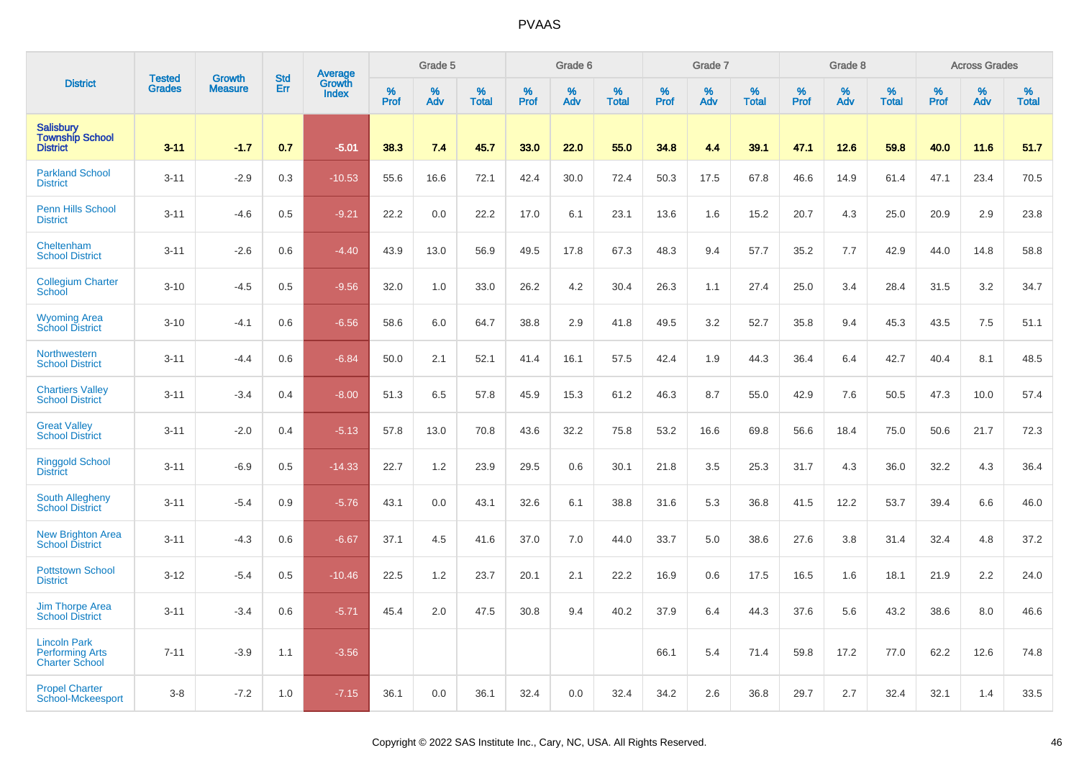|                                                                        | <b>Tested</b> | <b>Growth</b>  | <b>Std</b> |                                   |              | Grade 5  |                   |              | Grade 6  |                   |              | Grade 7  |                   |              | Grade 8  |                   |              | <b>Across Grades</b> |                   |
|------------------------------------------------------------------------|---------------|----------------|------------|-----------------------------------|--------------|----------|-------------------|--------------|----------|-------------------|--------------|----------|-------------------|--------------|----------|-------------------|--------------|----------------------|-------------------|
| <b>District</b>                                                        | <b>Grades</b> | <b>Measure</b> | Err        | Average<br>Growth<br><b>Index</b> | $\%$<br>Prof | %<br>Adv | %<br><b>Total</b> | $\%$<br>Prof | %<br>Adv | %<br><b>Total</b> | $\%$<br>Prof | %<br>Adv | %<br><b>Total</b> | $\%$<br>Prof | %<br>Adv | %<br><b>Total</b> | $\%$<br>Prof | $\%$<br>Adv          | %<br><b>Total</b> |
| Salisbury<br><b>Township School</b><br><b>District</b>                 | $3 - 11$      | $-1.7$         | 0.7        | $-5.01$                           | 38.3         | 7.4      | 45.7              | 33.0         | 22.0     | 55.0              | 34.8         | 4.4      | 39.1              | 47.1         | 12.6     | 59.8              | 40.0         | 11.6                 | 51.7              |
| <b>Parkland School</b><br><b>District</b>                              | $3 - 11$      | $-2.9$         | 0.3        | $-10.53$                          | 55.6         | 16.6     | 72.1              | 42.4         | 30.0     | 72.4              | 50.3         | 17.5     | 67.8              | 46.6         | 14.9     | 61.4              | 47.1         | 23.4                 | 70.5              |
| <b>Penn Hills School</b><br><b>District</b>                            | $3 - 11$      | $-4.6$         | 0.5        | $-9.21$                           | 22.2         | 0.0      | 22.2              | 17.0         | 6.1      | 23.1              | 13.6         | 1.6      | 15.2              | 20.7         | 4.3      | 25.0              | 20.9         | 2.9                  | 23.8              |
| Cheltenham<br><b>School District</b>                                   | $3 - 11$      | $-2.6$         | 0.6        | $-4.40$                           | 43.9         | 13.0     | 56.9              | 49.5         | 17.8     | 67.3              | 48.3         | 9.4      | 57.7              | 35.2         | 7.7      | 42.9              | 44.0         | 14.8                 | 58.8              |
| <b>Collegium Charter</b><br>School                                     | $3 - 10$      | $-4.5$         | 0.5        | $-9.56$                           | 32.0         | 1.0      | 33.0              | 26.2         | 4.2      | 30.4              | 26.3         | 1.1      | 27.4              | 25.0         | 3.4      | 28.4              | 31.5         | 3.2                  | 34.7              |
| <b>Wyoming Area</b><br><b>School District</b>                          | $3 - 10$      | $-4.1$         | 0.6        | $-6.56$                           | 58.6         | 6.0      | 64.7              | 38.8         | 2.9      | 41.8              | 49.5         | 3.2      | 52.7              | 35.8         | 9.4      | 45.3              | 43.5         | 7.5                  | 51.1              |
| Northwestern<br><b>School District</b>                                 | $3 - 11$      | $-4.4$         | 0.6        | $-6.84$                           | 50.0         | 2.1      | 52.1              | 41.4         | 16.1     | 57.5              | 42.4         | 1.9      | 44.3              | 36.4         | 6.4      | 42.7              | 40.4         | 8.1                  | 48.5              |
| <b>Chartiers Valley</b><br><b>School District</b>                      | $3 - 11$      | $-3.4$         | 0.4        | $-8.00$                           | 51.3         | 6.5      | 57.8              | 45.9         | 15.3     | 61.2              | 46.3         | 8.7      | 55.0              | 42.9         | 7.6      | 50.5              | 47.3         | 10.0                 | 57.4              |
| <b>Great Valley</b><br><b>School District</b>                          | $3 - 11$      | $-2.0$         | 0.4        | $-5.13$                           | 57.8         | 13.0     | 70.8              | 43.6         | 32.2     | 75.8              | 53.2         | 16.6     | 69.8              | 56.6         | 18.4     | 75.0              | 50.6         | 21.7                 | 72.3              |
| <b>Ringgold School</b><br><b>District</b>                              | $3 - 11$      | $-6.9$         | 0.5        | $-14.33$                          | 22.7         | 1.2      | 23.9              | 29.5         | 0.6      | 30.1              | 21.8         | 3.5      | 25.3              | 31.7         | 4.3      | 36.0              | 32.2         | 4.3                  | 36.4              |
| South Allegheny<br><b>School District</b>                              | $3 - 11$      | $-5.4$         | 0.9        | $-5.76$                           | 43.1         | 0.0      | 43.1              | 32.6         | 6.1      | 38.8              | 31.6         | 5.3      | 36.8              | 41.5         | 12.2     | 53.7              | 39.4         | 6.6                  | 46.0              |
| <b>New Brighton Area</b><br><b>School District</b>                     | $3 - 11$      | $-4.3$         | 0.6        | $-6.67$                           | 37.1         | 4.5      | 41.6              | 37.0         | 7.0      | 44.0              | 33.7         | 5.0      | 38.6              | 27.6         | 3.8      | 31.4              | 32.4         | 4.8                  | 37.2              |
| <b>Pottstown School</b><br><b>District</b>                             | $3 - 12$      | $-5.4$         | 0.5        | $-10.46$                          | 22.5         | 1.2      | 23.7              | 20.1         | 2.1      | 22.2              | 16.9         | 0.6      | 17.5              | 16.5         | 1.6      | 18.1              | 21.9         | 2.2                  | 24.0              |
| Jim Thorpe Area<br><b>School District</b>                              | $3 - 11$      | $-3.4$         | 0.6        | $-5.71$                           | 45.4         | 2.0      | 47.5              | 30.8         | 9.4      | 40.2              | 37.9         | 6.4      | 44.3              | 37.6         | 5.6      | 43.2              | 38.6         | 8.0                  | 46.6              |
| <b>Lincoln Park</b><br><b>Performing Arts</b><br><b>Charter School</b> | $7 - 11$      | $-3.9$         | 1.1        | $-3.56$                           |              |          |                   |              |          |                   | 66.1         | 5.4      | 71.4              | 59.8         | 17.2     | 77.0              | 62.2         | 12.6                 | 74.8              |
| <b>Propel Charter</b><br>School-Mckeesport                             | $3 - 8$       | $-7.2$         | 1.0        | $-7.15$                           | 36.1         | 0.0      | 36.1              | 32.4         | 0.0      | 32.4              | 34.2         | 2.6      | 36.8              | 29.7         | 2.7      | 32.4              | 32.1         | 1.4                  | 33.5              |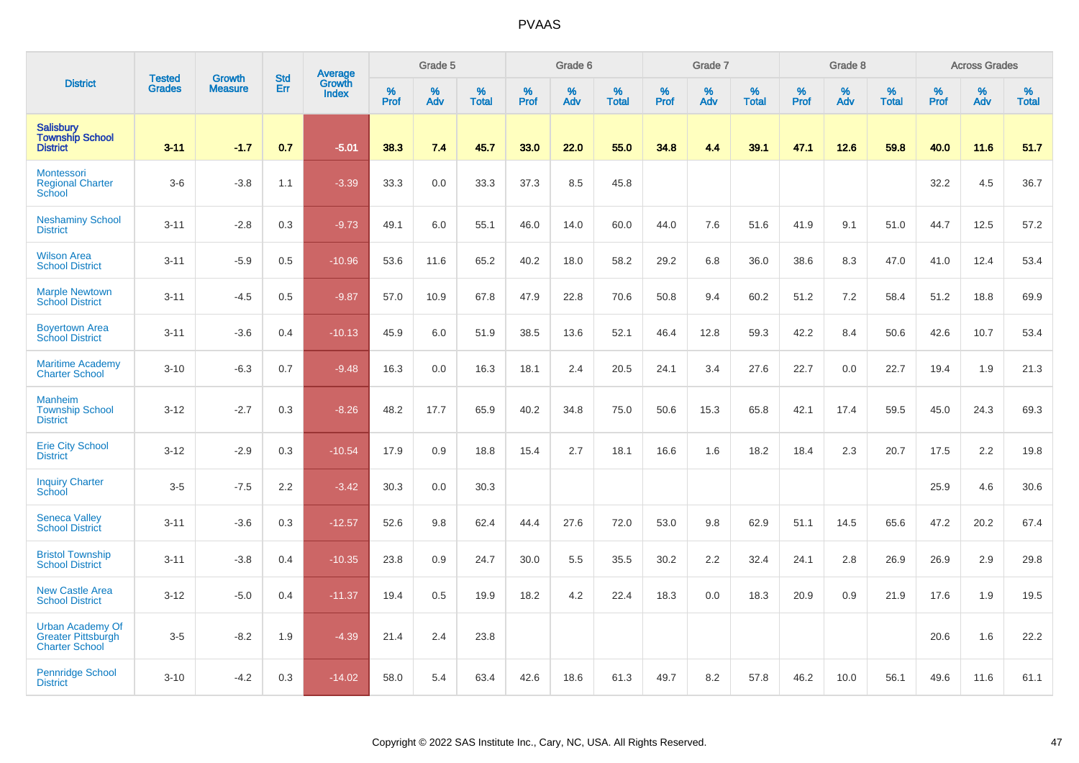|                                                                               |                                |                                 |                   | Average                |              | Grade 5  |                   |           | Grade 6  |                   |           | Grade 7  |                   |           | Grade 8  |                   |           | <b>Across Grades</b> |                   |
|-------------------------------------------------------------------------------|--------------------------------|---------------------------------|-------------------|------------------------|--------------|----------|-------------------|-----------|----------|-------------------|-----------|----------|-------------------|-----------|----------|-------------------|-----------|----------------------|-------------------|
| <b>District</b>                                                               | <b>Tested</b><br><b>Grades</b> | <b>Growth</b><br><b>Measure</b> | <b>Std</b><br>Err | Growth<br><b>Index</b> | $\%$<br>Prof | %<br>Adv | %<br><b>Total</b> | %<br>Prof | %<br>Adv | %<br><b>Total</b> | %<br>Prof | %<br>Adv | %<br><b>Total</b> | %<br>Prof | %<br>Adv | %<br><b>Total</b> | %<br>Prof | %<br>Adv             | %<br><b>Total</b> |
| <b>Salisbury</b><br><b>Township School</b><br><b>District</b>                 | $3 - 11$                       | $-1.7$                          | 0.7               | $-5.01$                | 38.3         | 7.4      | 45.7              | 33.0      | 22.0     | 55.0              | 34.8      | 4.4      | 39.1              | 47.1      | 12.6     | 59.8              | 40.0      | 11.6                 | 51.7              |
| <b>Montessori</b><br><b>Regional Charter</b><br>School                        | $3-6$                          | $-3.8$                          | 1.1               | $-3.39$                | 33.3         | 0.0      | 33.3              | 37.3      | 8.5      | 45.8              |           |          |                   |           |          |                   | 32.2      | 4.5                  | 36.7              |
| <b>Neshaminy School</b><br><b>District</b>                                    | $3 - 11$                       | $-2.8$                          | 0.3               | $-9.73$                | 49.1         | 6.0      | 55.1              | 46.0      | 14.0     | 60.0              | 44.0      | 7.6      | 51.6              | 41.9      | 9.1      | 51.0              | 44.7      | 12.5                 | 57.2              |
| <b>Wilson Area</b><br><b>School District</b>                                  | $3 - 11$                       | $-5.9$                          | 0.5               | $-10.96$               | 53.6         | 11.6     | 65.2              | 40.2      | 18.0     | 58.2              | 29.2      | 6.8      | 36.0              | 38.6      | 8.3      | 47.0              | 41.0      | 12.4                 | 53.4              |
| <b>Marple Newtown</b><br><b>School District</b>                               | $3 - 11$                       | $-4.5$                          | 0.5               | $-9.87$                | 57.0         | 10.9     | 67.8              | 47.9      | 22.8     | 70.6              | 50.8      | 9.4      | 60.2              | 51.2      | $7.2\,$  | 58.4              | 51.2      | 18.8                 | 69.9              |
| <b>Boyertown Area</b><br><b>School District</b>                               | $3 - 11$                       | $-3.6$                          | 0.4               | $-10.13$               | 45.9         | 6.0      | 51.9              | 38.5      | 13.6     | 52.1              | 46.4      | 12.8     | 59.3              | 42.2      | 8.4      | 50.6              | 42.6      | 10.7                 | 53.4              |
| <b>Maritime Academy</b><br><b>Charter School</b>                              | $3 - 10$                       | $-6.3$                          | 0.7               | $-9.48$                | 16.3         | 0.0      | 16.3              | 18.1      | 2.4      | 20.5              | 24.1      | 3.4      | 27.6              | 22.7      | 0.0      | 22.7              | 19.4      | 1.9                  | 21.3              |
| <b>Manheim</b><br><b>Township School</b><br><b>District</b>                   | $3 - 12$                       | $-2.7$                          | 0.3               | $-8.26$                | 48.2         | 17.7     | 65.9              | 40.2      | 34.8     | 75.0              | 50.6      | 15.3     | 65.8              | 42.1      | 17.4     | 59.5              | 45.0      | 24.3                 | 69.3              |
| <b>Erie City School</b><br><b>District</b>                                    | $3 - 12$                       | $-2.9$                          | 0.3               | $-10.54$               | 17.9         | 0.9      | 18.8              | 15.4      | 2.7      | 18.1              | 16.6      | 1.6      | 18.2              | 18.4      | 2.3      | 20.7              | 17.5      | 2.2                  | 19.8              |
| <b>Inquiry Charter</b><br>School                                              | $3-5$                          | $-7.5$                          | 2.2               | $-3.42$                | 30.3         | 0.0      | 30.3              |           |          |                   |           |          |                   |           |          |                   | 25.9      | 4.6                  | 30.6              |
| <b>Seneca Valley</b><br><b>School District</b>                                | $3 - 11$                       | $-3.6$                          | 0.3               | $-12.57$               | 52.6         | 9.8      | 62.4              | 44.4      | 27.6     | 72.0              | 53.0      | 9.8      | 62.9              | 51.1      | 14.5     | 65.6              | 47.2      | 20.2                 | 67.4              |
| <b>Bristol Township</b><br><b>School District</b>                             | $3 - 11$                       | $-3.8$                          | 0.4               | $-10.35$               | 23.8         | 0.9      | 24.7              | 30.0      | 5.5      | 35.5              | 30.2      | 2.2      | 32.4              | 24.1      | 2.8      | 26.9              | 26.9      | 2.9                  | 29.8              |
| <b>New Castle Area</b><br><b>School District</b>                              | $3 - 12$                       | $-5.0$                          | 0.4               | $-11.37$               | 19.4         | 0.5      | 19.9              | 18.2      | 4.2      | 22.4              | 18.3      | 0.0      | 18.3              | 20.9      | 0.9      | 21.9              | 17.6      | 1.9                  | 19.5              |
| <b>Urban Academy Of</b><br><b>Greater Pittsburgh</b><br><b>Charter School</b> | $3-5$                          | $-8.2$                          | 1.9               | $-4.39$                | 21.4         | 2.4      | 23.8              |           |          |                   |           |          |                   |           |          |                   | 20.6      | 1.6                  | 22.2              |
| <b>Pennridge School</b><br><b>District</b>                                    | $3 - 10$                       | $-4.2$                          | 0.3               | $-14.02$               | 58.0         | 5.4      | 63.4              | 42.6      | 18.6     | 61.3              | 49.7      | 8.2      | 57.8              | 46.2      | 10.0     | 56.1              | 49.6      | 11.6                 | 61.1              |